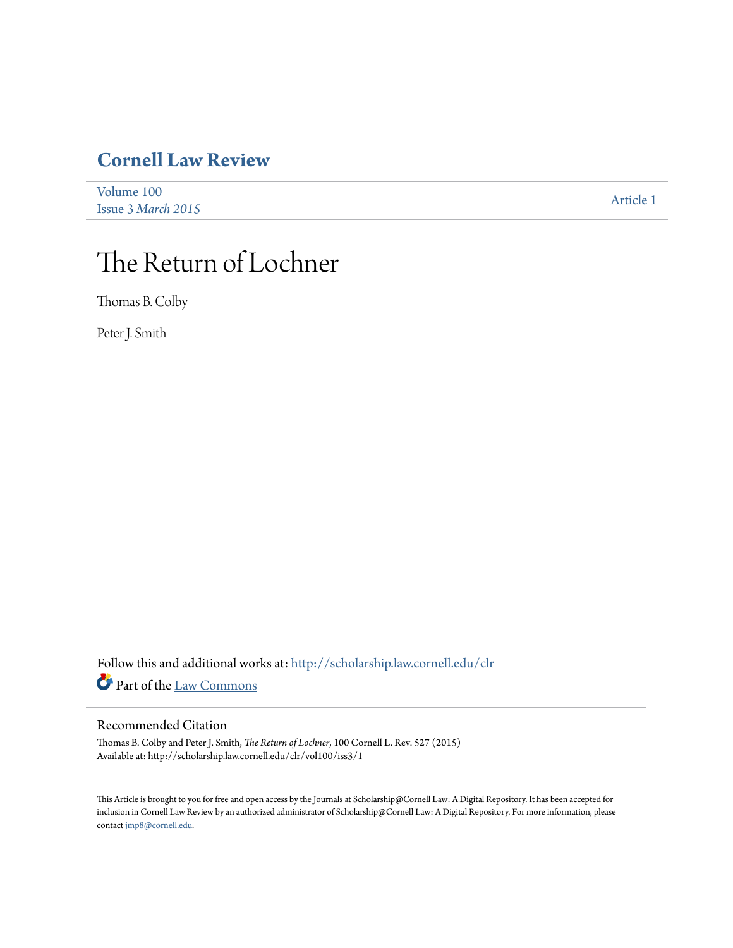# **[Cornell Law Review](http://scholarship.law.cornell.edu/clr?utm_source=scholarship.law.cornell.edu%2Fclr%2Fvol100%2Fiss3%2F1&utm_medium=PDF&utm_campaign=PDFCoverPages)**

| Volume 100         | Article 1 |
|--------------------|-----------|
| Issue 3 March 2015 |           |

# The Return of Lochner

Thomas B. Colby

Peter J. Smith

Follow this and additional works at: [http://scholarship.law.cornell.edu/clr](http://scholarship.law.cornell.edu/clr?utm_source=scholarship.law.cornell.edu%2Fclr%2Fvol100%2Fiss3%2F1&utm_medium=PDF&utm_campaign=PDFCoverPages) Part of the [Law Commons](http://network.bepress.com/hgg/discipline/578?utm_source=scholarship.law.cornell.edu%2Fclr%2Fvol100%2Fiss3%2F1&utm_medium=PDF&utm_campaign=PDFCoverPages)

# Recommended Citation

Thomas B. Colby and Peter J. Smith, *The Return of Lochner*, 100 Cornell L. Rev. 527 (2015) Available at: http://scholarship.law.cornell.edu/clr/vol100/iss3/1

This Article is brought to you for free and open access by the Journals at Scholarship@Cornell Law: A Digital Repository. It has been accepted for inclusion in Cornell Law Review by an authorized administrator of Scholarship@Cornell Law: A Digital Repository. For more information, please contact [jmp8@cornell.edu.](mailto:jmp8@cornell.edu)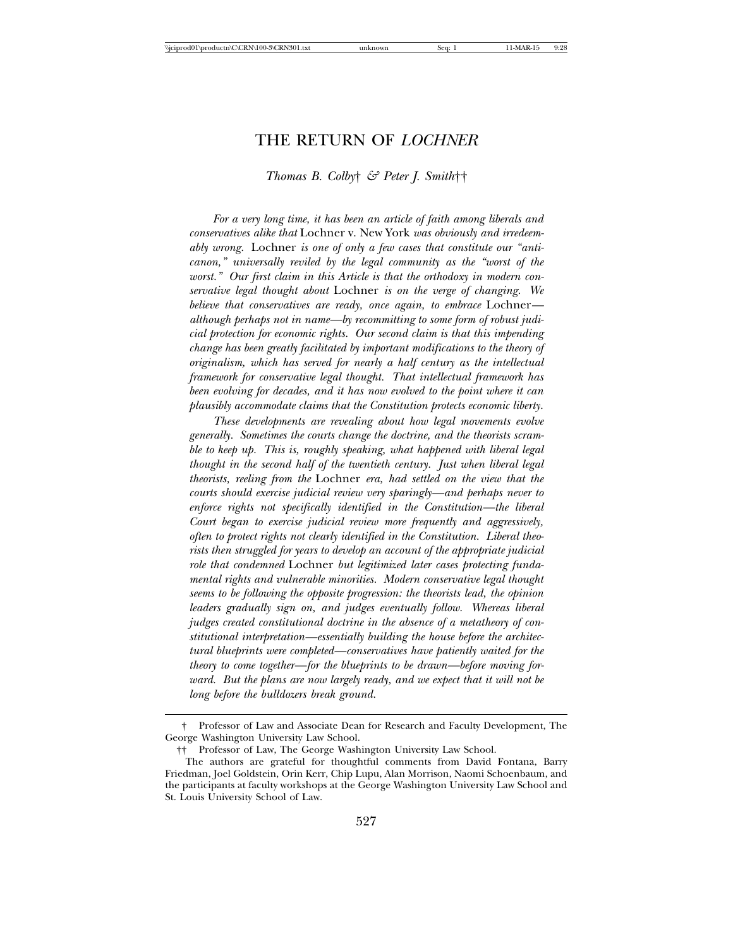# THE RETURN OF *LOCHNER*

#### *Thomas B. Colby*† *& Peter J. Smith*††

*For a very long time, it has been an article of faith among liberals and conservatives alike that* Lochner v. New York *was obviously and irredeemably wrong.* Lochner *is one of only a few cases that constitute our "anticanon," universally reviled by the legal community as the "worst of the worst." Our first claim in this Article is that the orthodoxy in modern conservative legal thought about* Lochner *is on the verge of changing. We believe that conservatives are ready, once again, to embrace* Lochner *although perhaps not in name—by recommitting to some form of robust judicial protection for economic rights. Our second claim is that this impending change has been greatly facilitated by important modifications to the theory of originalism, which has served for nearly a half century as the intellectual framework for conservative legal thought. That intellectual framework has been evolving for decades, and it has now evolved to the point where it can plausibly accommodate claims that the Constitution protects economic liberty.*

*These developments are revealing about how legal movements evolve generally. Sometimes the courts change the doctrine, and the theorists scramble to keep up. This is, roughly speaking, what happened with liberal legal thought in the second half of the twentieth century. Just when liberal legal theorists, reeling from the* Lochner *era, had settled on the view that the courts should exercise judicial review very sparingly—and perhaps never to enforce rights not specifically identified in the Constitution—the liberal Court began to exercise judicial review more frequently and aggressively, often to protect rights not clearly identified in the Constitution. Liberal theorists then struggled for years to develop an account of the appropriate judicial role that condemned* Lochner *but legitimized later cases protecting fundamental rights and vulnerable minorities. Modern conservative legal thought seems to be following the opposite progression: the theorists lead, the opinion leaders gradually sign on, and judges eventually follow. Whereas liberal judges created constitutional doctrine in the absence of a metatheory of constitutional interpretation—essentially building the house before the architectural blueprints were completed—conservatives have patiently waited for the theory to come together—for the blueprints to be drawn—before moving forward. But the plans are now largely ready, and we expect that it will not be long before the bulldozers break ground.*

<sup>†</sup> Professor of Law and Associate Dean for Research and Faculty Development, The George Washington University Law School.

<sup>††</sup> Professor of Law, The George Washington University Law School.

The authors are grateful for thoughtful comments from David Fontana, Barry Friedman, Joel Goldstein, Orin Kerr, Chip Lupu, Alan Morrison, Naomi Schoenbaum, and the participants at faculty workshops at the George Washington University Law School and St. Louis University School of Law.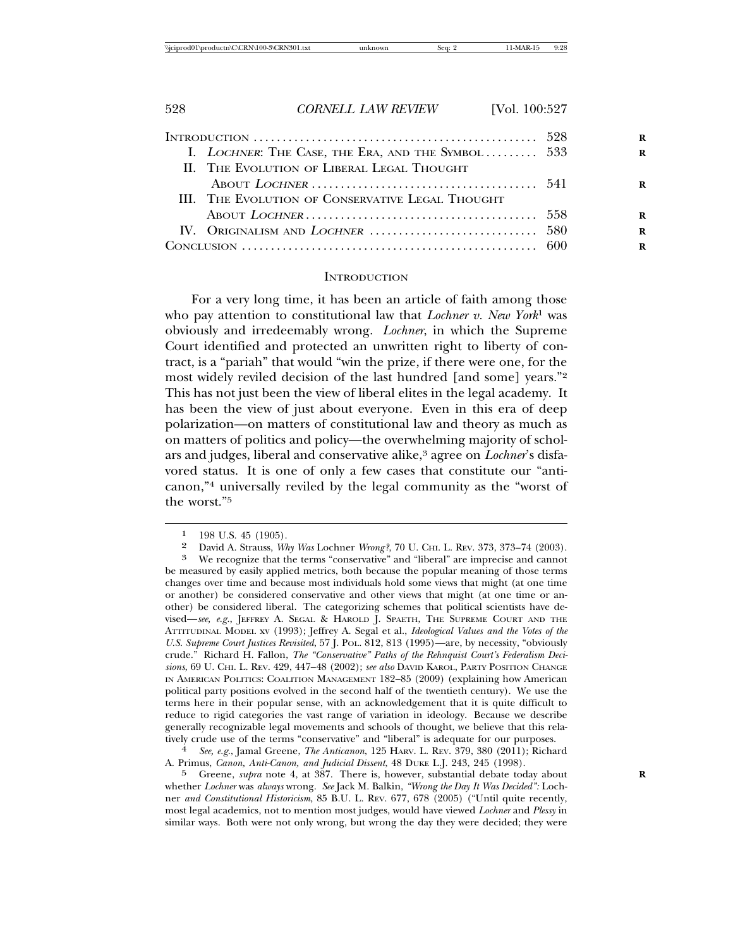| I. LOCHNER: THE CASE, THE ERA, AND THE SYMBOL 533 |  |
|---------------------------------------------------|--|
| <b>II. THE EVOLUTION OF LIBERAL LEGAL THOUGHT</b> |  |
|                                                   |  |
| III. THE EVOLUTION OF CONSERVATIVE LEGAL THOUGHT  |  |
|                                                   |  |
|                                                   |  |
|                                                   |  |
|                                                   |  |

#### **INTRODUCTION**

For a very long time, it has been an article of faith among those who pay attention to constitutional law that *Lochner v. New York*1 was obviously and irredeemably wrong. *Lochner*, in which the Supreme Court identified and protected an unwritten right to liberty of contract, is a "pariah" that would "win the prize, if there were one, for the most widely reviled decision of the last hundred [and some] years."2 This has not just been the view of liberal elites in the legal academy. It has been the view of just about everyone. Even in this era of deep polarization—on matters of constitutional law and theory as much as on matters of politics and policy—the overwhelming majority of scholars and judges, liberal and conservative alike,3 agree on *Lochner*'s disfavored status. It is one of only a few cases that constitute our "anticanon,"4 universally reviled by the legal community as the "worst of the worst."5

A. Primus, *Canon, Anti-Canon, and Judicial Dissent*, 48 DUKE L.J. 243, 245 (1998).

5 Greene, *supra* note 4, at 387. There is, however, substantial debate today about **R** whether *Lochner* was *always* wrong. *See* Jack M. Balkin, *"Wrong the Day It Was Decided":* Lochner *and Constitutional Historicism*, 85 B.U. L. REV. 677, 678 (2005) ("Until quite recently, most legal academics, not to mention most judges, would have viewed *Lochner* and *Plessy* in similar ways. Both were not only wrong, but wrong the day they were decided; they were

<sup>1 198</sup> U.S. 45 (1905).<br>2 David A Strauss Wl

David A. Strauss, *Why Was* Lochner *Wrong?*, 70 U. CHI. L. REV. 373, 373–74 (2003). We recognize that the terms "conservative" and "liberal" are imprecise and cannot

be measured by easily applied metrics, both because the popular meaning of those terms changes over time and because most individuals hold some views that might (at one time or another) be considered conservative and other views that might (at one time or another) be considered liberal. The categorizing schemes that political scientists have devised—*see, e.g.*, JEFFREY A. SEGAL & HAROLD J. SPAETH, THE SUPREME COURT AND THE ATTITUDINAL MODEL xv (1993); Jeffrey A. Segal et al., *Ideological Values and the Votes of the U.S. Supreme Court Justices Revisited*, 57 J. POL. 812, 813 (1995)—are, by necessity, "obviously crude." Richard H. Fallon, *The "Conservative" Paths of the Rehnquist Court's Federalism Decisions*, 69 U. CHI. L. REV. 429, 447–48 (2002); *see also* DAVID KAROL, PARTY POSITION CHANGE IN AMERICAN POLITICS: COALITION MANAGEMENT 182–85 (2009) (explaining how American political party positions evolved in the second half of the twentieth century). We use the terms here in their popular sense, with an acknowledgement that it is quite difficult to reduce to rigid categories the vast range of variation in ideology. Because we describe generally recognizable legal movements and schools of thought, we believe that this relatively crude use of the terms "conservative" and "liberal" is adequate for our purposes. <sup>4</sup> *See, e.g.*, Jamal Greene, *The Anticanon*, 125 HARV. L. REV. 379, 380 (2011); Richard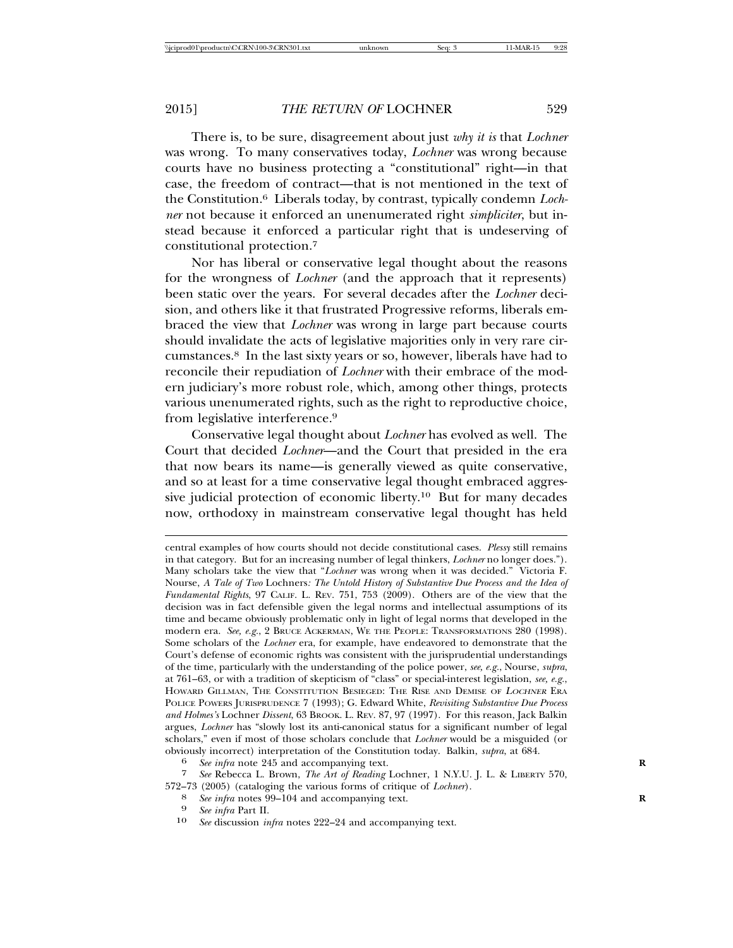There is, to be sure, disagreement about just *why it is* that *Lochner* was wrong. To many conservatives today, *Lochner* was wrong because courts have no business protecting a "constitutional" right—in that case, the freedom of contract—that is not mentioned in the text of the Constitution.6 Liberals today, by contrast, typically condemn *Lochner* not because it enforced an unenumerated right *simpliciter*, but instead because it enforced a particular right that is undeserving of constitutional protection.7

Nor has liberal or conservative legal thought about the reasons for the wrongness of *Lochner* (and the approach that it represents) been static over the years. For several decades after the *Lochner* decision, and others like it that frustrated Progressive reforms, liberals embraced the view that *Lochner* was wrong in large part because courts should invalidate the acts of legislative majorities only in very rare circumstances.8 In the last sixty years or so, however, liberals have had to reconcile their repudiation of *Lochner* with their embrace of the modern judiciary's more robust role, which, among other things, protects various unenumerated rights, such as the right to reproductive choice, from legislative interference.9

Conservative legal thought about *Lochner* has evolved as well. The Court that decided *Lochner*—and the Court that presided in the era that now bears its name—is generally viewed as quite conservative, and so at least for a time conservative legal thought embraced aggressive judicial protection of economic liberty.10 But for many decades now, orthodoxy in mainstream conservative legal thought has held

10 *See* discussion *infra* notes 222–24 and accompanying text.

central examples of how courts should not decide constitutional cases. *Plessy* still remains in that category. But for an increasing number of legal thinkers, *Lochner* no longer does."). Many scholars take the view that "*Lochner* was wrong when it was decided." Victoria F. Nourse, *A Tale of Two* Lochners*: The Untold History of Substantive Due Process and the Idea of Fundamental Rights*, 97 CALIF. L. REV. 751, 753 (2009). Others are of the view that the decision was in fact defensible given the legal norms and intellectual assumptions of its time and became obviously problematic only in light of legal norms that developed in the modern era. *See, e.g.*, 2 BRUCE ACKERMAN, WE THE PEOPLE: TRANSFORMATIONS 280 (1998). Some scholars of the *Lochner* era, for example, have endeavored to demonstrate that the Court's defense of economic rights was consistent with the jurisprudential understandings of the time, particularly with the understanding of the police power, *see, e.g.*, Nourse, *supra*, at 761–63, or with a tradition of skepticism of "class" or special-interest legislation, *see, e.g.*, HOWARD GILLMAN, THE CONSTITUTION BESIEGED: THE RISE AND DEMISE OF <sup>L</sup>OCHNER ERA POLICE POWERS JURISPRUDENCE 7 (1993); G. Edward White, *Revisiting Substantive Due Process and Holmes's* Lochner *Dissent*, 63 BROOK. L. REV. 87, 97 (1997). For this reason, Jack Balkin argues, *Lochner* has "slowly lost its anti-canonical status for a significant number of legal scholars," even if most of those scholars conclude that *Lochner* would be a misguided (or obviously incorrect) interpretation of the Constitution today. Balkin, *supra*, at 684. <sup>6</sup> *See infra* note 245 and accompanying text. **<sup>R</sup>**

<sup>7</sup> *See* Rebecca L. Brown, *The Art of Reading* Lochner, 1 N.Y.U. J. L. & LIBERTY 570, 572–73 (2005) (cataloging the various forms of critique of *Lochner*).<br><sup>8</sup> *See infra* notes 99–104 and accompanying text.<br><sup>9</sup> *See infra* Part II

<sup>9</sup> *See infra* Part II.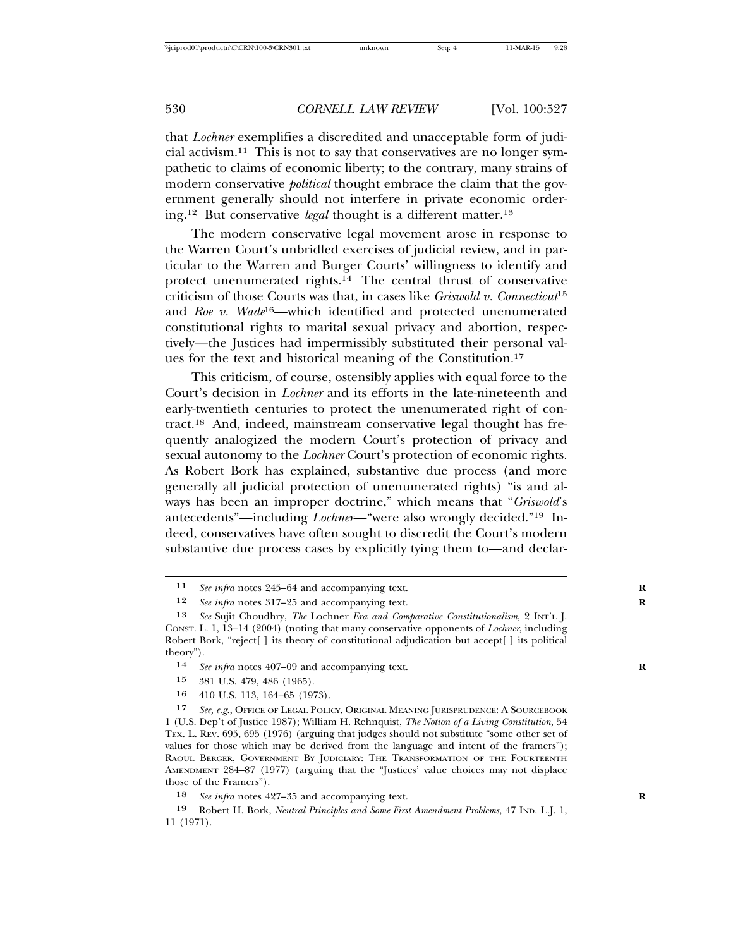that *Lochner* exemplifies a discredited and unacceptable form of judicial activism.11 This is not to say that conservatives are no longer sympathetic to claims of economic liberty; to the contrary, many strains of modern conservative *political* thought embrace the claim that the government generally should not interfere in private economic ordering.12 But conservative *legal* thought is a different matter.13

The modern conservative legal movement arose in response to the Warren Court's unbridled exercises of judicial review, and in particular to the Warren and Burger Courts' willingness to identify and protect unenumerated rights.14 The central thrust of conservative criticism of those Courts was that, in cases like *Griswold v. Connecticut*<sup>15</sup> and *Roe v. Wade*16—which identified and protected unenumerated constitutional rights to marital sexual privacy and abortion, respectively—the Justices had impermissibly substituted their personal values for the text and historical meaning of the Constitution.17

This criticism, of course, ostensibly applies with equal force to the Court's decision in *Lochner* and its efforts in the late-nineteenth and early-twentieth centuries to protect the unenumerated right of contract.18 And, indeed, mainstream conservative legal thought has frequently analogized the modern Court's protection of privacy and sexual autonomy to the *Lochner* Court's protection of economic rights. As Robert Bork has explained, substantive due process (and more generally all judicial protection of unenumerated rights) "is and always has been an improper doctrine," which means that "*Griswold*'s antecedents"—including *Lochner*—"were also wrongly decided."19 Indeed, conservatives have often sought to discredit the Court's modern substantive due process cases by explicitly tying them to—and declar-

- 15 381 U.S. 479, 486 (1965).
- 16 410 U.S. 113, 164–65 (1973).

17 *See, e.g.*, OFFICE OF LEGAL POLICY, ORIGINAL MEANING JURISPRUDENCE: A SOURCEBOOK 1 (U.S. Dep't of Justice 1987); William H. Rehnquist, *The Notion of a Living Constitution*, 54 TEX. L. REV. 695, 695 (1976) (arguing that judges should not substitute "some other set of values for those which may be derived from the language and intent of the framers"); RAOUL BERGER, GOVERNMENT BY JUDICIARY: THE TRANSFORMATION OF THE FOURTEENTH AMENDMENT 284–87 (1977) (arguing that the "Justices' value choices may not displace those of the Framers").

18 *See infra* notes 427–35 and accompanying text. **R**

19 Robert H. Bork, *Neutral Principles and Some First Amendment Problems*, 47 IND. L.J. 1, 11 (1971).

<sup>11</sup> *See infra* notes 245–64 and accompanying text. **R**

<sup>12</sup> *See infra* notes 317–25 and accompanying text. **R**

<sup>13</sup> *See* Sujit Choudhry, *The* Lochner *Era and Comparative Constitutionalism*, 2 INT'L J. CONST. L. 1, 13–14 (2004) (noting that many conservative opponents of *Lochner*, including Robert Bork, "reject<sup>[]</sup> its theory of constitutional adjudication but accept<sup>[]</sup> its political theory").

<sup>14</sup> *See infra* notes 407–09 and accompanying text. **R**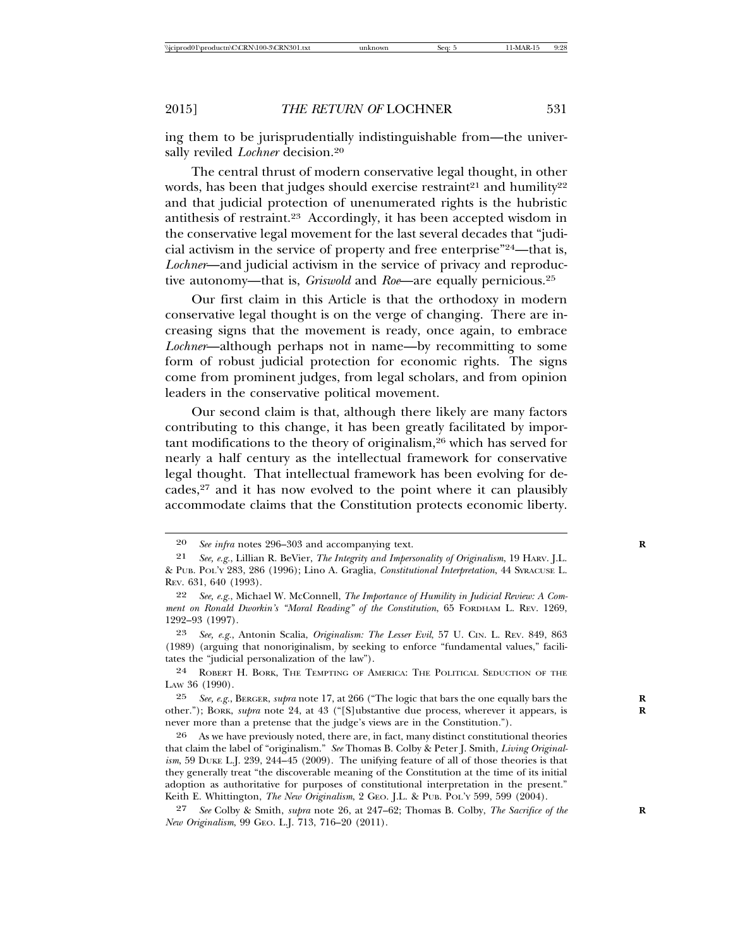ing them to be jurisprudentially indistinguishable from—the universally reviled *Lochner* decision.<sup>20</sup>

The central thrust of modern conservative legal thought, in other words, has been that judges should exercise restraint<sup>21</sup> and humility<sup>22</sup> and that judicial protection of unenumerated rights is the hubristic antithesis of restraint.23 Accordingly, it has been accepted wisdom in the conservative legal movement for the last several decades that "judicial activism in the service of property and free enterprise"24—that is, *Lochner*—and judicial activism in the service of privacy and reproductive autonomy—that is, *Griswold* and *Roe*—are equally pernicious.25

Our first claim in this Article is that the orthodoxy in modern conservative legal thought is on the verge of changing. There are increasing signs that the movement is ready, once again, to embrace *Lochner*—although perhaps not in name—by recommitting to some form of robust judicial protection for economic rights. The signs come from prominent judges, from legal scholars, and from opinion leaders in the conservative political movement.

Our second claim is that, although there likely are many factors contributing to this change, it has been greatly facilitated by important modifications to the theory of originalism,26 which has served for nearly a half century as the intellectual framework for conservative legal thought. That intellectual framework has been evolving for decades, $27$  and it has now evolved to the point where it can plausibly accommodate claims that the Constitution protects economic liberty.

24 ROBERT H. BORK, THE TEMPTING OF AMERICA: THE POLITICAL SEDUCTION OF THE LAW 36 (1990).

25 *See, e.g.*, BERGER, *supra* note 17, at 266 ("The logic that bars the one equally bars the **R** other."); BORK, *supra* note 24, at 43 ("[S]ubstantive due process, wherever it appears, is never more than a pretense that the judge's views are in the Constitution.").

26 As we have previously noted, there are, in fact, many distinct constitutional theories that claim the label of "originalism." *See* Thomas B. Colby & Peter J. Smith, *Living Originalism*, 59 DUKE L.J. 239, 244–45 (2009). The unifying feature of all of those theories is that they generally treat "the discoverable meaning of the Constitution at the time of its initial adoption as authoritative for purposes of constitutional interpretation in the present." Keith E. Whittington, *The New Originalism*, 2 GEO. J.L. & PUB. POL'Y 599, 599 (2004).

27 *See* Colby & Smith, *supra* note 26, at 247–62; Thomas B. Colby, *The Sacrifice of the* **R** *New Originalism*, 99 GEO. L.J. 713, 716–20 (2011).

<sup>20</sup> *See infra* notes 296–303 and accompanying text. **R**

<sup>21</sup> *See, e.g.*, Lillian R. BeVier, *The Integrity and Impersonality of Originalism*, 19 HARV. J.L. & PUB. POL'Y 283, 286 (1996); Lino A. Graglia, *Constitutional Interpretation*, 44 SYRACUSE L. REV. 631, 640 (1993).

<sup>22</sup> *See, e.g.*, Michael W. McConnell, *The Importance of Humility in Judicial Review: A Comment on Ronald Dworkin's "Moral Reading" of the Constitution*, 65 FORDHAM L. REV. 1269, 1292–93 (1997).

<sup>23</sup> *See, e.g.*, Antonin Scalia, *Originalism: The Lesser Evil*, 57 U. CIN. L. REV. 849, 863 (1989) (arguing that nonoriginalism, by seeking to enforce "fundamental values," facilitates the "judicial personalization of the law").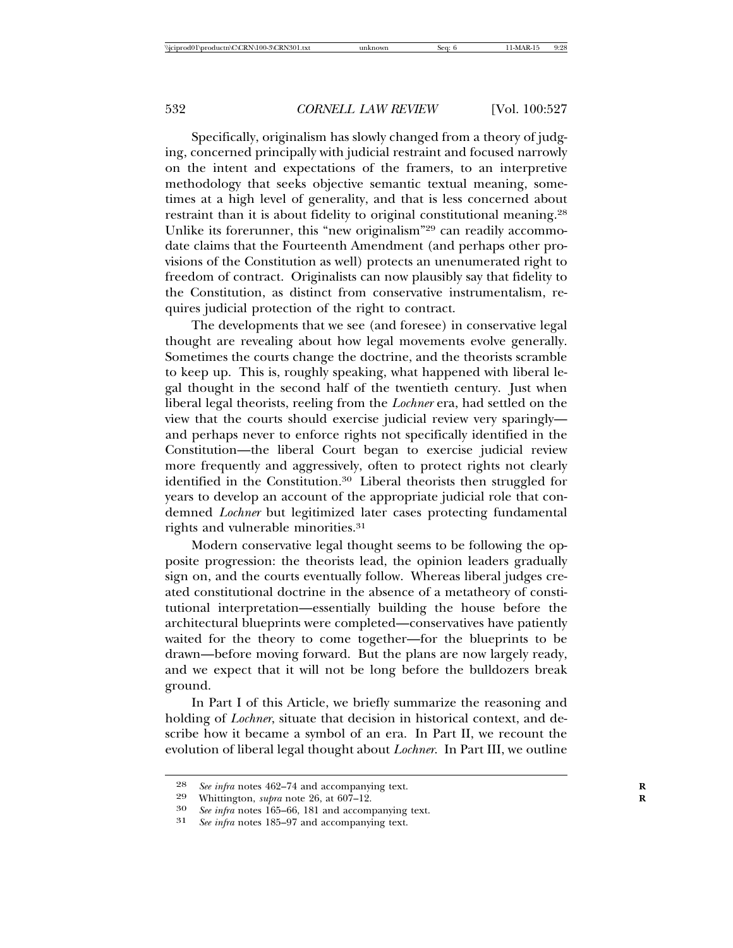Specifically, originalism has slowly changed from a theory of judging, concerned principally with judicial restraint and focused narrowly on the intent and expectations of the framers, to an interpretive methodology that seeks objective semantic textual meaning, sometimes at a high level of generality, and that is less concerned about restraint than it is about fidelity to original constitutional meaning.<sup>28</sup> Unlike its forerunner, this "new originalism"29 can readily accommodate claims that the Fourteenth Amendment (and perhaps other provisions of the Constitution as well) protects an unenumerated right to freedom of contract. Originalists can now plausibly say that fidelity to the Constitution, as distinct from conservative instrumentalism, requires judicial protection of the right to contract.

The developments that we see (and foresee) in conservative legal thought are revealing about how legal movements evolve generally. Sometimes the courts change the doctrine, and the theorists scramble to keep up. This is, roughly speaking, what happened with liberal legal thought in the second half of the twentieth century. Just when liberal legal theorists, reeling from the *Lochner* era, had settled on the view that the courts should exercise judicial review very sparingly and perhaps never to enforce rights not specifically identified in the Constitution—the liberal Court began to exercise judicial review more frequently and aggressively, often to protect rights not clearly identified in the Constitution.30 Liberal theorists then struggled for years to develop an account of the appropriate judicial role that condemned *Lochner* but legitimized later cases protecting fundamental rights and vulnerable minorities.31

Modern conservative legal thought seems to be following the opposite progression: the theorists lead, the opinion leaders gradually sign on, and the courts eventually follow. Whereas liberal judges created constitutional doctrine in the absence of a metatheory of constitutional interpretation—essentially building the house before the architectural blueprints were completed—conservatives have patiently waited for the theory to come together—for the blueprints to be drawn—before moving forward. But the plans are now largely ready, and we expect that it will not be long before the bulldozers break ground.

In Part I of this Article, we briefly summarize the reasoning and holding of *Lochner*, situate that decision in historical context, and describe how it became a symbol of an era. In Part II, we recount the evolution of liberal legal thought about *Lochner*. In Part III, we outline

<sup>28</sup> *See infra* notes 462–74 and accompanying text.<br>29 Whittington *subra* note 26 at 607–12

<sup>29</sup> Whittington, *supra* note 26, at  $607-12$ .<br>
30 See infra potes 165–66, 181 and accom-

<sup>30</sup> *See infra* notes 165–66, 181 and accompanying text.<br>31 *See infra* notes 185–97 and accompanying text.

See infra notes 185–97 and accompanying text.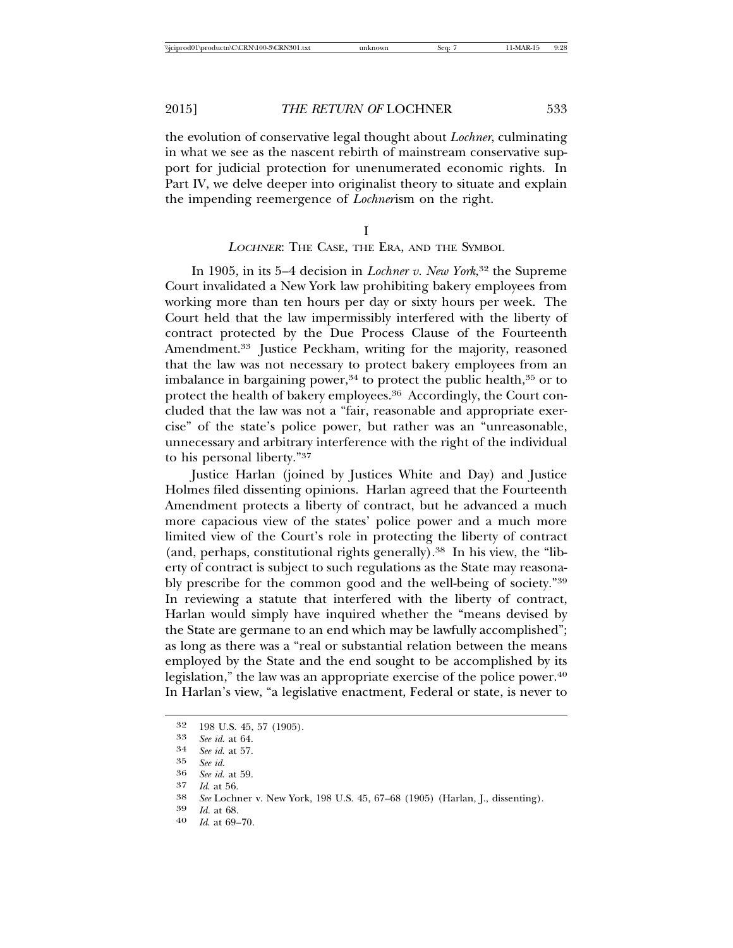the evolution of conservative legal thought about *Lochner*, culminating in what we see as the nascent rebirth of mainstream conservative support for judicial protection for unenumerated economic rights. In Part IV, we delve deeper into originalist theory to situate and explain the impending reemergence of *Lochner*ism on the right.

I

#### <sup>L</sup>OCHNER: THE CASE, THE ERA, AND THE SYMBOL

In 1905, in its 5–4 decision in *Lochner v. New York*, 32 the Supreme Court invalidated a New York law prohibiting bakery employees from working more than ten hours per day or sixty hours per week. The Court held that the law impermissibly interfered with the liberty of contract protected by the Due Process Clause of the Fourteenth Amendment.<sup>33</sup> Justice Peckham, writing for the majority, reasoned that the law was not necessary to protect bakery employees from an imbalance in bargaining power, $34$  to protect the public health, $35$  or to protect the health of bakery employees.<sup>36</sup> Accordingly, the Court concluded that the law was not a "fair, reasonable and appropriate exercise" of the state's police power, but rather was an "unreasonable, unnecessary and arbitrary interference with the right of the individual to his personal liberty."37

Justice Harlan (joined by Justices White and Day) and Justice Holmes filed dissenting opinions. Harlan agreed that the Fourteenth Amendment protects a liberty of contract, but he advanced a much more capacious view of the states' police power and a much more limited view of the Court's role in protecting the liberty of contract (and, perhaps, constitutional rights generally).38 In his view, the "liberty of contract is subject to such regulations as the State may reasonably prescribe for the common good and the well-being of society."39 In reviewing a statute that interfered with the liberty of contract, Harlan would simply have inquired whether the "means devised by the State are germane to an end which may be lawfully accomplished"; as long as there was a "real or substantial relation between the means employed by the State and the end sought to be accomplished by its legislation," the law was an appropriate exercise of the police power.40 In Harlan's view, "a legislative enactment, Federal or state, is never to

- 
- 

<sup>32</sup> 198 U.S. 45, 57 (1905). <sup>33</sup> *See id*. at 64. <sup>34</sup> *See id*. at 57.

<sup>35</sup> *See id.* <sup>36</sup> *See id*. at 59.

<sup>37</sup> *Id*. at 56. <sup>38</sup> *See* Lochner v. New York, 198 U.S. 45, 67–68 (1905) (Harlan, J., dissenting). <sup>39</sup> *Id.* at 68. <sup>40</sup> *Id*. at 69–70.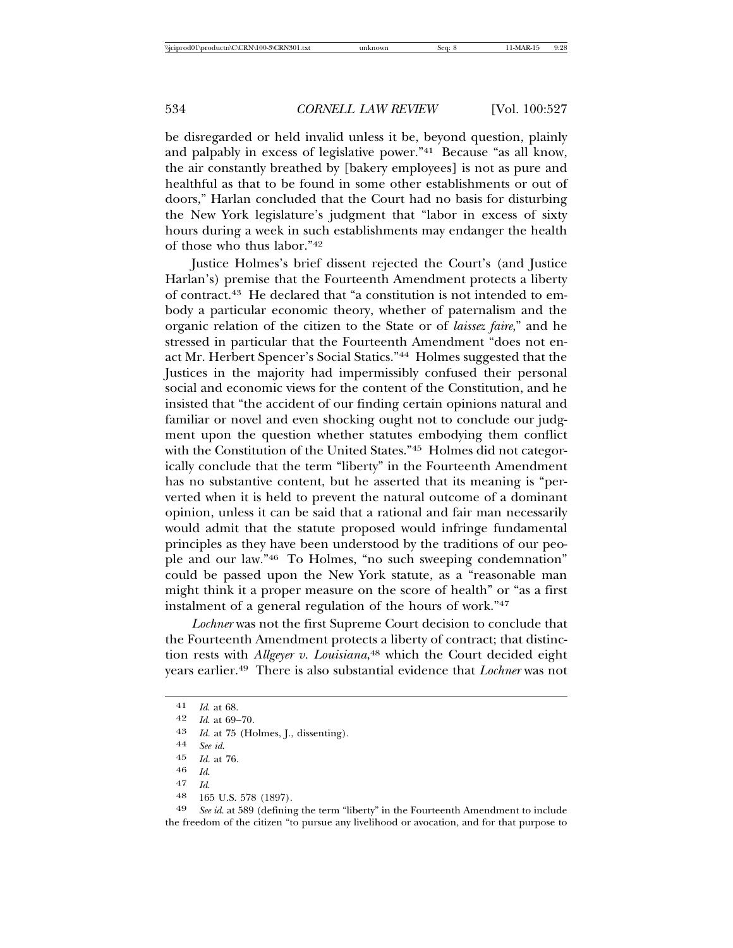be disregarded or held invalid unless it be, beyond question, plainly and palpably in excess of legislative power."41 Because "as all know, the air constantly breathed by [bakery employees] is not as pure and healthful as that to be found in some other establishments or out of doors," Harlan concluded that the Court had no basis for disturbing the New York legislature's judgment that "labor in excess of sixty hours during a week in such establishments may endanger the health of those who thus labor."42

Justice Holmes's brief dissent rejected the Court's (and Justice Harlan's) premise that the Fourteenth Amendment protects a liberty of contract.43 He declared that "a constitution is not intended to embody a particular economic theory, whether of paternalism and the organic relation of the citizen to the State or of *laissez faire*," and he stressed in particular that the Fourteenth Amendment "does not enact Mr. Herbert Spencer's Social Statics."44 Holmes suggested that the Justices in the majority had impermissibly confused their personal social and economic views for the content of the Constitution, and he insisted that "the accident of our finding certain opinions natural and familiar or novel and even shocking ought not to conclude our judgment upon the question whether statutes embodying them conflict with the Constitution of the United States."<sup>45</sup> Holmes did not categorically conclude that the term "liberty" in the Fourteenth Amendment has no substantive content, but he asserted that its meaning is "perverted when it is held to prevent the natural outcome of a dominant opinion, unless it can be said that a rational and fair man necessarily would admit that the statute proposed would infringe fundamental principles as they have been understood by the traditions of our people and our law."46 To Holmes, "no such sweeping condemnation" could be passed upon the New York statute, as a "reasonable man might think it a proper measure on the score of health" or "as a first instalment of a general regulation of the hours of work."47

*Lochner* was not the first Supreme Court decision to conclude that the Fourteenth Amendment protects a liberty of contract; that distinction rests with *Allgeyer v. Louisiana*, 48 which the Court decided eight years earlier.49 There is also substantial evidence that *Lochner* was not

- 47 *Id*.
- $\frac{48}{49}$  165 U.S. 578 (1897).<br>49 *See id.* at 589 (defining

See id. at 589 (defining the term "liberty" in the Fourteenth Amendment to include the freedom of the citizen "to pursue any livelihood or avocation, and for that purpose to

<sup>41</sup> *Id*. at 68.

<sup>42</sup> *Id*. at 69–70.

<sup>43</sup> *Id.* at 75 (Holmes, J., dissenting).

<sup>44</sup> *See id*.

*Id.* at 76.

<sup>46</sup> *Id*.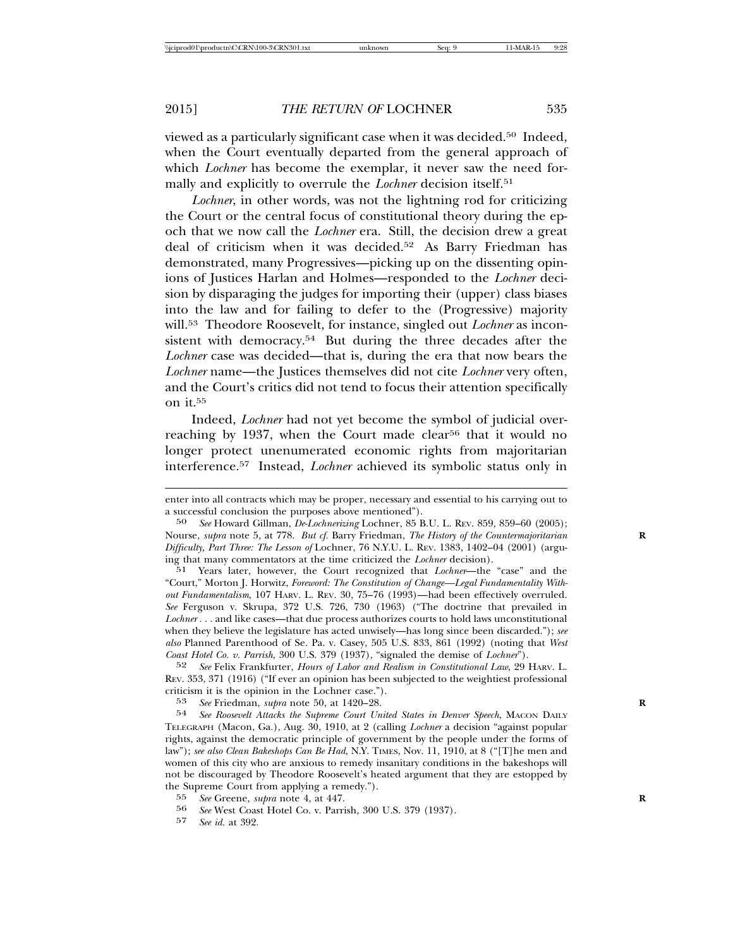viewed as a particularly significant case when it was decided.50 Indeed, when the Court eventually departed from the general approach of which *Lochner* has become the exemplar, it never saw the need formally and explicitly to overrule the *Lochner* decision itself.51

*Lochner*, in other words, was not the lightning rod for criticizing the Court or the central focus of constitutional theory during the epoch that we now call the *Lochner* era. Still, the decision drew a great deal of criticism when it was decided.52 As Barry Friedman has demonstrated, many Progressives—picking up on the dissenting opinions of Justices Harlan and Holmes—responded to the *Lochner* decision by disparaging the judges for importing their (upper) class biases into the law and for failing to defer to the (Progressive) majority will.53 Theodore Roosevelt, for instance, singled out *Lochner* as inconsistent with democracy.<sup>54</sup> But during the three decades after the *Lochner* case was decided—that is, during the era that now bears the *Lochner* name—the Justices themselves did not cite *Lochner* very often, and the Court's critics did not tend to focus their attention specifically on it  $55$ 

Indeed, *Lochner* had not yet become the symbol of judicial overreaching by 1937, when the Court made clear<sup>56</sup> that it would no longer protect unenumerated economic rights from majoritarian interference.57 Instead, *Lochner* achieved its symbolic status only in

52 *See* Felix Frankfurter, *Hours of Labor and Realism in Constitutional Law*, 29 HARV. L. REV. 353, 371 (1916) ("If ever an opinion has been subjected to the weightiest professional criticism it is the opinion in the Lochner case.").

53 *See* Friedman, *supra* note 50, at 1420–28. **R**

54 *See Roosevelt Attacks the Supreme Court United States in Denver Speech*, MACON DAILY TELEGRAPH (Macon, Ga.), Aug. 30, 1910, at 2 (calling *Lochner* a decision "against popular rights, against the democratic principle of government by the people under the forms of law"); *see also Clean Bakeshops Can Be Had*, N.Y. TIMES, Nov. 11, 1910, at 8 ("[T]he men and women of this city who are anxious to remedy insanitary conditions in the bakeshops will not be discouraged by Theodore Roosevelt's heated argument that they are estopped by the Supreme Court from applying a remedy.").

- 56 *See* West Coast Hotel Co. v. Parrish, 300 U.S. 379 (1937).<br>57 See id. at 309
- 57 *See id.* at 392.

enter into all contracts which may be proper, necessary and essential to his carrying out to a successful conclusion the purposes above mentioned").

<sup>50</sup> *See* Howard Gillman, *De-Lochnerizing* Lochner, 85 B.U. L. REV. 859, 859–60 (2005); Nourse, *supra* note 5, at 778. *But cf.* Barry Friedman, *The History of the Countermajoritarian* **R** *Difficulty, Part Three: The Lesson of* Lochner, 76 N.Y.U. L. REV. 1383, 1402–04 (2001) (arguing that many commentators at the time criticized the *Lochner* decision).

<sup>51</sup> Years later, however, the Court recognized that *Lochner*—the "case" and the "Court," Morton J. Horwitz, *Foreword: The Constitution of Change—Legal Fundamentality Without Fundamentalism*, 107 HARV. L. REV. 30, 75–76 (1993)—had been effectively overruled. *See* Ferguson v. Skrupa, 372 U.S. 726, 730 (1963) ("The doctrine that prevailed in *Lochner* . . . and like cases—that due process authorizes courts to hold laws unconstitutional when they believe the legislature has acted unwisely—has long since been discarded."); *see also* Planned Parenthood of Se. Pa. v. Casey, 505 U.S. 833, 861 (1992) (noting that *West Coast Hotel Co. v. Parrish*, 300 U.S. 379 (1937), "signaled the demise of *Lochner*").

<sup>55</sup> *See* Greene, *supra* note 4, at 447.<br>56 *See* West Coast Hotel Co v Parri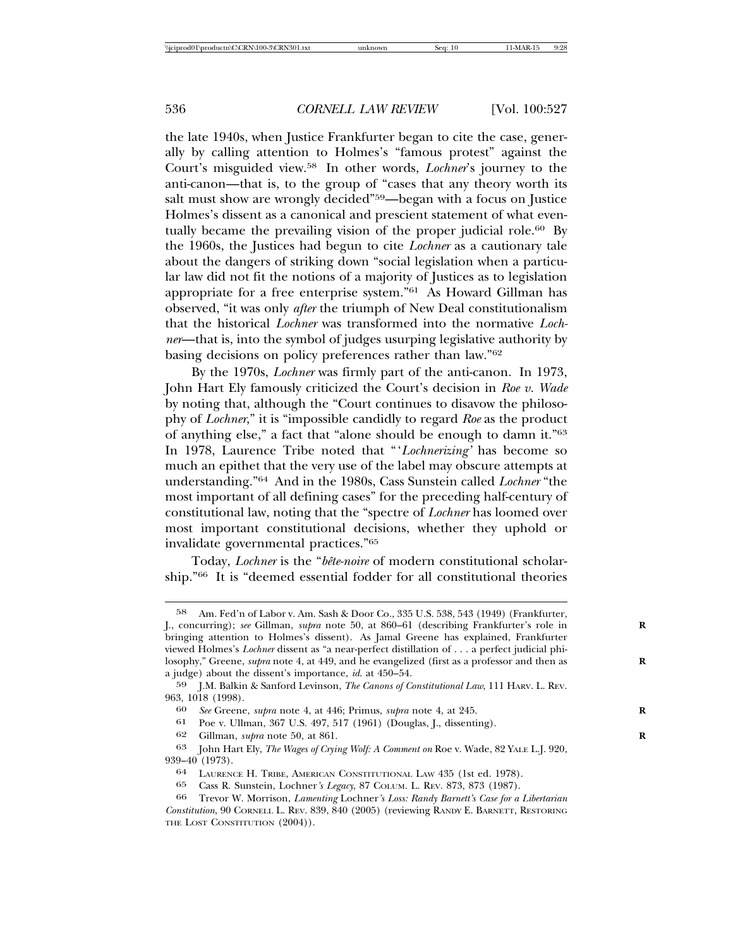the late 1940s, when Justice Frankfurter began to cite the case, generally by calling attention to Holmes's "famous protest" against the Court's misguided view.58 In other words, *Lochner*'s journey to the anti-canon—that is, to the group of "cases that any theory worth its salt must show are wrongly decided"59—began with a focus on Justice Holmes's dissent as a canonical and prescient statement of what eventually became the prevailing vision of the proper judicial role.<sup>60</sup> By the 1960s, the Justices had begun to cite *Lochner* as a cautionary tale about the dangers of striking down "social legislation when a particular law did not fit the notions of a majority of Justices as to legislation appropriate for a free enterprise system."61 As Howard Gillman has observed, "it was only *after* the triumph of New Deal constitutionalism that the historical *Lochner* was transformed into the normative *Lochner*—that is, into the symbol of judges usurping legislative authority by basing decisions on policy preferences rather than law."62

By the 1970s, *Lochner* was firmly part of the anti-canon. In 1973, John Hart Ely famously criticized the Court's decision in *Roe v. Wade* by noting that, although the "Court continues to disavow the philosophy of *Lochner*," it is "impossible candidly to regard *Roe* as the product of anything else," a fact that "alone should be enough to damn it."63 In 1978, Laurence Tribe noted that "'*Lochnerizing'* has become so much an epithet that the very use of the label may obscure attempts at understanding."64 And in the 1980s, Cass Sunstein called *Lochner* "the most important of all defining cases" for the preceding half-century of constitutional law, noting that the "spectre of *Lochner* has loomed over most important constitutional decisions, whether they uphold or invalidate governmental practices."65

Today, *Lochner* is the "*bête-noire* of modern constitutional scholarship."66 It is "deemed essential fodder for all constitutional theories

<sup>58</sup> Am. Fed'n of Labor v. Am. Sash & Door Co., 335 U.S. 538, 543 (1949) (Frankfurter, J., concurring); *see* Gillman, *supra* note 50, at 860–61 (describing Frankfurter's role in **R** bringing attention to Holmes's dissent). As Jamal Greene has explained, Frankfurter viewed Holmes's *Lochner* dissent as "a near-perfect distillation of . . . a perfect judicial philosophy," Greene, *supra* note 4, at 449, and he evangelized (first as a professor and then as a judge) about the dissent's importance, *id*. at 450–54.

<sup>59</sup> J.M. Balkin & Sanford Levinson, *The Canons of Constitutional Law*, 111 HARV. L. REV. 963, 1018 (1998).

<sup>60</sup> *See* Greene, *supra* note 4, at 446; Primus, *supra* note 4, at 245. **R**

<sup>61</sup> Poe v. Ullman, 367 U.S. 497, 517 (1961) (Douglas, J., dissenting).

<sup>62</sup> Gillman, *supra* note 50, at 861. **R**

<sup>63</sup> John Hart Ely, *The Wages of Crying Wolf: A Comment on* Roe v. Wade, 82 YALE L.J. 920, 939–40 (1973).

<sup>64</sup> LAURENCE H. TRIBE, AMERICAN CONSTITUTIONAL LAW 435 (1st ed. 1978).

<sup>65</sup> Cass R. Sunstein, Lochner*'s Legacy*, 87 COLUM. L. REV. 873, 873 (1987).

<sup>66</sup> Trevor W. Morrison, *Lamenting* Lochner*'s Loss: Randy Barnett's Case for a Libertarian Constitution*, 90 CORNELL L. REV. 839, 840 (2005) (reviewing RANDY E. BARNETT, RESTORING THE LOST CONSTITUTION  $(2004)$ ).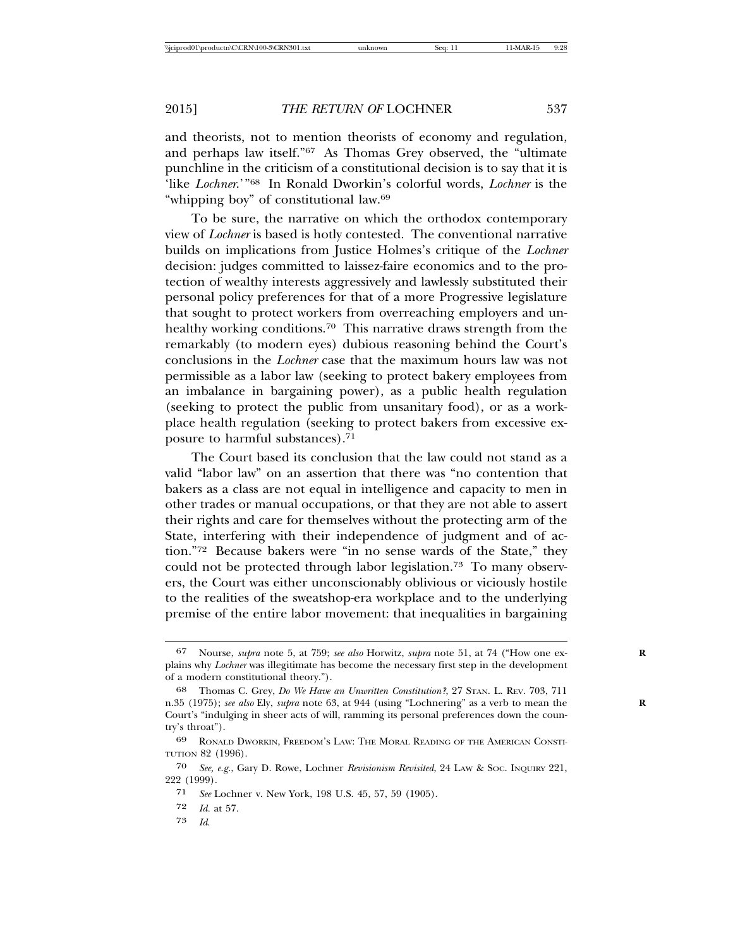and theorists, not to mention theorists of economy and regulation, and perhaps law itself."67 As Thomas Grey observed, the "ultimate punchline in the criticism of a constitutional decision is to say that it is 'like *Lochner*.'"68 In Ronald Dworkin's colorful words, *Lochner* is the "whipping boy" of constitutional law.69

To be sure, the narrative on which the orthodox contemporary view of *Lochner* is based is hotly contested. The conventional narrative builds on implications from Justice Holmes's critique of the *Lochner* decision: judges committed to laissez-faire economics and to the protection of wealthy interests aggressively and lawlessly substituted their personal policy preferences for that of a more Progressive legislature that sought to protect workers from overreaching employers and unhealthy working conditions.<sup>70</sup> This narrative draws strength from the remarkably (to modern eyes) dubious reasoning behind the Court's conclusions in the *Lochner* case that the maximum hours law was not permissible as a labor law (seeking to protect bakery employees from an imbalance in bargaining power), as a public health regulation (seeking to protect the public from unsanitary food), or as a workplace health regulation (seeking to protect bakers from excessive exposure to harmful substances).71

The Court based its conclusion that the law could not stand as a valid "labor law" on an assertion that there was "no contention that bakers as a class are not equal in intelligence and capacity to men in other trades or manual occupations, or that they are not able to assert their rights and care for themselves without the protecting arm of the State, interfering with their independence of judgment and of action."72 Because bakers were "in no sense wards of the State," they could not be protected through labor legislation.<sup>73</sup> To many observers, the Court was either unconscionably oblivious or viciously hostile to the realities of the sweatshop-era workplace and to the underlying premise of the entire labor movement: that inequalities in bargaining

73 *Id*.

<sup>67</sup> Nourse, *supra* note 5, at 759; *see also* Horwitz, *supra* note 51, at 74 ("How one ex- **R** plains why *Lochner* was illegitimate has become the necessary first step in the development of a modern constitutional theory.").

<sup>68</sup> Thomas C. Grey, *Do We Have an Unwritten Constitution?*, 27 STAN. L. REV. 703, 711 n.35 (1975); *see also* Ely, *supra* note 63, at 944 (using "Lochnering" as a verb to mean the Court's "indulging in sheer acts of will, ramming its personal preferences down the country's throat").

<sup>69</sup> RONALD DWORKIN, FREEDOM'S LAW: THE MORAL READING OF THE AMERICAN CONSTI-TUTION 82 (1996).

<sup>70</sup> *See, e.g.*, Gary D. Rowe, Lochner *Revisionism Revisited*, 24 LAW & SOC. INQUIRY 221, 222 (1999).

<sup>71</sup> *See* Lochner v. New York, 198 U.S. 45, 57, 59 (1905).

<sup>72</sup> *Id.* at 57.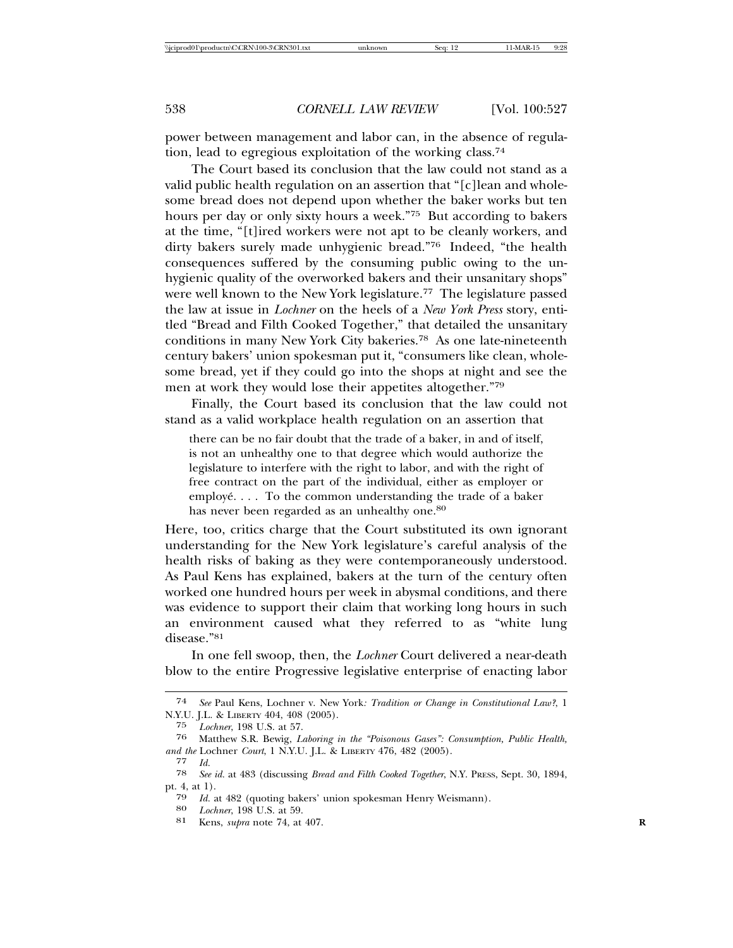power between management and labor can, in the absence of regulation, lead to egregious exploitation of the working class.74

The Court based its conclusion that the law could not stand as a valid public health regulation on an assertion that "[c]lean and wholesome bread does not depend upon whether the baker works but ten hours per day or only sixty hours a week."75 But according to bakers at the time, "[t]ired workers were not apt to be cleanly workers, and dirty bakers surely made unhygienic bread."76 Indeed, "the health consequences suffered by the consuming public owing to the unhygienic quality of the overworked bakers and their unsanitary shops" were well known to the New York legislature.<sup>77</sup> The legislature passed the law at issue in *Lochner* on the heels of a *New York Press* story, entitled "Bread and Filth Cooked Together," that detailed the unsanitary conditions in many New York City bakeries.78 As one late-nineteenth century bakers' union spokesman put it, "consumers like clean, wholesome bread, yet if they could go into the shops at night and see the men at work they would lose their appetites altogether."79

Finally, the Court based its conclusion that the law could not stand as a valid workplace health regulation on an assertion that

there can be no fair doubt that the trade of a baker, in and of itself, is not an unhealthy one to that degree which would authorize the legislature to interfere with the right to labor, and with the right of free contract on the part of the individual, either as employer or employé.... To the common understanding the trade of a baker has never been regarded as an unhealthy one.<sup>80</sup>

Here, too, critics charge that the Court substituted its own ignorant understanding for the New York legislature's careful analysis of the health risks of baking as they were contemporaneously understood. As Paul Kens has explained, bakers at the turn of the century often worked one hundred hours per week in abysmal conditions, and there was evidence to support their claim that working long hours in such an environment caused what they referred to as "white lung disease."81

In one fell swoop, then, the *Lochner* Court delivered a near-death blow to the entire Progressive legislative enterprise of enacting labor

<sup>74</sup> *See* Paul Kens, Lochner v. New York*: Tradition or Change in Constitutional Law?*, 1 N.Y.U. J.L. & LIBERTY 404, 408 (2005).

<sup>75</sup> *Lochner*, 198 U.S. at 57.

<sup>76</sup> Matthew S.R. Bewig, *Laboring in the "Poisonous Gases": Consumption, Public Health, and the* Lochner *Court*, 1 N.Y.U. J.L. & LIBERTY 476, 482 (2005).

<sup>77</sup> *Id.*

<sup>78</sup> *See id.* at 483 (discussing *Bread and Filth Cooked Together*, N.Y. PRESS, Sept. 30, 1894, pt. 4, at 1).

<sup>79</sup> *Id.* at 482 (quoting bakers' union spokesman Henry Weismann). <sup>80</sup> *Lochner*, 198 U.S. at 59.

<sup>81</sup> Kens, *supra* note 74, at 407. **R**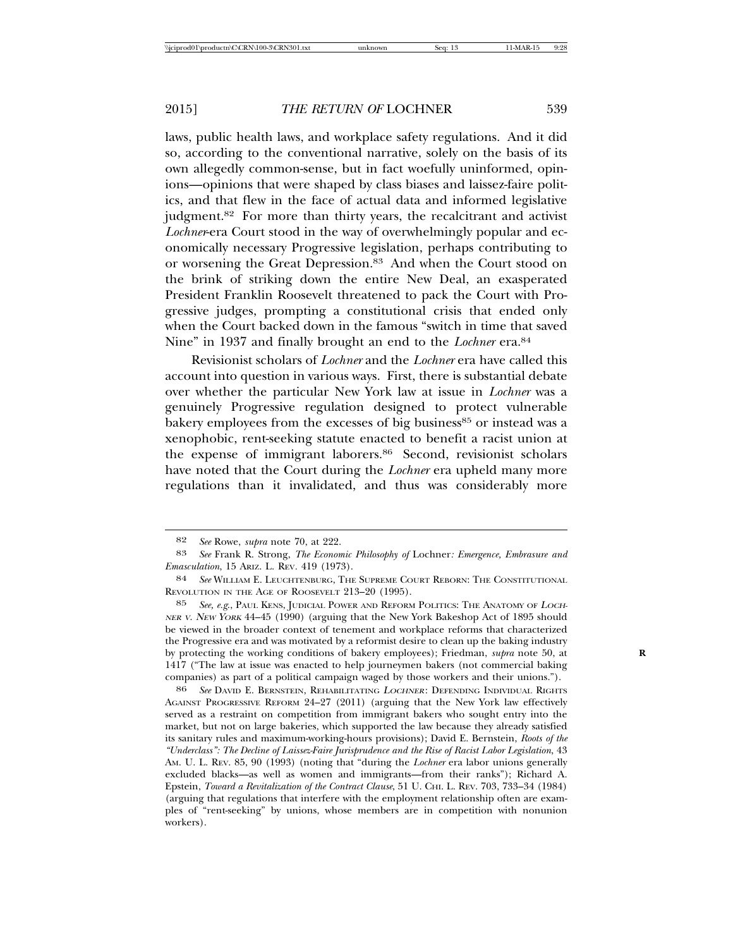laws, public health laws, and workplace safety regulations. And it did so, according to the conventional narrative, solely on the basis of its own allegedly common-sense, but in fact woefully uninformed, opinions—opinions that were shaped by class biases and laissez-faire politics, and that flew in the face of actual data and informed legislative judgment.<sup>82</sup> For more than thirty years, the recalcitrant and activist *Lochner*-era Court stood in the way of overwhelmingly popular and economically necessary Progressive legislation, perhaps contributing to or worsening the Great Depression.<sup>83</sup> And when the Court stood on the brink of striking down the entire New Deal, an exasperated President Franklin Roosevelt threatened to pack the Court with Progressive judges, prompting a constitutional crisis that ended only when the Court backed down in the famous "switch in time that saved Nine" in 1937 and finally brought an end to the *Lochner* era.84

Revisionist scholars of *Lochner* and the *Lochner* era have called this account into question in various ways. First, there is substantial debate over whether the particular New York law at issue in *Lochner* was a genuinely Progressive regulation designed to protect vulnerable bakery employees from the excesses of big business<sup>85</sup> or instead was a xenophobic, rent-seeking statute enacted to benefit a racist union at the expense of immigrant laborers.86 Second, revisionist scholars have noted that the Court during the *Lochner* era upheld many more regulations than it invalidated, and thus was considerably more

85 *See, e.g*., PAUL KENS, JUDICIAL POWER AND REFORM POLITICS: THE ANATOMY OF <sup>L</sup>OCH-NER <sup>V</sup>. NEW YORK 44–45 (1990) (arguing that the New York Bakeshop Act of 1895 should be viewed in the broader context of tenement and workplace reforms that characterized the Progressive era and was motivated by a reformist desire to clean up the baking industry by protecting the working conditions of bakery employees); Friedman, *supra* note 50, at **R** 1417 ("The law at issue was enacted to help journeymen bakers (not commercial baking companies) as part of a political campaign waged by those workers and their unions.").

86 *See* DAVID E. BERNSTEIN, REHABILITATING <sup>L</sup>OCHNER: DEFENDING INDIVIDUAL RIGHTS AGAINST PROGRESSIVE REFORM 24–27 (2011) (arguing that the New York law effectively served as a restraint on competition from immigrant bakers who sought entry into the market, but not on large bakeries, which supported the law because they already satisfied its sanitary rules and maximum-working-hours provisions); David E. Bernstein, *Roots of the "Underclass": The Decline of Laissez-Faire Jurisprudence and the Rise of Racist Labor Legislation*, 43 AM. U. L. REV. 85, 90 (1993) (noting that "during the *Lochner* era labor unions generally excluded blacks—as well as women and immigrants—from their ranks"); Richard A. Epstein, *Toward a Revitalization of the Contract Clause*, 51 U. CHI. L. REV. 703, 733–34 (1984) (arguing that regulations that interfere with the employment relationship often are examples of "rent-seeking" by unions, whose members are in competition with nonunion workers).

<sup>82</sup> *See* Rowe, *supra* note 70, at 222.

<sup>83</sup> *See* Frank R. Strong, *The Economic Philosophy of* Lochner*: Emergence, Embrasure and Emasculation*, 15 ARIZ. L. REV*.* 419 (1973).

<sup>84</sup> *See* WILLIAM E. LEUCHTENBURG, THE SUPREME COURT REBORN: THE CONSTITUTIONAL REVOLUTION IN THE AGE OF ROOSEVELT 213–20 (1995).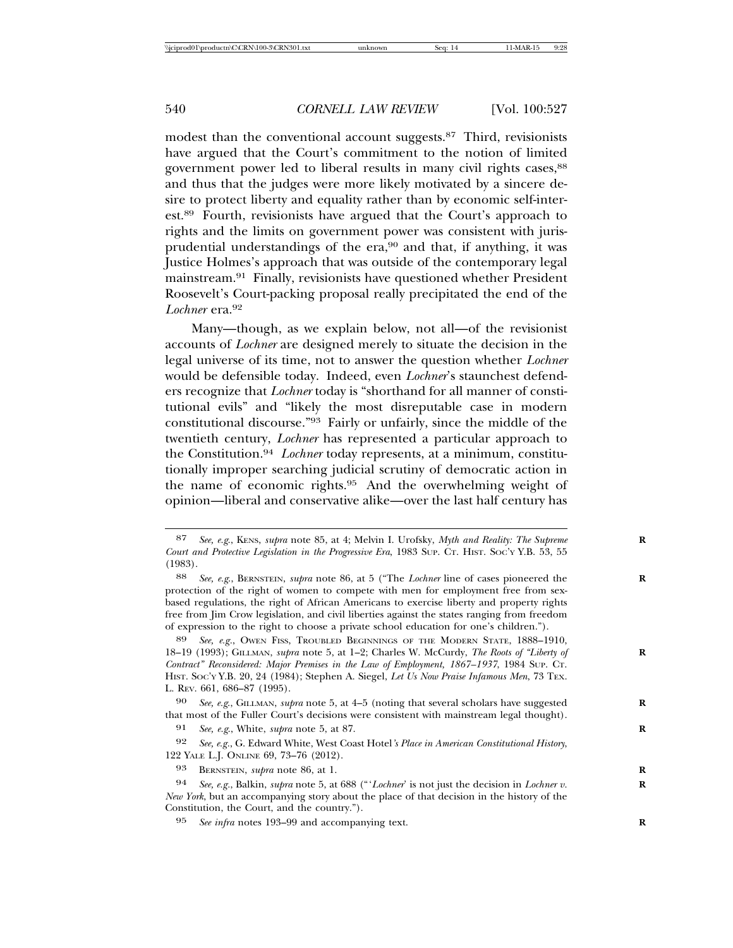modest than the conventional account suggests.<sup>87</sup> Third, revisionists have argued that the Court's commitment to the notion of limited government power led to liberal results in many civil rights cases, <sup>88</sup> and thus that the judges were more likely motivated by a sincere desire to protect liberty and equality rather than by economic self-interest.89 Fourth, revisionists have argued that the Court's approach to rights and the limits on government power was consistent with jurisprudential understandings of the era,<sup>90</sup> and that, if anything, it was Justice Holmes's approach that was outside of the contemporary legal mainstream.91 Finally, revisionists have questioned whether President Roosevelt's Court-packing proposal really precipitated the end of the *Lochner* era.92

Many—though, as we explain below, not all—of the revisionist accounts of *Lochner* are designed merely to situate the decision in the legal universe of its time, not to answer the question whether *Lochner* would be defensible today. Indeed, even *Lochner*'s staunchest defenders recognize that *Lochner* today is "shorthand for all manner of constitutional evils" and "likely the most disreputable case in modern constitutional discourse."93 Fairly or unfairly, since the middle of the twentieth century, *Lochner* has represented a particular approach to the Constitution.94 *Lochner* today represents, at a minimum, constitutionally improper searching judicial scrutiny of democratic action in the name of economic rights.95 And the overwhelming weight of opinion—liberal and conservative alike—over the last half century has

89 *See, e.g.*, OWEN FISS, TROUBLED BEGINNINGS OF THE MODERN STATE, 1888–1910, 18–19 (1993); GILLMAN, *supra* note 5, at 1–2; Charles W. McCurdy, *The Roots of "Liberty of* **R** *Contract" Reconsidered: Major Premises in the Law of Employment, 1867–1937*, 1984 SUP. CT. HIST. SOC'Y Y.B. 20, 24 (1984); Stephen A. Siegel, *Let Us Now Praise Infamous Men*, 73 TEX. L. REV. 661, 686–87 (1995).

90 *See, e.g*., GILLMAN, *supra* note 5, at 4–5 (noting that several scholars have suggested **R** that most of the Fuller Court's decisions were consistent with mainstream legal thought).

91 *See, e.g*., White, *supra* note 5, at 87. **R**

92 *See, e.g.*, G. Edward White, West Coast Hotel*'s Place in American Constitutional History*, 122 YALE L.J. ONLINE 69, 73–76 (2012).

93 BERNSTEIN, *supra* note 86, at 1. **R**

94 *See, e.g.*, Balkin, *supra* note 5, at 688 ("'*Lochner*' is not just the decision in *Lochner v.* **R** *New York*, but an accompanying story about the place of that decision in the history of the Constitution, the Court, and the country.").

95 *See infra* notes 193–99 and accompanying text. **R**

<sup>87</sup> *See, e.g*., KENS, *supra* note 85, at 4; Melvin I. Urofsky, *Myth and Reality: The Supreme* **R** *Court and Protective Legislation in the Progressive Era*, 1983 SUP. CT. HIST. SOC'Y Y.B. 53, 55 (1983).

<sup>88</sup> *See, e.g*., BERNSTEIN, *supra* note 86, at 5 ("The *Lochner* line of cases pioneered the **R** protection of the right of women to compete with men for employment free from sexbased regulations, the right of African Americans to exercise liberty and property rights free from Jim Crow legislation, and civil liberties against the states ranging from freedom of expression to the right to choose a private school education for one's children.").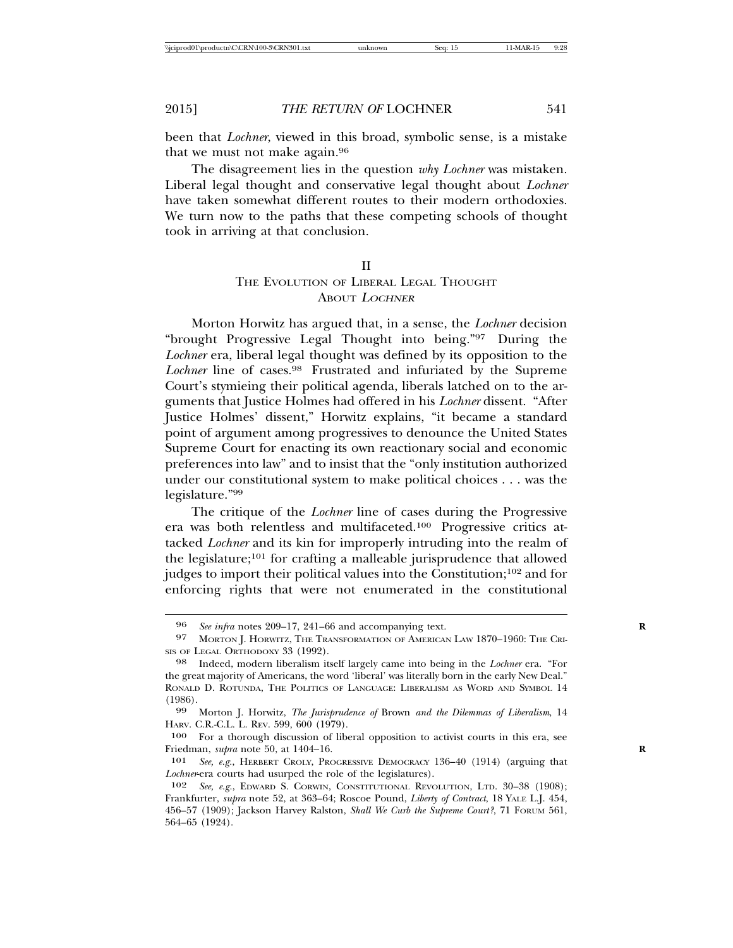been that *Lochner*, viewed in this broad, symbolic sense, is a mistake that we must not make again.96

The disagreement lies in the question *why Lochner* was mistaken. Liberal legal thought and conservative legal thought about *Lochner* have taken somewhat different routes to their modern orthodoxies. We turn now to the paths that these competing schools of thought took in arriving at that conclusion.

#### II

## THE EVOLUTION OF LIBERAL LEGAL THOUGHT ABOUT <sup>L</sup>OCHNER

Morton Horwitz has argued that, in a sense, the *Lochner* decision "brought Progressive Legal Thought into being."97 During the *Lochner* era, liberal legal thought was defined by its opposition to the *Lochner* line of cases.98 Frustrated and infuriated by the Supreme Court's stymieing their political agenda, liberals latched on to the arguments that Justice Holmes had offered in his *Lochner* dissent. "After Justice Holmes' dissent," Horwitz explains, "it became a standard point of argument among progressives to denounce the United States Supreme Court for enacting its own reactionary social and economic preferences into law" and to insist that the "only institution authorized under our constitutional system to make political choices . . . was the legislature."99

The critique of the *Lochner* line of cases during the Progressive era was both relentless and multifaceted.100 Progressive critics attacked *Lochner* and its kin for improperly intruding into the realm of the legislature;101 for crafting a malleable jurisprudence that allowed judges to import their political values into the Constitution;102 and for enforcing rights that were not enumerated in the constitutional

<sup>96</sup> *See infra* notes 209–17, 241–66 and accompanying text.<br>97 MORTON L HORWITZ, THE TRANSFORMATION OF AMERICAN

MORTON J. HORWITZ, THE TRANSFORMATION OF AMERICAN LAW 1870-1960: THE CRI-SIS OF LEGAL ORTHODOXY 33 (1992).

<sup>98</sup> Indeed, modern liberalism itself largely came into being in the *Lochner* era. "For the great majority of Americans, the word 'liberal' was literally born in the early New Deal." RONALD D. ROTUNDA, THE POLITICS OF LANGUAGE: LIBERALISM AS WORD AND SYMBOL 14 (1986).

<sup>99</sup> Morton J. Horwitz, *The Jurisprudence of* Brown *and the Dilemmas of Liberalism*, 14 HARV. C.R.-C.L. L. REV. 599, 600 (1979).

<sup>100</sup> For a thorough discussion of liberal opposition to activist courts in this era, see Friedman, *supra* note 50, at 1404–16. **R**

<sup>101</sup> *See, e.g.*, HERBERT CROLY, PROGRESSIVE DEMOCRACY 136–40 (1914) (arguing that *Lochner*-era courts had usurped the role of the legislatures).

<sup>102</sup> *See, e.g.*, EDWARD S. CORWIN, CONSTITUTIONAL REVOLUTION, LTD. 30–38 (1908); Frankfurter, *supra* note 52, at 363–64; Roscoe Pound, *Liberty of Contract*, 18 YALE L.J. 454, 456–57 (1909); Jackson Harvey Ralston, *Shall We Curb the Supreme Court?*, 71 FORUM 561, 564–65 (1924).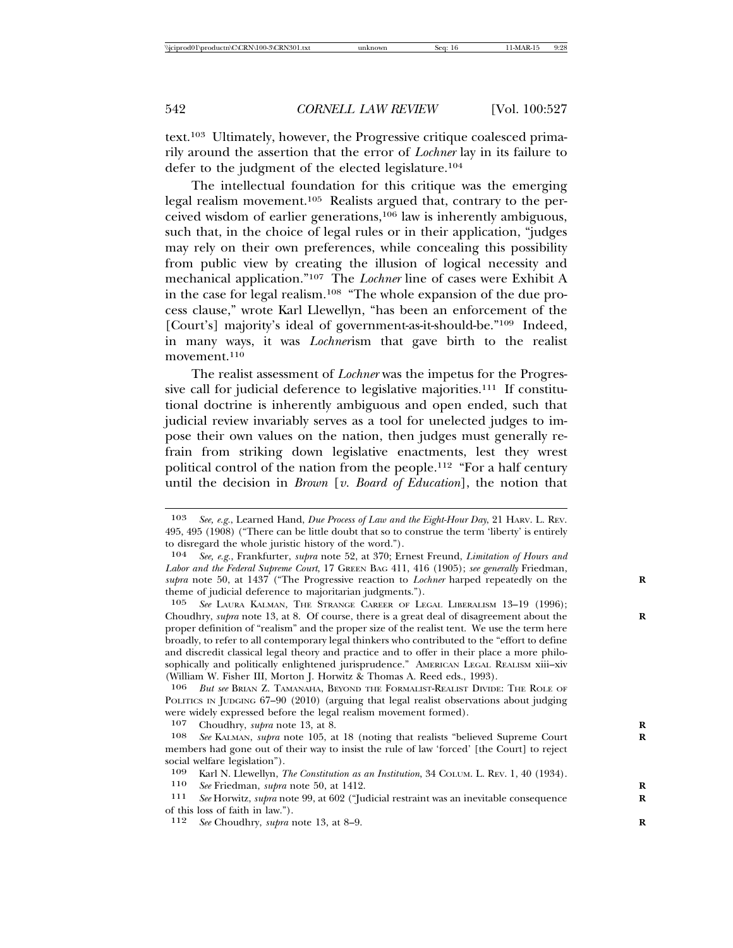text.103 Ultimately, however, the Progressive critique coalesced primarily around the assertion that the error of *Lochner* lay in its failure to defer to the judgment of the elected legislature.104

The intellectual foundation for this critique was the emerging legal realism movement.105 Realists argued that, contrary to the perceived wisdom of earlier generations,106 law is inherently ambiguous, such that, in the choice of legal rules or in their application, "judges may rely on their own preferences, while concealing this possibility from public view by creating the illusion of logical necessity and mechanical application."107 The *Lochner* line of cases were Exhibit A in the case for legal realism.108 "The whole expansion of the due process clause," wrote Karl Llewellyn, "has been an enforcement of the [Court's] majority's ideal of government-as-it-should-be."<sup>109</sup> Indeed, in many ways, it was *Lochner*ism that gave birth to the realist movement.<sup>110</sup>

The realist assessment of *Lochner* was the impetus for the Progressive call for judicial deference to legislative majorities.111 If constitutional doctrine is inherently ambiguous and open ended, such that judicial review invariably serves as a tool for unelected judges to impose their own values on the nation, then judges must generally refrain from striking down legislative enactments, lest they wrest political control of the nation from the people.<sup>112</sup> "For a half century until the decision in *Brown* [*v. Board of Education*], the notion that

<sup>103</sup> *See, e.g.*, Learned Hand, *Due Process of Law and the Eight-Hour Day*, 21 HARV. L. REV. 495, 495 (1908) ("There can be little doubt that so to construe the term 'liberty' is entirely to disregard the whole juristic history of the word.").

<sup>104</sup> *See, e.g.*, Frankfurter, *supra* note 52, at 370; Ernest Freund, *Limitation of Hours and Labor and the Federal Supreme Court*, 17 GREEN BAG 411, 416 (1905); *see generally* Friedman, *supra* note 50, at 1437 ("The Progressive reaction to *Lochner* harped repeatedly on the **R** theme of judicial deference to majoritarian judgments.").

<sup>105</sup> *See* LAURA KALMAN, THE STRANGE CAREER OF LEGAL LIBERALISM 13–19 (1996); Choudhry, *supra* note 13, at 8. Of course, there is a great deal of disagreement about the **R** proper definition of "realism" and the proper size of the realist tent. We use the term here broadly, to refer to all contemporary legal thinkers who contributed to the "effort to define and discredit classical legal theory and practice and to offer in their place a more philosophically and politically enlightened jurisprudence." AMERICAN LEGAL REALISM xiii-xiv (William W. Fisher III, Morton J. Horwitz & Thomas A. Reed eds., 1993).<br> $\frac{106}{106}$  But see BRIAN Z. TAMANAHA, BEVOND THE FORMALIST-REALIST DIVIDE

<sup>106</sup> *But see* BRIAN Z. TAMANAHA, BEYOND THE FORMALIST-REALIST DIVIDE: THE ROLE OF POLITICS IN JUDGING 67–90 (2010) (arguing that legal realist observations about judging were widely expressed before the legal realism movement formed).

<sup>107</sup> Choudhry, *supra* note 13, at 8.<br>108 See KALMAN, *subra* note 105, at

See KALMAN, *supra* note 105, at 18 (noting that realists "believed Supreme Court members had gone out of their way to insist the rule of law 'forced' [the Court] to reject social welfare legislation").

<sup>109</sup> Karl N. Llewellyn, *The Constitution as an Institution*, 34 COLUM. L. REV. 1, 40 (1934).

<sup>110</sup> *See* Friedman, *supra* note 50, at 1412. **R**

See Horwitz, *supra* note 99, at 602 ("Judicial restraint was an inevitable consequence of this loss of faith in law.").

<sup>112</sup> *See* Choudhry, *supra* note 13, at 8–9. **R**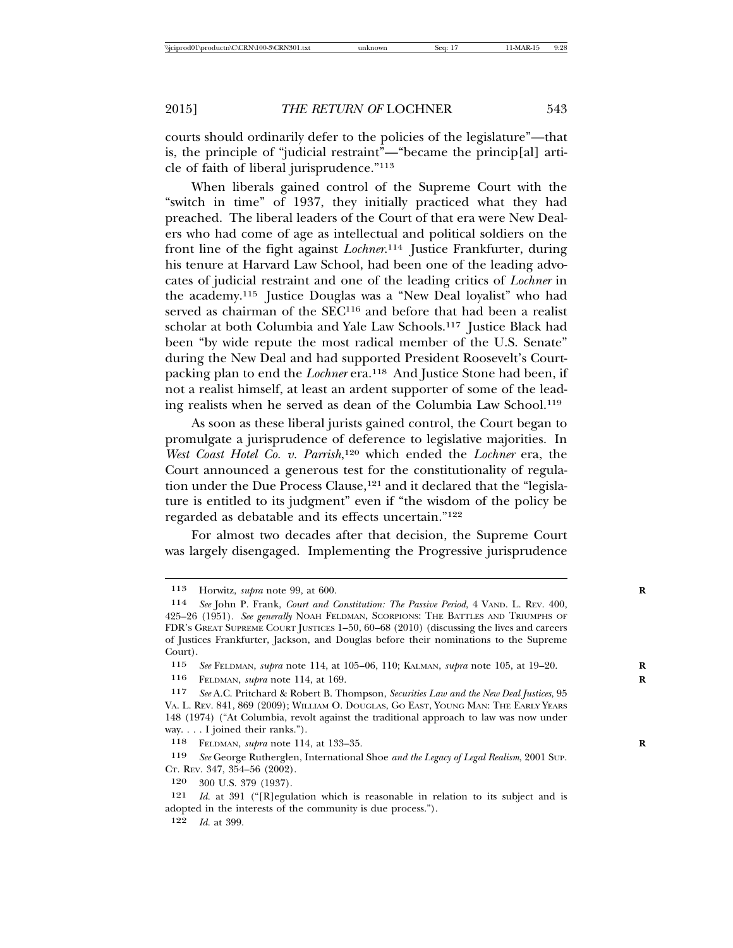courts should ordinarily defer to the policies of the legislature"—that is, the principle of "judicial restraint"—"became the princip[al] article of faith of liberal jurisprudence."113

When liberals gained control of the Supreme Court with the "switch in time" of 1937, they initially practiced what they had preached. The liberal leaders of the Court of that era were New Dealers who had come of age as intellectual and political soldiers on the front line of the fight against *Lochner*. 114 Justice Frankfurter, during his tenure at Harvard Law School, had been one of the leading advocates of judicial restraint and one of the leading critics of *Lochner* in the academy.115 Justice Douglas was a "New Deal loyalist" who had served as chairman of the SEC<sup>116</sup> and before that had been a realist scholar at both Columbia and Yale Law Schools.<sup>117</sup> Justice Black had been "by wide repute the most radical member of the U.S. Senate" during the New Deal and had supported President Roosevelt's Courtpacking plan to end the *Lochner* era.<sup>118</sup> And Justice Stone had been, if not a realist himself, at least an ardent supporter of some of the leading realists when he served as dean of the Columbia Law School.119

As soon as these liberal jurists gained control, the Court began to promulgate a jurisprudence of deference to legislative majorities. In *West Coast Hotel Co. v. Parrish*, 120 which ended the *Lochner* era, the Court announced a generous test for the constitutionality of regulation under the Due Process Clause,  $121$  and it declared that the "legislature is entitled to its judgment" even if "the wisdom of the policy be regarded as debatable and its effects uncertain."122

For almost two decades after that decision, the Supreme Court was largely disengaged. Implementing the Progressive jurisprudence

116 FELDMAN, *supra* note 114, at 169. **R**

<sup>113</sup> Horwitz, *supra* note 99, at 600. **R**

<sup>114</sup> *See* John P. Frank, *Court and Constitution: The Passive Period*, 4 VAND. L. REV. 400, 425–26 (1951). *See generally* NOAH FELDMAN, SCORPIONS: THE BATTLES AND TRIUMPHS OF FDR'S GREAT SUPREME COURT JUSTICES 1–50, 60–68 (2010) (discussing the lives and careers of Justices Frankfurter, Jackson, and Douglas before their nominations to the Supreme Court).

<sup>115</sup> *See* FELDMAN, *supra* note 114, at 105–06, 110; KALMAN, *supra* note 105, at 19–20. **R**

<sup>117</sup> *See* A.C. Pritchard & Robert B. Thompson, *Securities Law and the New Deal Justices*, 95 VA. L. REV. 841, 869 (2009); WILLIAM O. DOUGLAS, GO EAST, YOUNG MAN: THE EARLY YEARS 148 (1974) ("At Columbia, revolt against the traditional approach to law was now under way. . . . I joined their ranks.").

<sup>118</sup> FELDMAN, *supra* note 114, at 133–35. **R**

<sup>119</sup> *See* George Rutherglen, International Shoe *and the Legacy of Legal Realism*, 2001 SUP. CT. REV. 347, 354–56 (2002).

<sup>120</sup> 300 U.S. 379 (1937).

<sup>121</sup> *Id.* at 391 ("[R]egulation which is reasonable in relation to its subject and is adopted in the interests of the community is due process.").

<sup>122</sup> *Id.* at 399.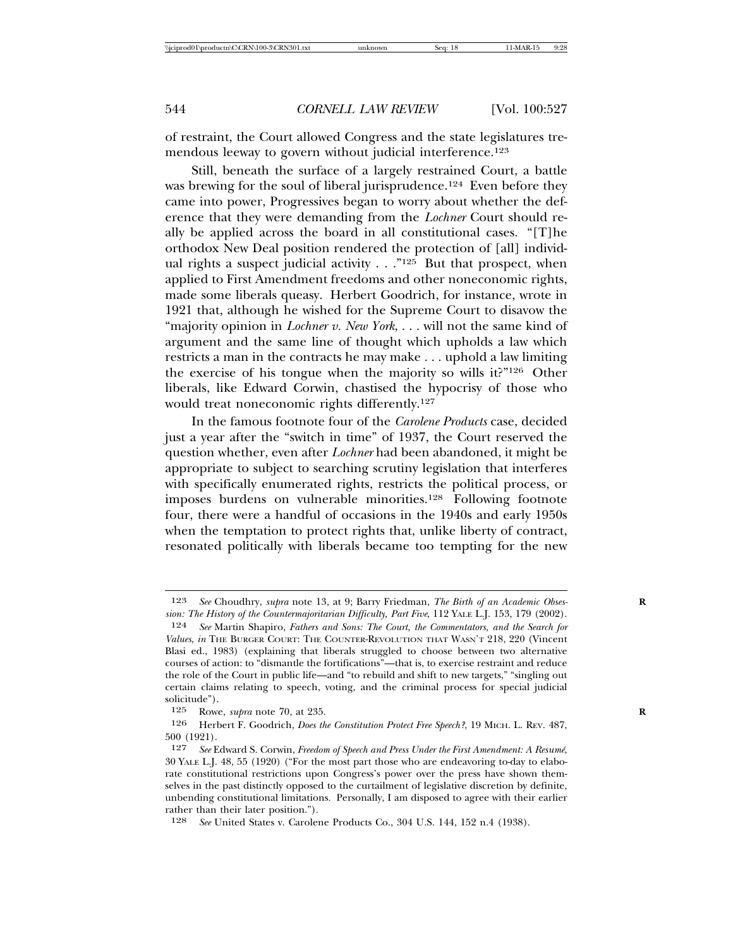of restraint, the Court allowed Congress and the state legislatures tremendous leeway to govern without judicial interference.<sup>123</sup>

Still, beneath the surface of a largely restrained Court, a battle was brewing for the soul of liberal jurisprudence.<sup>124</sup> Even before they came into power, Progressives began to worry about whether the deference that they were demanding from the *Lochner* Court should really be applied across the board in all constitutional cases. "[T]he orthodox New Deal position rendered the protection of [all] individual rights a suspect judicial activity  $\ldots$ ."<sup>125</sup> But that prospect, when applied to First Amendment freedoms and other noneconomic rights, made some liberals queasy. Herbert Goodrich, for instance, wrote in 1921 that, although he wished for the Supreme Court to disavow the "majority opinion in *Lochner v. New York*, . . . will not the same kind of argument and the same line of thought which upholds a law which restricts a man in the contracts he may make . . . uphold a law limiting the exercise of his tongue when the majority so wills it?"126 Other liberals, like Edward Corwin, chastised the hypocrisy of those who would treat noneconomic rights differently.127

In the famous footnote four of the *Carolene Products* case, decided just a year after the "switch in time" of 1937, the Court reserved the question whether, even after *Lochner* had been abandoned, it might be appropriate to subject to searching scrutiny legislation that interferes with specifically enumerated rights, restricts the political process, or imposes burdens on vulnerable minorities.128 Following footnote four, there were a handful of occasions in the 1940s and early 1950s when the temptation to protect rights that, unlike liberty of contract, resonated politically with liberals became too tempting for the new

128 *See* United States v. Carolene Products Co., 304 U.S. 144, 152 n.4 (1938).

<sup>123</sup> *See* Choudhry, *supra* note 13, at 9; Barry Friedman, *The Birth of an Academic Obses-* **R** *sion: The History of the Countermajoritarian Difficulty, Part Five*, 112 YALE L.J. 153, 179 (2002).

<sup>124</sup> *See* Martin Shapiro, *Fathers and Sons: The Court, the Commentators, and the Search for Values*, *in* THE BURGER COURT: THE COUNTER-REVOLUTION THAT WASN'T 218, 220 (Vincent Blasi ed., 1983) (explaining that liberals struggled to choose between two alternative courses of action: to "dismantle the fortifications"—that is, to exercise restraint and reduce the role of the Court in public life—and "to rebuild and shift to new targets," "singling out certain claims relating to speech, voting, and the criminal process for special judicial solicitude").

<sup>125</sup> Rowe, *supra* note 70, at 235.<br>126 Herbert F. Goodrich *Does th* 

<sup>126</sup> Herbert F. Goodrich, *Does the Constitution Protect Free Speech?*, 19 MICH. L. REV. 487, 500 (1921).

<sup>127</sup> *See* Edward S. Corwin, *Freedom of Speech and Press Under the First Amendment: A Resume´*, 30 YALE L.J. 48, 55 (1920) ("For the most part those who are endeavoring to-day to elaborate constitutional restrictions upon Congress's power over the press have shown themselves in the past distinctly opposed to the curtailment of legislative discretion by definite, unbending constitutional limitations. Personally, I am disposed to agree with their earlier rather than their later position.").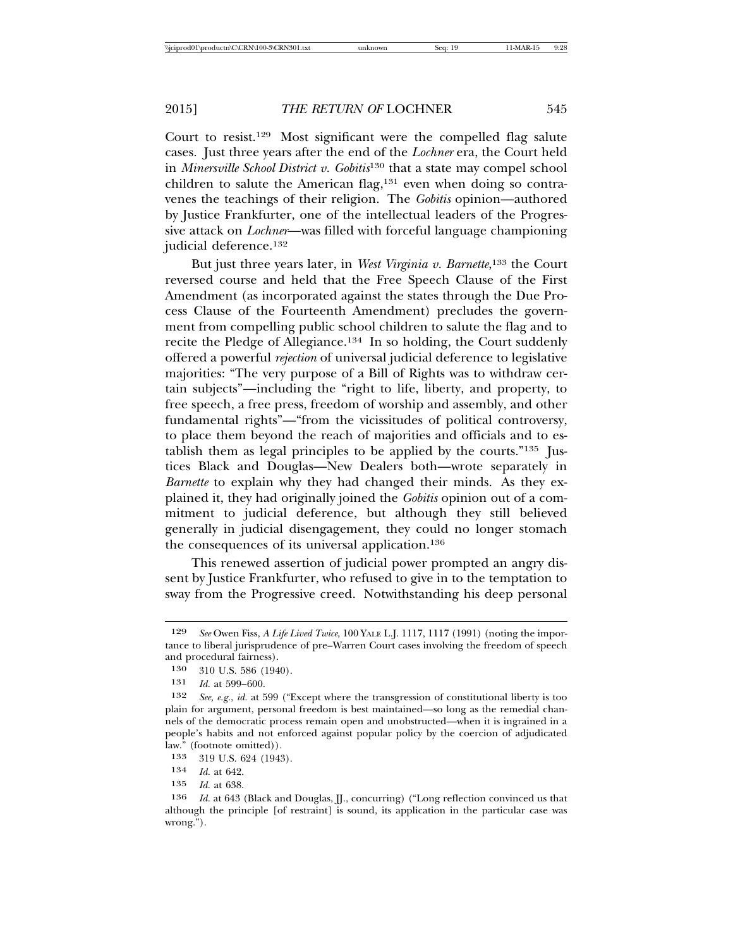Court to resist.129 Most significant were the compelled flag salute cases. Just three years after the end of the *Lochner* era, the Court held in *Minersville School District v. Gobitis*130 that a state may compel school children to salute the American flag,<sup>131</sup> even when doing so contravenes the teachings of their religion. The *Gobitis* opinion—authored by Justice Frankfurter, one of the intellectual leaders of the Progressive attack on *Lochner*—was filled with forceful language championing judicial deference.132

But just three years later, in *West Virginia v. Barnette*, 133 the Court reversed course and held that the Free Speech Clause of the First Amendment (as incorporated against the states through the Due Process Clause of the Fourteenth Amendment) precludes the government from compelling public school children to salute the flag and to recite the Pledge of Allegiance.134 In so holding, the Court suddenly offered a powerful *rejection* of universal judicial deference to legislative majorities: "The very purpose of a Bill of Rights was to withdraw certain subjects"—including the "right to life, liberty, and property, to free speech, a free press, freedom of worship and assembly, and other fundamental rights"—"from the vicissitudes of political controversy, to place them beyond the reach of majorities and officials and to establish them as legal principles to be applied by the courts."135 Justices Black and Douglas—New Dealers both—wrote separately in *Barnette* to explain why they had changed their minds. As they explained it, they had originally joined the *Gobitis* opinion out of a commitment to judicial deference, but although they still believed generally in judicial disengagement, they could no longer stomach the consequences of its universal application.136

This renewed assertion of judicial power prompted an angry dissent by Justice Frankfurter, who refused to give in to the temptation to sway from the Progressive creed. Notwithstanding his deep personal

<sup>129</sup> *See* Owen Fiss, *A Life Lived Twice*, 100 YALE L.J. 1117, 1117 (1991) (noting the importance to liberal jurisprudence of pre–Warren Court cases involving the freedom of speech and procedural fairness).

<sup>130</sup> 310 U.S. 586 (1940).

<sup>131</sup> *Id.* at 599–600.

<sup>132</sup> *See, e.g.*, *id.* at 599 ("Except where the transgression of constitutional liberty is too plain for argument, personal freedom is best maintained—so long as the remedial channels of the democratic process remain open and unobstructed—when it is ingrained in a people's habits and not enforced against popular policy by the coercion of adjudicated law." (footnote omitted)).

<sup>133</sup> 319 U.S. 624 (1943).

<sup>134</sup> *Id.* at 642.

<sup>135</sup> *Id.* at 638.

<sup>136</sup> *Id.* at 643 (Black and Douglas, J., concurring) ("Long reflection convinced us that although the principle [of restraint] is sound, its application in the particular case was wrong.").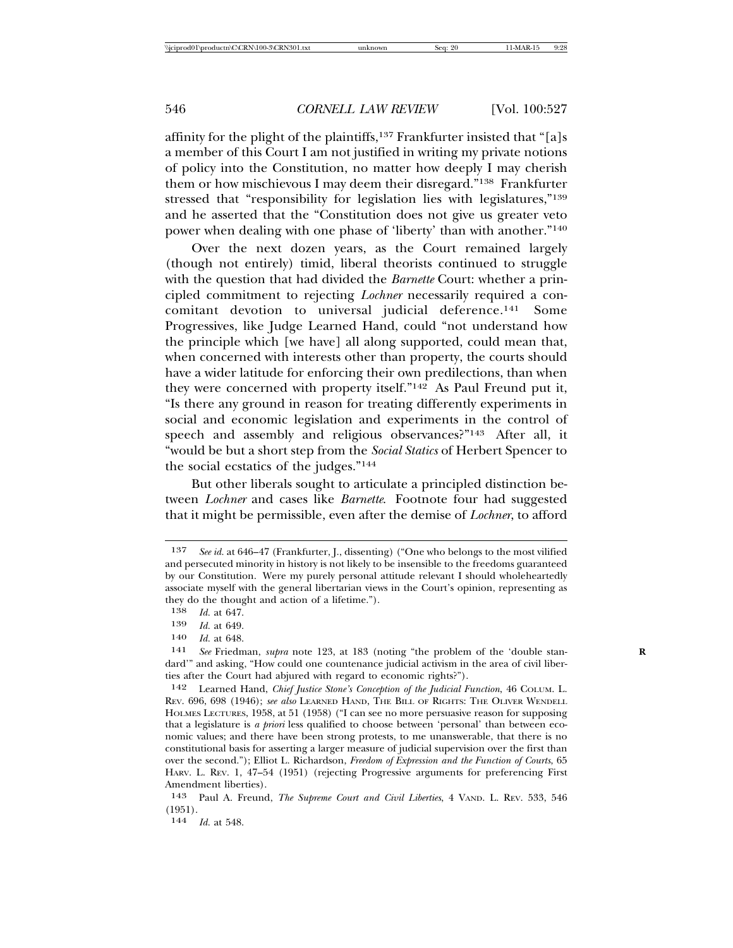affinity for the plight of the plaintiffs,  $137$  Frankfurter insisted that "[a]s a member of this Court I am not justified in writing my private notions of policy into the Constitution, no matter how deeply I may cherish them or how mischievous I may deem their disregard."138 Frankfurter stressed that "responsibility for legislation lies with legislatures,"<sup>139</sup> and he asserted that the "Constitution does not give us greater veto power when dealing with one phase of 'liberty' than with another."140

Over the next dozen years, as the Court remained largely (though not entirely) timid, liberal theorists continued to struggle with the question that had divided the *Barnette* Court: whether a principled commitment to rejecting *Lochner* necessarily required a concomitant devotion to universal judicial deference.141 Some Progressives, like Judge Learned Hand, could "not understand how the principle which [we have] all along supported, could mean that, when concerned with interests other than property, the courts should have a wider latitude for enforcing their own predilections, than when they were concerned with property itself."142 As Paul Freund put it, "Is there any ground in reason for treating differently experiments in social and economic legislation and experiments in the control of speech and assembly and religious observances?"143 After all, it "would be but a short step from the *Social Statics* of Herbert Spencer to the social ecstatics of the judges."144

But other liberals sought to articulate a principled distinction between *Lochner* and cases like *Barnette*. Footnote four had suggested that it might be permissible, even after the demise of *Lochner*, to afford

140 *Id.* at 648.

<sup>137</sup> *See id.* at 646–47 (Frankfurter, J., dissenting) ("One who belongs to the most vilified and persecuted minority in history is not likely to be insensible to the freedoms guaranteed by our Constitution. Were my purely personal attitude relevant I should wholeheartedly associate myself with the general libertarian views in the Court's opinion, representing as they do the thought and action of a lifetime.").

<sup>138</sup> *Id.* at 647.<br>139 *Id.* at 649.

<sup>139</sup> *Id.* at 649.

<sup>141</sup> *See* Friedman, *supra* note 123, at 183 (noting "the problem of the 'double stan- **R** dard'" and asking, "How could one countenance judicial activism in the area of civil liberties after the Court had abjured with regard to economic rights?").

<sup>142</sup> Learned Hand, *Chief Justice Stone's Conception of the Judicial Function*, 46 COLUM. L. REV. 696, 698 (1946); *see also* LEARNED HAND, THE BILL OF RIGHTS: THE OLIVER WENDELL HOLMES LECTURES, 1958, at 51 (1958) ("I can see no more persuasive reason for supposing that a legislature is *a priori* less qualified to choose between 'personal' than between economic values; and there have been strong protests, to me unanswerable, that there is no constitutional basis for asserting a larger measure of judicial supervision over the first than over the second."); Elliot L. Richardson, *Freedom of Expression and the Function of Courts*, 65 HARV. L. REV. 1, 47–54 (1951) (rejecting Progressive arguments for preferencing First Amendment liberties).

<sup>143</sup> Paul A. Freund, *The Supreme Court and Civil Liberties*, 4 VAND. L. REV. 533, 546 (1951).

<sup>144</sup> *Id.* at 548.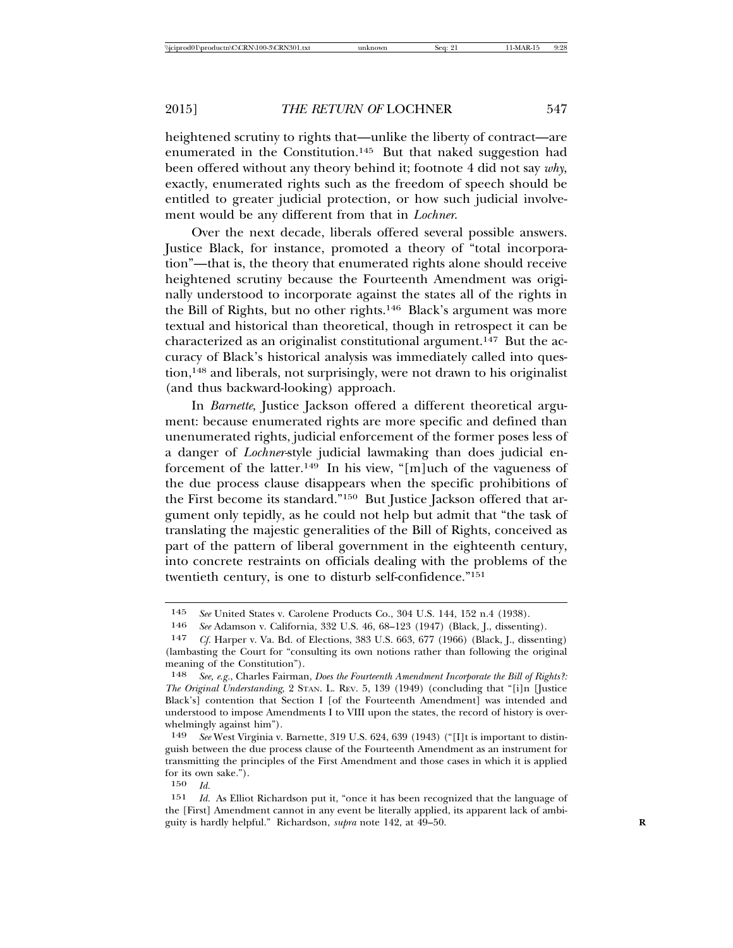heightened scrutiny to rights that—unlike the liberty of contract—are enumerated in the Constitution.145 But that naked suggestion had been offered without any theory behind it; footnote 4 did not say *why*, exactly, enumerated rights such as the freedom of speech should be entitled to greater judicial protection, or how such judicial involvement would be any different from that in *Lochner*.

Over the next decade, liberals offered several possible answers. Justice Black, for instance, promoted a theory of "total incorporation"—that is, the theory that enumerated rights alone should receive heightened scrutiny because the Fourteenth Amendment was originally understood to incorporate against the states all of the rights in the Bill of Rights, but no other rights.146 Black's argument was more textual and historical than theoretical, though in retrospect it can be characterized as an originalist constitutional argument.147 But the accuracy of Black's historical analysis was immediately called into question,148 and liberals, not surprisingly, were not drawn to his originalist (and thus backward-looking) approach.

In *Barnette*, Justice Jackson offered a different theoretical argument: because enumerated rights are more specific and defined than unenumerated rights, judicial enforcement of the former poses less of a danger of *Lochner-*style judicial lawmaking than does judicial enforcement of the latter.149 In his view, "[m]uch of the vagueness of the due process clause disappears when the specific prohibitions of the First become its standard."150 But Justice Jackson offered that argument only tepidly, as he could not help but admit that "the task of translating the majestic generalities of the Bill of Rights, conceived as part of the pattern of liberal government in the eighteenth century, into concrete restraints on officials dealing with the problems of the twentieth century, is one to disturb self-confidence."151

150 *Id.*

<sup>145</sup> *See* United States v. Carolene Products Co., 304 U.S. 144, 152 n.4 (1938).

<sup>146</sup> *See* Adamson v. California, 332 U.S. 46, 68–123 (1947) (Black, J., dissenting).

<sup>147</sup> *Cf.* Harper v. Va. Bd. of Elections, 383 U.S. 663, 677 (1966) (Black, J., dissenting) (lambasting the Court for "consulting its own notions rather than following the original meaning of the Constitution").<br>148 See e.g. Charles Fairman

<sup>148</sup> *See, e.g.*, Charles Fairman, *Does the Fourteenth Amendment Incorporate the Bill of Rights?: The Original Understanding*, 2 STAN. L. REV. 5, 139 (1949) (concluding that "[i]n [Justice Black's] contention that Section I [of the Fourteenth Amendment] was intended and understood to impose Amendments I to VIII upon the states, the record of history is overwhelmingly against him").

<sup>149</sup> *See* West Virginia v. Barnette, 319 U.S. 624, 639 (1943) ("[I]t is important to distinguish between the due process clause of the Fourteenth Amendment as an instrument for transmitting the principles of the First Amendment and those cases in which it is applied for its own sake.").

<sup>151</sup> *Id.* As Elliot Richardson put it, "once it has been recognized that the language of the [First] Amendment cannot in any event be literally applied, its apparent lack of ambiguity is hardly helpful." Richardson, *supra* note 142, at 49–50. **R**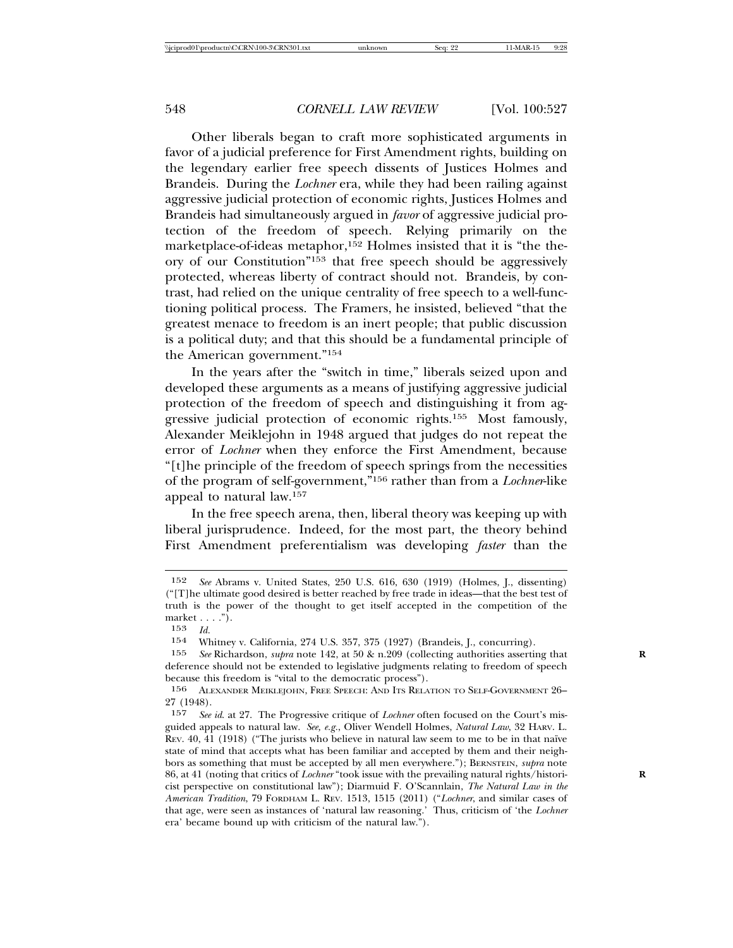Other liberals began to craft more sophisticated arguments in favor of a judicial preference for First Amendment rights, building on the legendary earlier free speech dissents of Justices Holmes and Brandeis. During the *Lochner* era, while they had been railing against aggressive judicial protection of economic rights, Justices Holmes and Brandeis had simultaneously argued in *favor* of aggressive judicial protection of the freedom of speech. Relying primarily on the marketplace-of-ideas metaphor,152 Holmes insisted that it is "the theory of our Constitution"153 that free speech should be aggressively protected, whereas liberty of contract should not. Brandeis, by contrast, had relied on the unique centrality of free speech to a well-functioning political process. The Framers, he insisted, believed "that the greatest menace to freedom is an inert people; that public discussion is a political duty; and that this should be a fundamental principle of the American government."154

In the years after the "switch in time," liberals seized upon and developed these arguments as a means of justifying aggressive judicial protection of the freedom of speech and distinguishing it from aggressive judicial protection of economic rights.155 Most famously, Alexander Meiklejohn in 1948 argued that judges do not repeat the error of *Lochner* when they enforce the First Amendment, because "[t]he principle of the freedom of speech springs from the necessities of the program of self-government,"156 rather than from a *Lochner*-like appeal to natural law.157

In the free speech arena, then, liberal theory was keeping up with liberal jurisprudence. Indeed, for the most part, the theory behind First Amendment preferentialism was developing *faster* than the

<sup>152</sup> *See* Abrams v. United States, 250 U.S. 616, 630 (1919) (Holmes, J., dissenting) ("[T]he ultimate good desired is better reached by free trade in ideas—that the best test of truth is the power of the thought to get itself accepted in the competition of the market . . . .").

<sup>153</sup> *Id.*

<sup>154</sup> Whitney v. California, 274 U.S. 357, 375 (1927) (Brandeis, J., concurring).<br>155 See Richardson, *subra* note 142, at 50 & n.209 (collecting authorities asserti

<sup>155</sup> *See* Richardson, *supra* note 142, at 50 & n.209 (collecting authorities asserting that **R** deference should not be extended to legislative judgments relating to freedom of speech because this freedom is "vital to the democratic process").

<sup>156</sup> ALEXANDER MEIKLEJOHN, FREE SPEECH: AND ITS RELATION TO SELF-GOVERNMENT 26–  $27(1948).$ <br> $157$  See

<sup>157</sup> *See id*. at 27. The Progressive critique of *Lochner* often focused on the Court's misguided appeals to natural law. *See, e.g.*, Oliver Wendell Holmes, *Natural Law*, 32 HARV. L. REV. 40, 41 (1918) ("The jurists who believe in natural law seem to me to be in that naïve state of mind that accepts what has been familiar and accepted by them and their neighbors as something that must be accepted by all men everywhere."); BERNSTEIN, *supra* note 86, at 41 (noting that critics of *Lochner* "took issue with the prevailing natural rights/histori- **R** cist perspective on constitutional law"); Diarmuid F. O'Scannlain, *The Natural Law in the American Tradition*, 79 FORDHAM L. REV. 1513, 1515 (2011) ("*Lochner*, and similar cases of that age, were seen as instances of 'natural law reasoning.' Thus, criticism of 'the *Lochner* era' became bound up with criticism of the natural law.").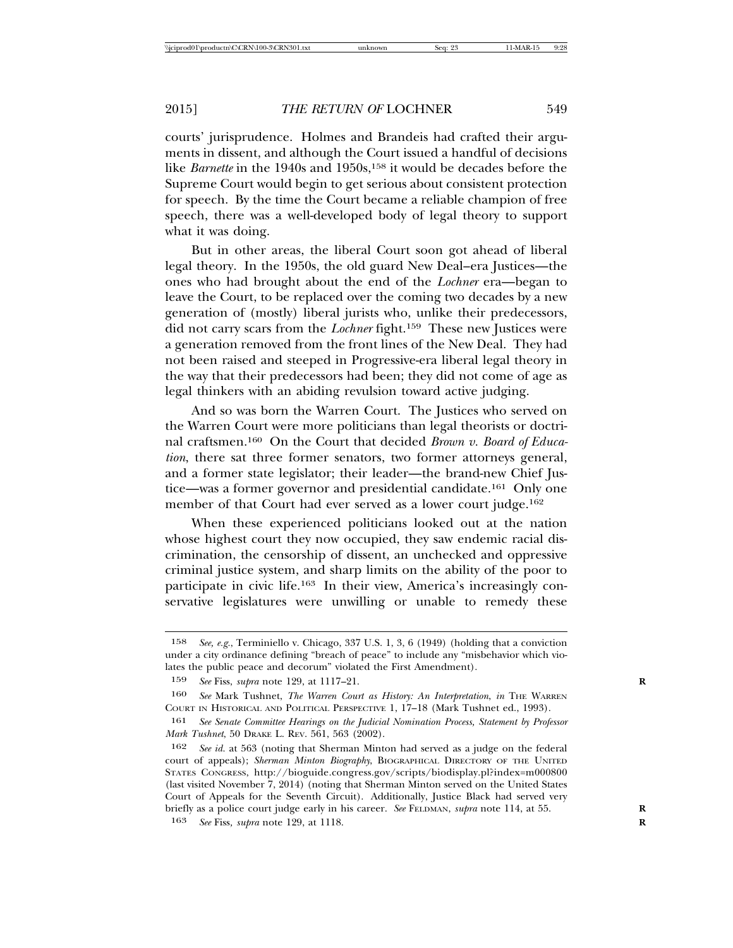courts' jurisprudence. Holmes and Brandeis had crafted their arguments in dissent, and although the Court issued a handful of decisions like *Barnette* in the 1940s and 1950s,<sup>158</sup> it would be decades before the Supreme Court would begin to get serious about consistent protection for speech. By the time the Court became a reliable champion of free speech, there was a well-developed body of legal theory to support what it was doing.

But in other areas, the liberal Court soon got ahead of liberal legal theory. In the 1950s, the old guard New Deal–era Justices—the ones who had brought about the end of the *Lochner* era—began to leave the Court, to be replaced over the coming two decades by a new generation of (mostly) liberal jurists who, unlike their predecessors, did not carry scars from the *Lochner* fight.159 These new Justices were a generation removed from the front lines of the New Deal. They had not been raised and steeped in Progressive-era liberal legal theory in the way that their predecessors had been; they did not come of age as legal thinkers with an abiding revulsion toward active judging.

And so was born the Warren Court. The Justices who served on the Warren Court were more politicians than legal theorists or doctrinal craftsmen.160 On the Court that decided *Brown v. Board of Education*, there sat three former senators, two former attorneys general, and a former state legislator; their leader—the brand-new Chief Justice—was a former governor and presidential candidate.161 Only one member of that Court had ever served as a lower court judge.<sup>162</sup>

When these experienced politicians looked out at the nation whose highest court they now occupied, they saw endemic racial discrimination, the censorship of dissent, an unchecked and oppressive criminal justice system, and sharp limits on the ability of the poor to participate in civic life.163 In their view, America's increasingly conservative legislatures were unwilling or unable to remedy these

<sup>158</sup> *See, e.g.*, Terminiello v. Chicago, 337 U.S. 1, 3, 6 (1949) (holding that a conviction under a city ordinance defining "breach of peace" to include any "misbehavior which violates the public peace and decorum" violated the First Amendment).

<sup>159</sup> *See* Fiss, *supra* note 129, at 1117–21. **R**

<sup>160</sup> *See* Mark Tushnet, *The Warren Court as History: An Interpretation*, *in* THE WARREN COURT IN HISTORICAL AND POLITICAL PERSPECTIVE 1, 17–18 (Mark Tushnet ed., 1993).

<sup>161</sup> *See Senate Committee Hearings on the Judicial Nomination Process, Statement by Professor Mark Tushnet*, 50 DRAKE L. REV. 561, 563 (2002).

<sup>162</sup> *See id.* at 563 (noting that Sherman Minton had served as a judge on the federal court of appeals); *Sherman Minton Biography*, BIOGRAPHICAL DIRECTORY OF THE UNITED STATES CONGRESS, http://bioguide.congress.gov/scripts/biodisplay.pl?index=m000800 (last visited November 7, 2014) (noting that Sherman Minton served on the United States Court of Appeals for the Seventh Circuit). Additionally, Justice Black had served very briefly as a police court judge early in his career. *See* FELDMAN, *supra* note 114, at 55. **R**

<sup>163</sup> *See* Fiss*, supra* note 129, at 1118. **R**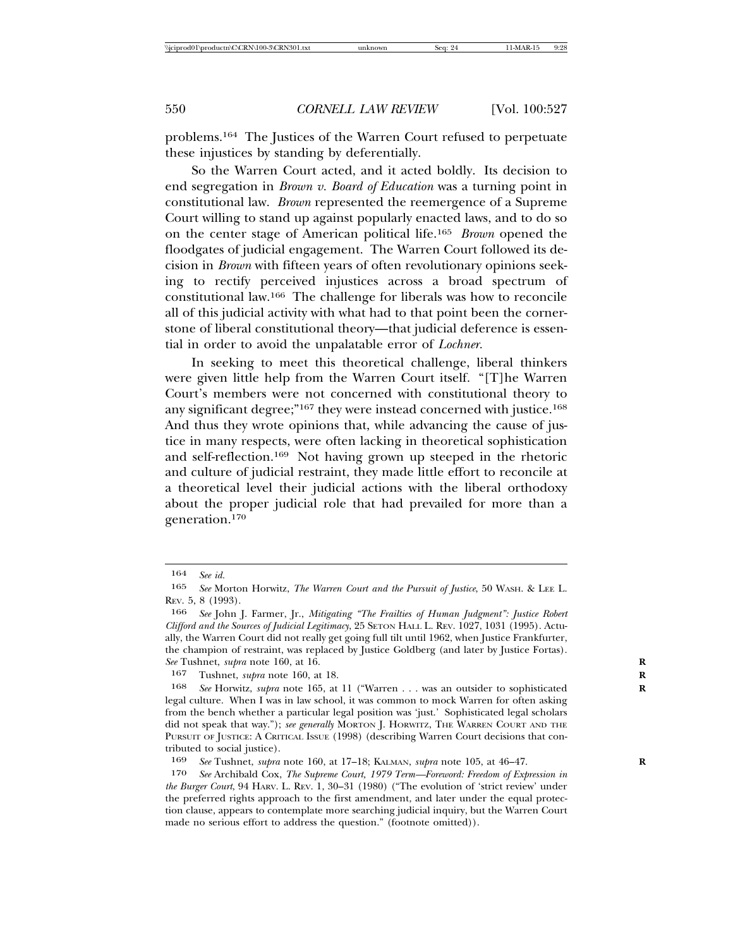problems.164 The Justices of the Warren Court refused to perpetuate these injustices by standing by deferentially.

So the Warren Court acted, and it acted boldly. Its decision to end segregation in *Brown v. Board of Education* was a turning point in constitutional law. *Brown* represented the reemergence of a Supreme Court willing to stand up against popularly enacted laws, and to do so on the center stage of American political life.165 *Brown* opened the floodgates of judicial engagement. The Warren Court followed its decision in *Brown* with fifteen years of often revolutionary opinions seeking to rectify perceived injustices across a broad spectrum of constitutional law.166 The challenge for liberals was how to reconcile all of this judicial activity with what had to that point been the cornerstone of liberal constitutional theory—that judicial deference is essential in order to avoid the unpalatable error of *Lochner.*

In seeking to meet this theoretical challenge, liberal thinkers were given little help from the Warren Court itself. "[T]he Warren Court's members were not concerned with constitutional theory to any significant degree;"<sup>167</sup> they were instead concerned with justice.<sup>168</sup> And thus they wrote opinions that, while advancing the cause of justice in many respects, were often lacking in theoretical sophistication and self-reflection.169 Not having grown up steeped in the rhetoric and culture of judicial restraint, they made little effort to reconcile at a theoretical level their judicial actions with the liberal orthodoxy about the proper judicial role that had prevailed for more than a generation.170

<sup>164</sup> *See id.*

<sup>165</sup> *See* Morton Horwitz, *The Warren Court and the Pursuit of Justice*, 50 WASH. & LEE L. REV. 5, 8 (1993).

<sup>166</sup> *See* John J. Farmer, Jr., *Mitigating "The Frailties of Human Judgment": Justice Robert Clifford and the Sources of Judicial Legitimacy*, 25 SETON HALL L. REV. 1027, 1031 (1995). Actually, the Warren Court did not really get going full tilt until 1962, when Justice Frankfurter, the champion of restraint, was replaced by Justice Goldberg (and later by Justice Fortas). *See* Tushnet, *supra* note 160, at 16. **R**

<sup>167</sup> Tushnet, *supra* note 160, at 18. **R**

<sup>168</sup> *See* Horwitz, *supra* note 165, at 11 ("Warren . . . was an outsider to sophisticated **R** legal culture. When I was in law school, it was common to mock Warren for often asking from the bench whether a particular legal position was 'just.' Sophisticated legal scholars did not speak that way."); *see generally* MORTON J. HORWITZ, THE WARREN COURT AND THE PURSUIT OF JUSTICE: A CRITICAL ISSUE (1998) (describing Warren Court decisions that contributed to social justice).

<sup>169</sup> *See* Tushnet, *supra* note 160, at 17–18; KALMAN, *supra* note 105, at 46–47. **R**

<sup>170</sup> *See* Archibald Cox, *The Supreme Court, 1979 Term—Foreword: Freedom of Expression in the Burger Court*, 94 HARV. L. REV. 1, 30–31 (1980) ("The evolution of 'strict review' under the preferred rights approach to the first amendment, and later under the equal protection clause, appears to contemplate more searching judicial inquiry, but the Warren Court made no serious effort to address the question." (footnote omitted)).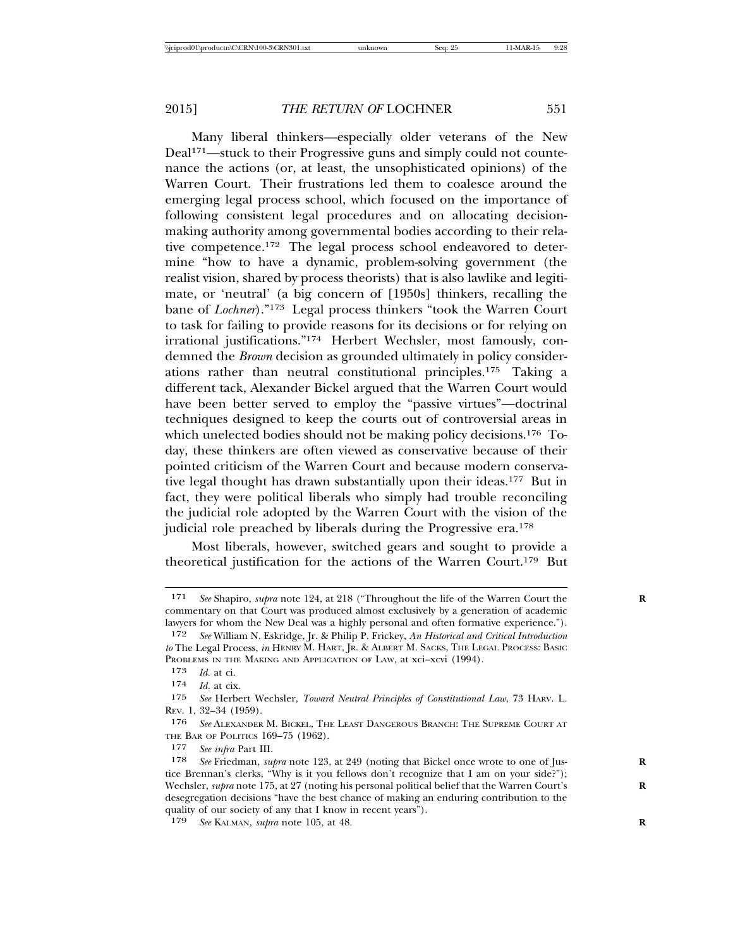Many liberal thinkers—especially older veterans of the New Deal<sup>171</sup>—stuck to their Progressive guns and simply could not countenance the actions (or, at least, the unsophisticated opinions) of the Warren Court. Their frustrations led them to coalesce around the emerging legal process school, which focused on the importance of following consistent legal procedures and on allocating decisionmaking authority among governmental bodies according to their relative competence.172 The legal process school endeavored to determine "how to have a dynamic, problem-solving government (the realist vision, shared by process theorists) that is also lawlike and legitimate, or 'neutral' (a big concern of [1950s] thinkers, recalling the bane of *Lochner*)."173 Legal process thinkers "took the Warren Court to task for failing to provide reasons for its decisions or for relying on irrational justifications."174 Herbert Wechsler, most famously, condemned the *Brown* decision as grounded ultimately in policy considerations rather than neutral constitutional principles.175 Taking a different tack, Alexander Bickel argued that the Warren Court would have been better served to employ the "passive virtues"—doctrinal techniques designed to keep the courts out of controversial areas in which unelected bodies should not be making policy decisions.<sup>176</sup> Today, these thinkers are often viewed as conservative because of their pointed criticism of the Warren Court and because modern conservative legal thought has drawn substantially upon their ideas.177 But in fact, they were political liberals who simply had trouble reconciling the judicial role adopted by the Warren Court with the vision of the judicial role preached by liberals during the Progressive era.178

Most liberals, however, switched gears and sought to provide a theoretical justification for the actions of the Warren Court.179 But

<sup>171</sup> *See* Shapiro, *supra* note 124, at 218 ("Throughout the life of the Warren Court the **R** commentary on that Court was produced almost exclusively by a generation of academic lawyers for whom the New Deal was a highly personal and often formative experience.").

<sup>172</sup> *See* William N. Eskridge, Jr. & Philip P. Frickey, *An Historical and Critical Introduction to* The Legal Process, *in* HENRY M. HART, JR. & ALBERT M. SACKS, THE LEGAL PROCESS: BASIC PROBLEMS IN THE MAKING AND APPLICATION OF LAW, at xci–xcvi (1994).<br>173 Id at ci

*Id.* at ci.

<sup>174</sup> *Id.* at cix.

<sup>175</sup> *See* Herbert Wechsler, *Toward Neutral Principles of Constitutional Law*, 73 HARV. L. REV. 1, 32–34 (1959).

<sup>176</sup> *See* ALEXANDER M. BICKEL, THE LEAST DANGEROUS BRANCH: THE SUPREME COURT AT THE BAR OF POLITICS 169–75 (1962).

<sup>177</sup> *See infra* Part III.

<sup>178</sup> *See* Friedman, *supra* note 123, at 249 (noting that Bickel once wrote to one of Jus- **R** tice Brennan's clerks, "Why is it you fellows don't recognize that I am on your side?"); Wechsler, *supra* note 175, at 27 (noting his personal political belief that the Warren Court's desegregation decisions "have the best chance of making an enduring contribution to the quality of our society of any that I know in recent years").

<sup>179</sup> *See* KALMAN, *supra* note 105, at 48. **R**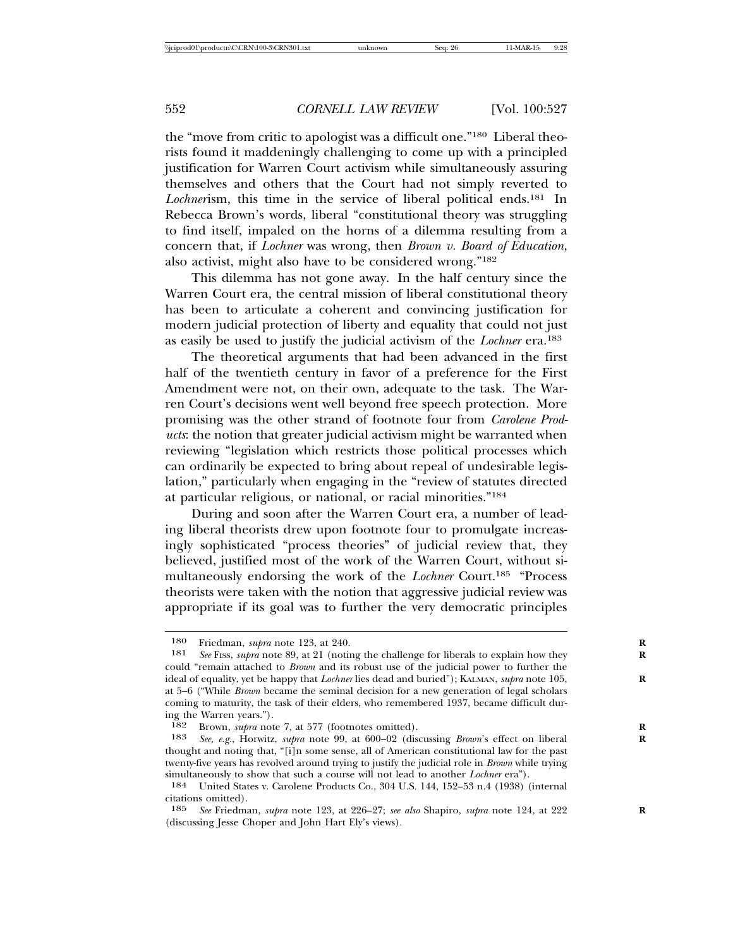the "move from critic to apologist was a difficult one."180 Liberal theorists found it maddeningly challenging to come up with a principled justification for Warren Court activism while simultaneously assuring themselves and others that the Court had not simply reverted to *Lochner*ism, this time in the service of liberal political ends.181 In Rebecca Brown's words, liberal "constitutional theory was struggling to find itself, impaled on the horns of a dilemma resulting from a concern that, if *Lochner* was wrong, then *Brown v. Board of Education*, also activist, might also have to be considered wrong."182

This dilemma has not gone away. In the half century since the Warren Court era, the central mission of liberal constitutional theory has been to articulate a coherent and convincing justification for modern judicial protection of liberty and equality that could not just as easily be used to justify the judicial activism of the *Lochner* era.183

The theoretical arguments that had been advanced in the first half of the twentieth century in favor of a preference for the First Amendment were not, on their own, adequate to the task. The Warren Court's decisions went well beyond free speech protection. More promising was the other strand of footnote four from *Carolene Products*: the notion that greater judicial activism might be warranted when reviewing "legislation which restricts those political processes which can ordinarily be expected to bring about repeal of undesirable legislation," particularly when engaging in the "review of statutes directed at particular religious, or national, or racial minorities."184

During and soon after the Warren Court era, a number of leading liberal theorists drew upon footnote four to promulgate increasingly sophisticated "process theories" of judicial review that, they believed, justified most of the work of the Warren Court, without simultaneously endorsing the work of the *Lochner* Court.185 "Process theorists were taken with the notion that aggressive judicial review was appropriate if its goal was to further the very democratic principles

<sup>180</sup> Friedman, *supra* note 123, at 240.<br>181 See Fiss, *subra* note 89, at 21 (noting

See Fiss, *supra* note 89, at 21 (noting the challenge for liberals to explain how they could "remain attached to *Brown* and its robust use of the judicial power to further the ideal of equality, yet be happy that *Lochner* lies dead and buried"); KALMAN, *supra* note 105, **R** at 5–6 ("While *Brown* became the seminal decision for a new generation of legal scholars coming to maturity, the task of their elders, who remembered 1937, became difficult during the Warren years.").

<sup>182</sup> Brown, *supra* note 7, at 577 (footnotes omitted).

<sup>183</sup> *See, e.g.*, Horwitz, *supra* note 99, at 600–02 (discussing *Brown*'s effect on liberal **R** thought and noting that, "[i]n some sense, all of American constitutional law for the past twenty-five years has revolved around trying to justify the judicial role in *Brown* while trying simultaneously to show that such a course will not lead to another *Lochner* era").

<sup>184</sup> United States v. Carolene Products Co., 304 U.S. 144, 152–53 n.4 (1938) (internal citations omitted).<br>185 See Friedma

<sup>185</sup> *See* Friedman, *supra* note 123, at 226–27; *see also* Shapiro, *supra* note 124, at 222 **R** (discussing Jesse Choper and John Hart Ely's views).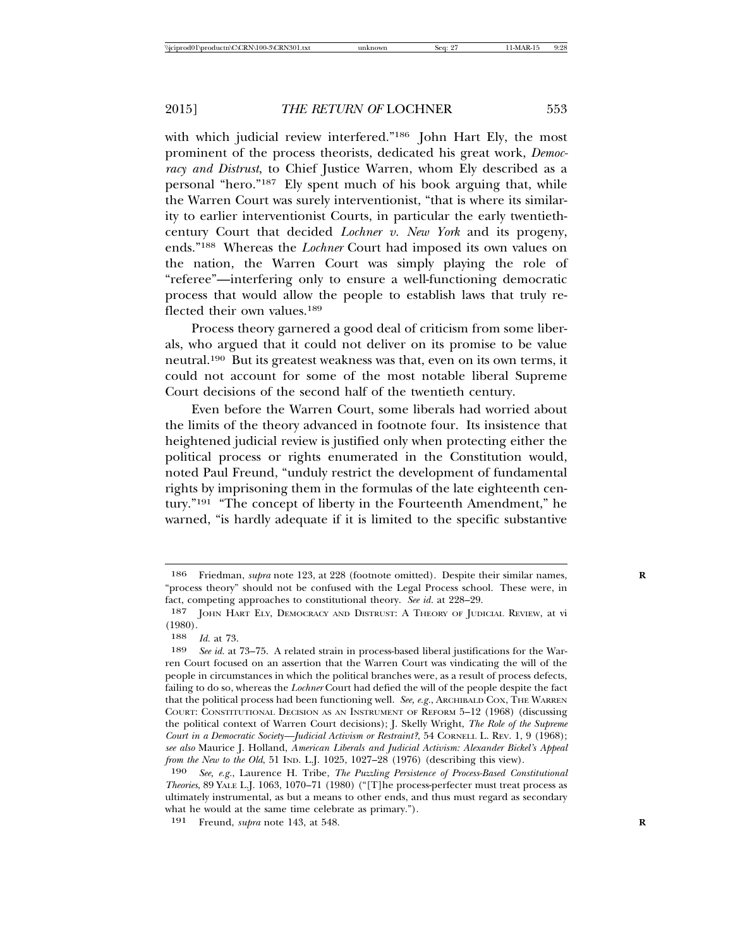with which judicial review interfered."<sup>186</sup> John Hart Ely, the most prominent of the process theorists, dedicated his great work, *Democracy and Distrust*, to Chief Justice Warren, whom Ely described as a personal "hero."187 Ely spent much of his book arguing that, while the Warren Court was surely interventionist, "that is where its similarity to earlier interventionist Courts, in particular the early twentiethcentury Court that decided *Lochner v. New York* and its progeny, ends."188 Whereas the *Lochner* Court had imposed its own values on the nation, the Warren Court was simply playing the role of "referee"—interfering only to ensure a well-functioning democratic process that would allow the people to establish laws that truly reflected their own values.<sup>189</sup>

Process theory garnered a good deal of criticism from some liberals, who argued that it could not deliver on its promise to be value neutral.190 But its greatest weakness was that, even on its own terms, it could not account for some of the most notable liberal Supreme Court decisions of the second half of the twentieth century.

Even before the Warren Court, some liberals had worried about the limits of the theory advanced in footnote four. Its insistence that heightened judicial review is justified only when protecting either the political process or rights enumerated in the Constitution would, noted Paul Freund, "unduly restrict the development of fundamental rights by imprisoning them in the formulas of the late eighteenth century."191 "The concept of liberty in the Fourteenth Amendment," he warned, "is hardly adequate if it is limited to the specific substantive

<sup>186</sup> Friedman, *supra* note 123, at 228 (footnote omitted). Despite their similar names, **R** "process theory" should not be confused with the Legal Process school. These were, in fact, competing approaches to constitutional theory. *See id.* at 228–29.

<sup>187</sup> JOHN HART ELY, DEMOCRACY AND DISTRUST: A THEORY OF JUDICIAL REVIEW, at vi  $\begin{array}{c} (1980) \\ 188 \end{array}$ 

*Id.* at 73.

<sup>189</sup> *See id.* at 73–75. A related strain in process-based liberal justifications for the Warren Court focused on an assertion that the Warren Court was vindicating the will of the people in circumstances in which the political branches were, as a result of process defects, failing to do so, whereas the *Lochner* Court had defied the will of the people despite the fact that the political process had been functioning well. *See, e.g.*, ARCHIBALD COX, THE WARREN COURT: CONSTITUTIONAL DECISION AS AN INSTRUMENT OF REFORM 5–12 (1968) (discussing the political context of Warren Court decisions); J. Skelly Wright, *The Role of the Supreme Court in a Democratic Society—Judicial Activism or Restraint?*, 54 CORNELL L. REV. 1, 9 (1968); *see also* Maurice J. Holland, *American Liberals and Judicial Activism: Alexander Bickel's Appeal from the New to the Old*, 51 IND. L.J. 1025, 1027–28 (1976) (describing this view).

<sup>190</sup> *See, e.g.*, Laurence H. Tribe, *The Puzzling Persistence of Process-Based Constitutional Theories*, 89 YALE L.J. 1063, 1070–71 (1980) ("[T]he process-perfecter must treat process as ultimately instrumental, as but a means to other ends, and thus must regard as secondary what he would at the same time celebrate as primary.").

<sup>191</sup> Freund, *supra* note 143, at 548. **R**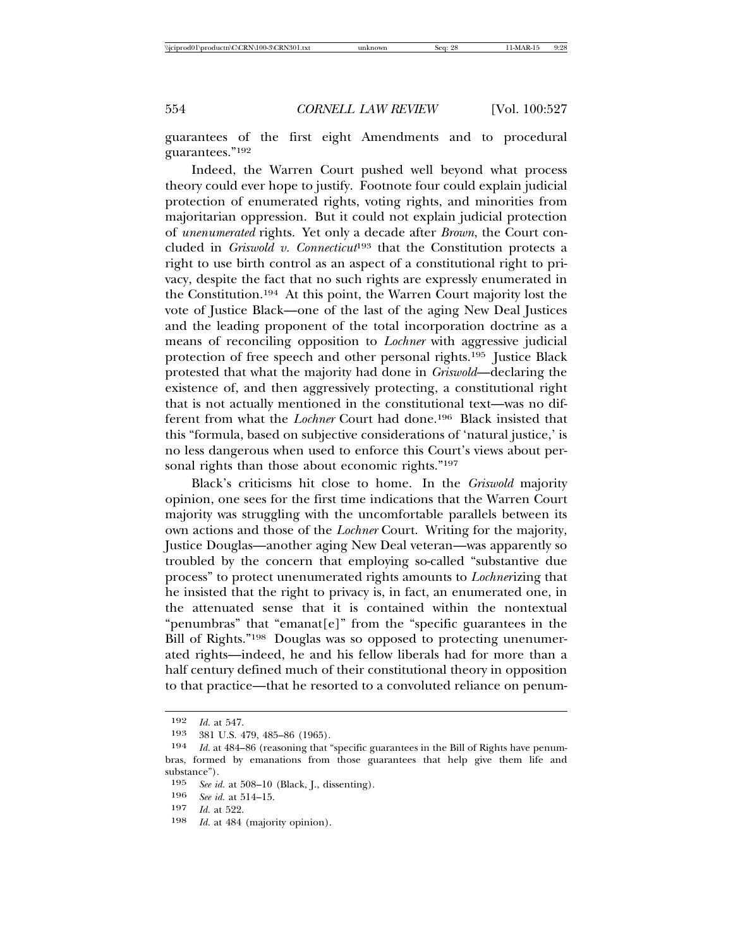guarantees of the first eight Amendments and to procedural guarantees."192

Indeed, the Warren Court pushed well beyond what process theory could ever hope to justify. Footnote four could explain judicial protection of enumerated rights, voting rights, and minorities from majoritarian oppression. But it could not explain judicial protection of *unenumerated* rights. Yet only a decade after *Brown*, the Court concluded in *Griswold v. Connecticut*193 that the Constitution protects a right to use birth control as an aspect of a constitutional right to privacy, despite the fact that no such rights are expressly enumerated in the Constitution.194 At this point, the Warren Court majority lost the vote of Justice Black—one of the last of the aging New Deal Justices and the leading proponent of the total incorporation doctrine as a means of reconciling opposition to *Lochner* with aggressive judicial protection of free speech and other personal rights.195 Justice Black protested that what the majority had done in *Griswold*—declaring the existence of, and then aggressively protecting, a constitutional right that is not actually mentioned in the constitutional text—was no different from what the *Lochner* Court had done.196 Black insisted that this "formula, based on subjective considerations of 'natural justice,' is no less dangerous when used to enforce this Court's views about personal rights than those about economic rights."<sup>197</sup>

Black's criticisms hit close to home. In the *Griswold* majority opinion, one sees for the first time indications that the Warren Court majority was struggling with the uncomfortable parallels between its own actions and those of the *Lochner* Court. Writing for the majority, Justice Douglas—another aging New Deal veteran—was apparently so troubled by the concern that employing so-called "substantive due process" to protect unenumerated rights amounts to *Lochner*izing that he insisted that the right to privacy is, in fact, an enumerated one, in the attenuated sense that it is contained within the nontextual "penumbras" that "emanat[e]" from the "specific guarantees in the Bill of Rights."198 Douglas was so opposed to protecting unenumerated rights—indeed, he and his fellow liberals had for more than a half century defined much of their constitutional theory in opposition to that practice—that he resorted to a convoluted reliance on penum-

Id. at 484 (majority opinion).

<sup>192</sup> *Id.* at 547.

<sup>193 381</sup> U.S. 479, 485–86 (1965).<br>194 *Id at 484–86 (reasoning that* 

Id. at 484-86 (reasoning that "specific guarantees in the Bill of Rights have penumbras, formed by emanations from those guarantees that help give them life and substance").<br>195 See io

<sup>195</sup> *See id.* at 508–10 (Black, J., dissenting).<br>196 *See id.* at 514–15

<sup>196</sup> *See id.* at 514–15.

<sup>197</sup> *Id.* at 522.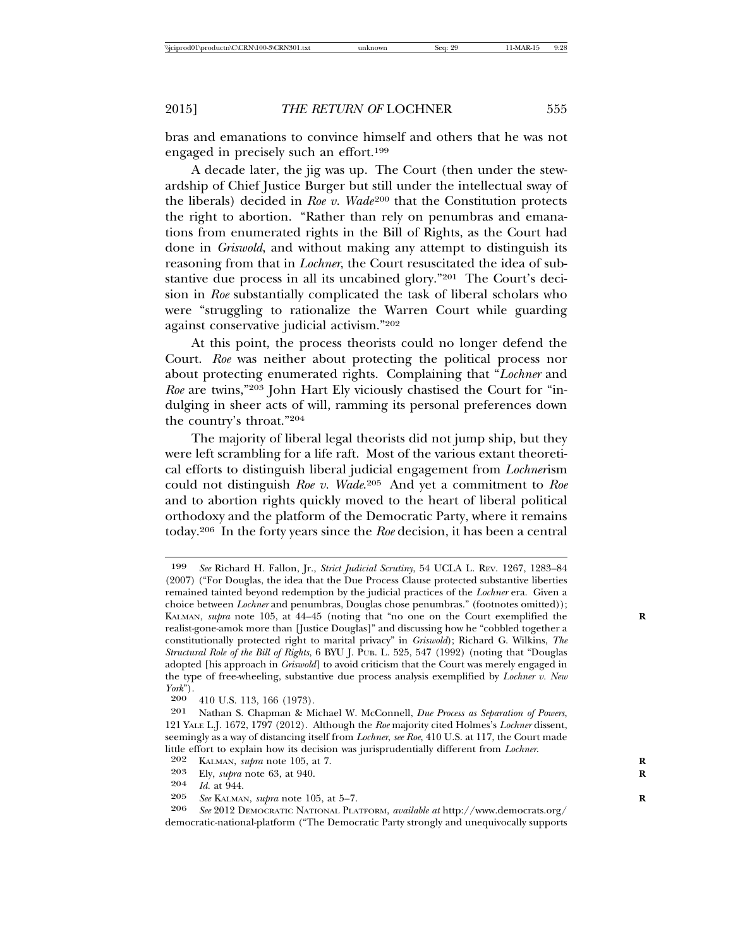bras and emanations to convince himself and others that he was not engaged in precisely such an effort.199

A decade later, the jig was up. The Court (then under the stewardship of Chief Justice Burger but still under the intellectual sway of the liberals) decided in *Roe v. Wade*<sup>200</sup> that the Constitution protects the right to abortion. "Rather than rely on penumbras and emanations from enumerated rights in the Bill of Rights, as the Court had done in *Griswold*, and without making any attempt to distinguish its reasoning from that in *Lochner*, the Court resuscitated the idea of substantive due process in all its uncabined glory."201 The Court's decision in *Roe* substantially complicated the task of liberal scholars who were "struggling to rationalize the Warren Court while guarding against conservative judicial activism."202

At this point, the process theorists could no longer defend the Court. *Roe* was neither about protecting the political process nor about protecting enumerated rights. Complaining that "*Lochner* and *Roe* are twins,"203 John Hart Ely viciously chastised the Court for "indulging in sheer acts of will, ramming its personal preferences down the country's throat."204

The majority of liberal legal theorists did not jump ship, but they were left scrambling for a life raft. Most of the various extant theoretical efforts to distinguish liberal judicial engagement from *Lochner*ism could not distinguish *Roe v. Wade*. 205 And yet a commitment to *Roe* and to abortion rights quickly moved to the heart of liberal political orthodoxy and the platform of the Democratic Party, where it remains today.206 In the forty years since the *Roe* decision, it has been a central

<sup>199</sup> *See* Richard H. Fallon, Jr., *Strict Judicial Scrutiny*, 54 UCLA L. REV. 1267, 1283–84 (2007) ("For Douglas, the idea that the Due Process Clause protected substantive liberties remained tainted beyond redemption by the judicial practices of the *Lochner* era. Given a choice between *Lochner* and penumbras, Douglas chose penumbras." (footnotes omitted)); KALMAN, *supra* note 105, at 44–45 (noting that "no one on the Court exemplified the realist-gone-amok more than [Justice Douglas]" and discussing how he "cobbled together a constitutionally protected right to marital privacy" in *Griswold*); Richard G. Wilkins, *The Structural Role of the Bill of Rights*, 6 BYU J. PUB. L. 525, 547 (1992) (noting that "Douglas adopted [his approach in *Griswold*] to avoid criticism that the Court was merely engaged in the type of free-wheeling, substantive due process analysis exemplified by *Lochner v. New York*").

<sup>200 410</sup> U.S. 113, 166 (1973).<br>201 Nathan S. Chapman & M.

Nathan S. Chapman & Michael W. McConnell, *Due Process as Separation of Powers*, 121 YALE L.J. 1672, 1797 (2012). Although the *Roe* majority cited Holmes's *Lochner* dissent, seemingly as a way of distancing itself from *Lochner*, *see Roe*, 410 U.S. at 117, the Court made little effort to explain how its decision was jurisprudentially different from *Lochner*. <sup>202</sup> KALMAN, *supra* note 105, at 7. **<sup>R</sup>**

<sup>203</sup> Ely, *supra* note 63, at 940.<br>204 *Id.* at 944.

<sup>204</sup> *Id.* at 944.<br>205 *See* KALMAN

<sup>205</sup> *See* KALMAN, *supra* note 105, at 5–7. **R**

<sup>206</sup> *See* 2012 DEMOCRATIC NATIONAL PLATFORM, *available at* http://www.democrats.org/ democratic-national-platform ("The Democratic Party strongly and unequivocally supports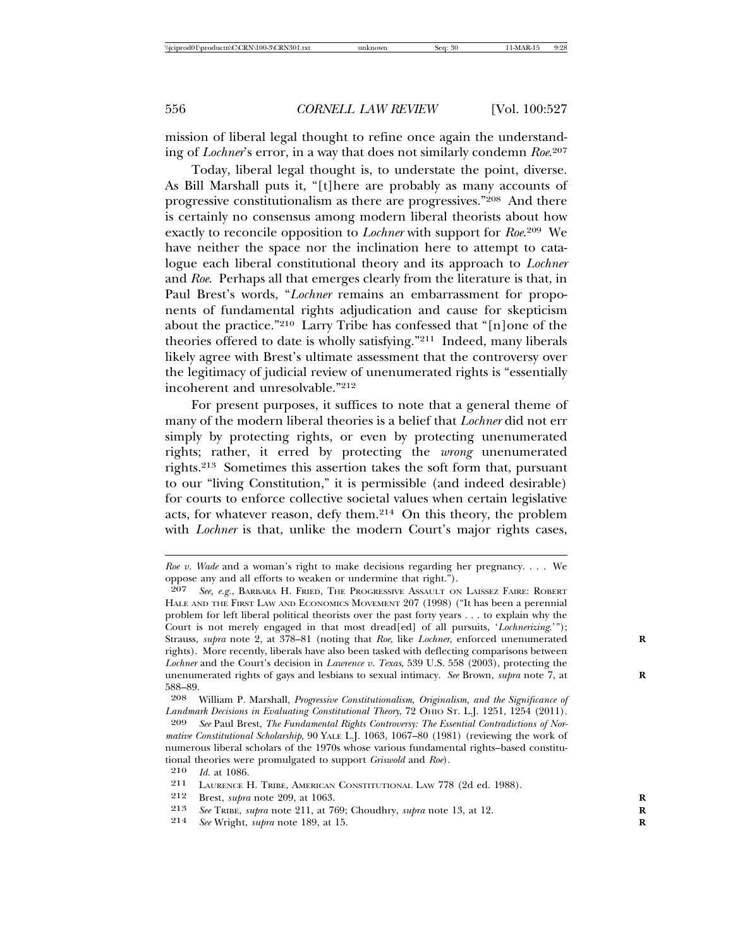mission of liberal legal thought to refine once again the understanding of *Lochner*'s error, in a way that does not similarly condemn *Roe*. 207

Today, liberal legal thought is, to understate the point, diverse. As Bill Marshall puts it, "[t]here are probably as many accounts of progressive constitutionalism as there are progressives."208 And there is certainly no consensus among modern liberal theorists about how exactly to reconcile opposition to *Lochner* with support for *Roe*. 209 We have neither the space nor the inclination here to attempt to catalogue each liberal constitutional theory and its approach to *Lochner* and *Roe*. Perhaps all that emerges clearly from the literature is that, in Paul Brest's words, "*Lochner* remains an embarrassment for proponents of fundamental rights adjudication and cause for skepticism about the practice."210 Larry Tribe has confessed that "[n]one of the theories offered to date is wholly satisfying."211 Indeed, many liberals likely agree with Brest's ultimate assessment that the controversy over the legitimacy of judicial review of unenumerated rights is "essentially incoherent and unresolvable."212

For present purposes, it suffices to note that a general theme of many of the modern liberal theories is a belief that *Lochner* did not err simply by protecting rights, or even by protecting unenumerated rights; rather, it erred by protecting the *wrong* unenumerated rights.213 Sometimes this assertion takes the soft form that, pursuant to our "living Constitution," it is permissible (and indeed desirable) for courts to enforce collective societal values when certain legislative acts, for whatever reason, defy them.214 On this theory, the problem with *Lochner* is that, unlike the modern Court's major rights cases,

See Wright, *supra* note 189, at 15.

*Roe v. Wade* and a woman's right to make decisions regarding her pregnancy. . . . We oppose any and all efforts to weaken or undermine that right.").

<sup>207</sup> *See, e.g.*, BARBARA H. FRIED, THE PROGRESSIVE ASSAULT ON LAISSEZ FAIRE: ROBERT HALE AND THE FIRST LAW AND ECONOMICS MOVEMENT 207 (1998) ("It has been a perennial problem for left liberal political theorists over the past forty years . . . to explain why the Court is not merely engaged in that most dread[ed] of all pursuits, '*Lochnerizing*.'"); Strauss, *supra* note 2, at 378–81 (noting that *Roe*, like *Lochner*, enforced unenumerated rights). More recently, liberals have also been tasked with deflecting comparisons between *Lochner* and the Court's decision in *Lawrence v. Texas*, 539 U.S. 558 (2003), protecting the unenumerated rights of gays and lesbians to sexual intimacy. *See* Brown, *supra* note 7, at **R**  $\frac{588-89.}{208}$ 

<sup>208</sup> William P. Marshall, *Progressive Constitutionalism, Originalism, and the Significance of* Landmark Decisions in Evaluating Constitutional Theory, 72 OHIO St. L.J. 1251, 1254 (2011).

<sup>209</sup> *See* Paul Brest, *The Fundamental Rights Controversy: The Essential Contradictions of Normative Constitutional Scholarship*, 90 YALE L.J. 1063, 1067–80 (1981) (reviewing the work of numerous liberal scholars of the 1970s whose various fundamental rights–based constitutional theories were promulgated to support *Griswold* and *Roe*).

<sup>210</sup> *Id.* at 1086.

<sup>211</sup> LAURENCE H. TRIBE, AMERICAN CONSTITUTIONAL LAW 778 (2d ed. 1988).

<sup>212</sup> Brest, *supra* note 209, at 1063.<br>213 See TRIRE *subra* note 211 at 76

<sup>213</sup> *See* TRIBE, *supra* note 211, at 769; Choudhry, *supra* note 13, at 12. **R**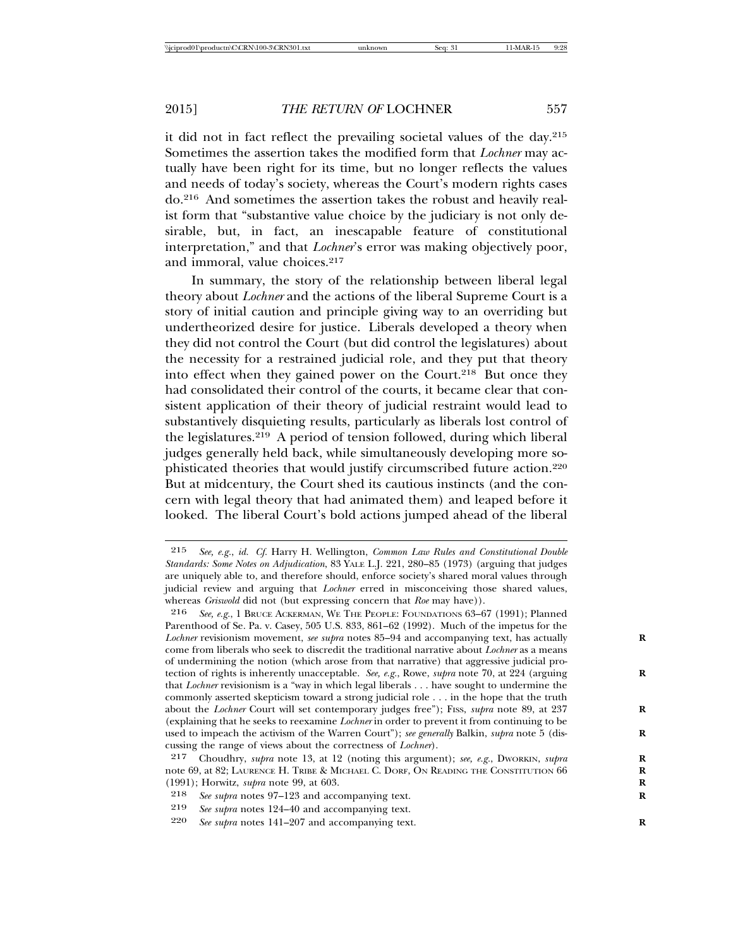it did not in fact reflect the prevailing societal values of the day.215 Sometimes the assertion takes the modified form that *Lochner* may actually have been right for its time, but no longer reflects the values and needs of today's society, whereas the Court's modern rights cases do.216 And sometimes the assertion takes the robust and heavily realist form that "substantive value choice by the judiciary is not only desirable, but, in fact, an inescapable feature of constitutional interpretation," and that *Lochner*'s error was making objectively poor, and immoral, value choices.<sup>217</sup>

In summary, the story of the relationship between liberal legal theory about *Lochner* and the actions of the liberal Supreme Court is a story of initial caution and principle giving way to an overriding but undertheorized desire for justice. Liberals developed a theory when they did not control the Court (but did control the legislatures) about the necessity for a restrained judicial role, and they put that theory into effect when they gained power on the Court.<sup>218</sup> But once they had consolidated their control of the courts, it became clear that consistent application of their theory of judicial restraint would lead to substantively disquieting results, particularly as liberals lost control of the legislatures.219 A period of tension followed, during which liberal judges generally held back, while simultaneously developing more sophisticated theories that would justify circumscribed future action.220 But at midcentury, the Court shed its cautious instincts (and the concern with legal theory that had animated them) and leaped before it looked. The liberal Court's bold actions jumped ahead of the liberal

<sup>215</sup> *See, e.g.*, *id. Cf.* Harry H. Wellington, *Common Law Rules and Constitutional Double Standards: Some Notes on Adjudication*, 83 YALE L.J. 221, 280–85 (1973) (arguing that judges are uniquely able to, and therefore should, enforce society's shared moral values through judicial review and arguing that *Lochner* erred in misconceiving those shared values, whereas *Griswold* did not (but expressing concern that *Roe* may have)).

<sup>216</sup> *See, e.g.*, 1 BRUCE ACKERMAN, WE THE PEOPLE: FOUNDATIONS 63–67 (1991); Planned Parenthood of Se. Pa. v. Casey, 505 U.S. 833, 861–62 (1992). Much of the impetus for the Lochner revisionism movement, *see supra* notes 85–94 and accompanying text, has actually come from liberals who seek to discredit the traditional narrative about *Lochner* as a means of undermining the notion (which arose from that narrative) that aggressive judicial protection of rights is inherently unacceptable. *See, e.g.*, Rowe, *supra* note 70, at 224 (arguing **R** that *Lochner* revisionism is a "way in which legal liberals . . . have sought to undermine the commonly asserted skepticism toward a strong judicial role . . . in the hope that the truth about the *Lochner* Court will set contemporary judges free"); Fiss, *supra* note 89, at 237 (explaining that he seeks to reexamine *Lochner* in order to prevent it from continuing to be used to impeach the activism of the Warren Court"); *see generally* Balkin, *supra* note 5 (discussing the range of views about the correctness of *Lochner*).

<sup>217</sup> Choudhry, *supra* note 13, at 12 (noting this argument); *see, e.g.*, DWORKIN, *supra* note 69, at 82; LAURENCE H. TRIBE & MICHAEL C. DORF, ON READING THE CONSTITUTION 66 **R** (1991); Horwitz, *supra* note 99, at 603. **R**

<sup>218</sup> *See supra* notes 97–123 and accompanying text. **R**

<sup>219</sup> *See supra* notes 124–40 and accompanying text.

See supra notes 141–207 and accompanying text.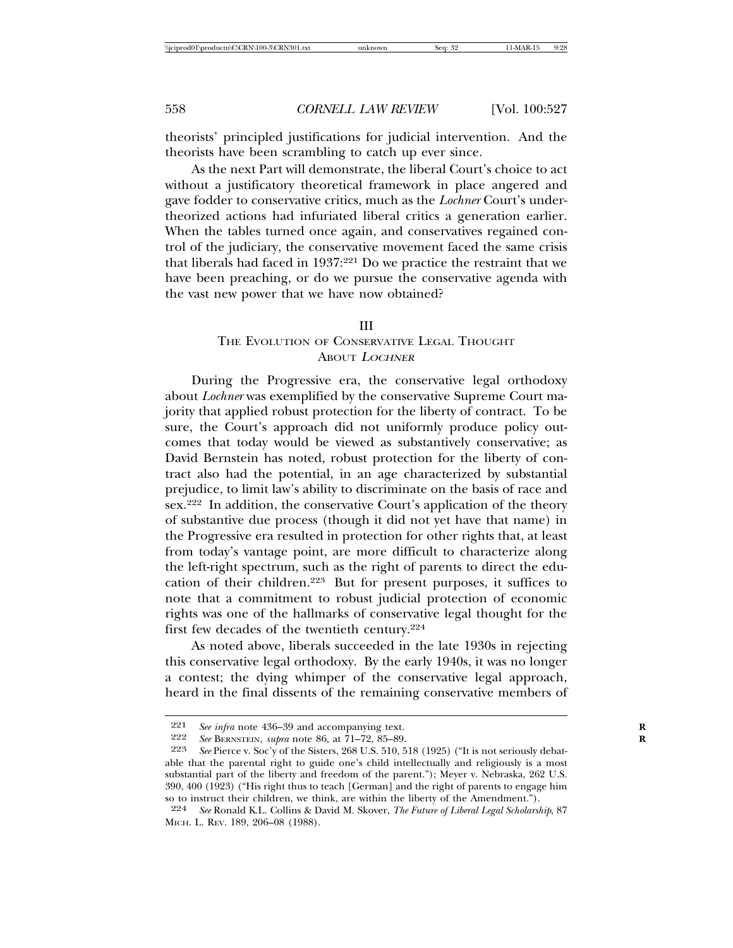theorists' principled justifications for judicial intervention. And the theorists have been scrambling to catch up ever since.

As the next Part will demonstrate, the liberal Court's choice to act without a justificatory theoretical framework in place angered and gave fodder to conservative critics, much as the *Lochner* Court's undertheorized actions had infuriated liberal critics a generation earlier. When the tables turned once again, and conservatives regained control of the judiciary, the conservative movement faced the same crisis that liberals had faced in 1937:221 Do we practice the restraint that we have been preaching, or do we pursue the conservative agenda with the vast new power that we have now obtained?

#### III

### THE EVOLUTION OF CONSERVATIVE LEGAL THOUGHT ABOUT <sup>L</sup>OCHNER

During the Progressive era, the conservative legal orthodoxy about *Lochner* was exemplified by the conservative Supreme Court majority that applied robust protection for the liberty of contract. To be sure, the Court's approach did not uniformly produce policy outcomes that today would be viewed as substantively conservative; as David Bernstein has noted, robust protection for the liberty of contract also had the potential, in an age characterized by substantial prejudice, to limit law's ability to discriminate on the basis of race and sex.<sup>222</sup> In addition, the conservative Court's application of the theory of substantive due process (though it did not yet have that name) in the Progressive era resulted in protection for other rights that, at least from today's vantage point, are more difficult to characterize along the left-right spectrum, such as the right of parents to direct the education of their children.223 But for present purposes, it suffices to note that a commitment to robust judicial protection of economic rights was one of the hallmarks of conservative legal thought for the first few decades of the twentieth century.224

As noted above, liberals succeeded in the late 1930s in rejecting this conservative legal orthodoxy. By the early 1940s, it was no longer a contest; the dying whimper of the conservative legal approach, heard in the final dissents of the remaining conservative members of

<sup>221</sup> *See infra* note 436–39 and accompanying text.<br>222 *See BERNSTEIN, subra* note 86, at 71–79, 85–89

<sup>222</sup> *See* BERNSTEIN, *supra* note 86, at 71–72, 85–89. **R**

See Pierce v. Soc'y of the Sisters, 268 U.S. 510, 518 (1925) ("It is not seriously debatable that the parental right to guide one's child intellectually and religiously is a most substantial part of the liberty and freedom of the parent."); Meyer v. Nebraska, 262 U.S. 390, 400 (1923) ("His right thus to teach [German] and the right of parents to engage him so to instruct their children, we think, are within the liberty of the Amendment.").

<sup>224</sup> *See* Ronald K.L. Collins & David M. Skover, *The Future of Liberal Legal Scholarship*, 87 MICH. L. REV. 189, 206–08 (1988).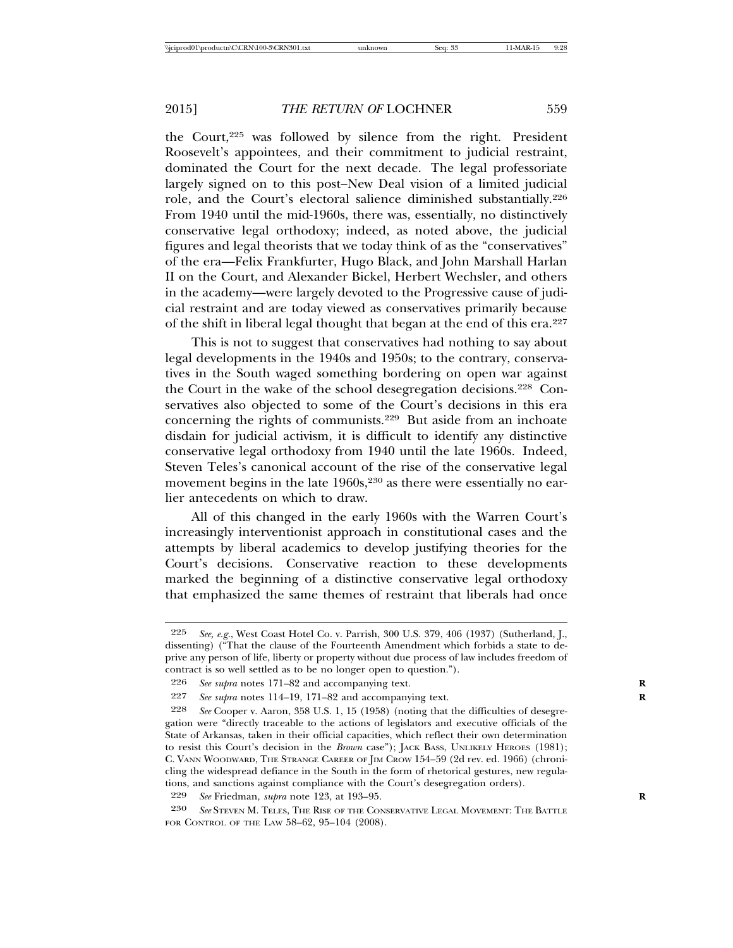the Court,225 was followed by silence from the right. President Roosevelt's appointees, and their commitment to judicial restraint, dominated the Court for the next decade. The legal professoriate largely signed on to this post–New Deal vision of a limited judicial role, and the Court's electoral salience diminished substantially.226 From 1940 until the mid-1960s, there was, essentially, no distinctively conservative legal orthodoxy; indeed, as noted above, the judicial figures and legal theorists that we today think of as the "conservatives" of the era—Felix Frankfurter, Hugo Black, and John Marshall Harlan II on the Court, and Alexander Bickel, Herbert Wechsler, and others in the academy—were largely devoted to the Progressive cause of judicial restraint and are today viewed as conservatives primarily because of the shift in liberal legal thought that began at the end of this era.227

This is not to suggest that conservatives had nothing to say about legal developments in the 1940s and 1950s; to the contrary, conservatives in the South waged something bordering on open war against the Court in the wake of the school desegregation decisions.228 Conservatives also objected to some of the Court's decisions in this era concerning the rights of communists.229 But aside from an inchoate disdain for judicial activism, it is difficult to identify any distinctive conservative legal orthodoxy from 1940 until the late 1960s. Indeed, Steven Teles's canonical account of the rise of the conservative legal movement begins in the late 1960s,<sup>230</sup> as there were essentially no earlier antecedents on which to draw.

All of this changed in the early 1960s with the Warren Court's increasingly interventionist approach in constitutional cases and the attempts by liberal academics to develop justifying theories for the Court's decisions. Conservative reaction to these developments marked the beginning of a distinctive conservative legal orthodoxy that emphasized the same themes of restraint that liberals had once

<sup>225</sup> *See, e.g.*, West Coast Hotel Co. v. Parrish, 300 U.S. 379, 406 (1937) (Sutherland, J., dissenting) ("That the clause of the Fourteenth Amendment which forbids a state to deprive any person of life, liberty or property without due process of law includes freedom of contract is so well settled as to be no longer open to question.").

<sup>226</sup> *See supra* notes 171–82 and accompanying text. **R**

<sup>227</sup> *See supra* notes 114–19, 171–82 and accompanying text. **R**

<sup>228</sup> *See* Cooper v. Aaron, 358 U.S. 1, 15 (1958) (noting that the difficulties of desegregation were "directly traceable to the actions of legislators and executive officials of the State of Arkansas, taken in their official capacities, which reflect their own determination to resist this Court's decision in the *Brown* case"); JACK BASS, UNLIKELY HEROES (1981); C. VANN WOODWARD, THE STRANGE CAREER OF JIM CROW 154–59 (2d rev. ed. 1966) (chronicling the widespread defiance in the South in the form of rhetorical gestures, new regulations, and sanctions against compliance with the Court's desegregation orders).

<sup>229</sup> *See* Friedman, *supra* note 123, at 193–95. **R**

<sup>230</sup> *See* STEVEN M. TELES, THE RISE OF THE CONSERVATIVE LEGAL MOVEMENT: THE BATTLE FOR CONTROL OF THE LAW 58–62, 95–104 (2008).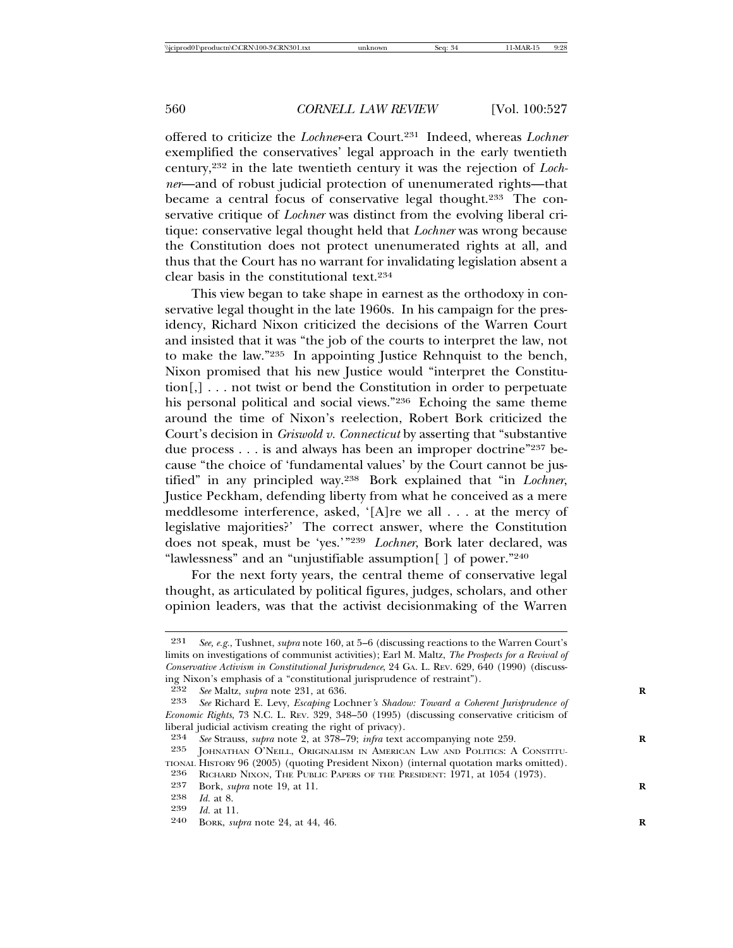offered to criticize the *Lochner*-era Court.231 Indeed, whereas *Lochner* exemplified the conservatives' legal approach in the early twentieth century,232 in the late twentieth century it was the rejection of *Lochner*—and of robust judicial protection of unenumerated rights—that became a central focus of conservative legal thought.<sup>233</sup> The conservative critique of *Lochner* was distinct from the evolving liberal critique: conservative legal thought held that *Lochner* was wrong because the Constitution does not protect unenumerated rights at all, and thus that the Court has no warrant for invalidating legislation absent a clear basis in the constitutional text.234

This view began to take shape in earnest as the orthodoxy in conservative legal thought in the late 1960s. In his campaign for the presidency, Richard Nixon criticized the decisions of the Warren Court and insisted that it was "the job of the courts to interpret the law, not to make the law."235 In appointing Justice Rehnquist to the bench, Nixon promised that his new Justice would "interpret the Constitution[,] . . . not twist or bend the Constitution in order to perpetuate his personal political and social views."236 Echoing the same theme around the time of Nixon's reelection, Robert Bork criticized the Court's decision in *Griswold v. Connecticut* by asserting that "substantive due process . . . is and always has been an improper doctrine"237 because "the choice of 'fundamental values' by the Court cannot be justified" in any principled way.238 Bork explained that "in *Lochner*, Justice Peckham, defending liberty from what he conceived as a mere meddlesome interference, asked, '[A]re we all . . . at the mercy of legislative majorities?' The correct answer, where the Constitution does not speak, must be 'yes.'"239 *Lochner*, Bork later declared, was "lawlessness" and an "unjustifiable assumption[ ] of power."240

For the next forty years, the central theme of conservative legal thought, as articulated by political figures, judges, scholars, and other opinion leaders, was that the activist decisionmaking of the Warren

<sup>231</sup> *See, e.g.*, Tushnet, *supra* note 160, at 5–6 (discussing reactions to the Warren Court's limits on investigations of communist activities); Earl M. Maltz, *The Prospects for a Revival of Conservative Activism in Constitutional Jurisprudence*, 24 GA. L. REV. 629, 640 (1990) (discussing Nixon's emphasis of a "constitutional jurisprudence of restraint").

<sup>232</sup> *See* Maltz, *supra* note 231, at 636. **R**

<sup>233</sup> *See* Richard E. Levy, *Escaping* Lochner*'s Shadow: Toward a Coherent Jurisprudence of Economic Rights*, 73 N.C. L. REV. 329, 348–50 (1995) (discussing conservative criticism of liberal judicial activism creating the right of privacy).<br>  $234$  See Strauss, subra note 2, at 378–79; infra text

<sup>234</sup> *See* Strauss, *supra* note 2, at 378–79; *infra* text accompanying note 259.<br>235 **IOHNATHAN O'NELL OPICINALISM IN AMERICAN LAW AND POLITICS: A** 

JOHNATHAN O'NEILL, ORIGINALISM IN AMERICAN LAW AND POLITICS: A CONSTITU-TIONAL HISTORY 96 (2005) (quoting President Nixon) (internal quotation marks omitted).

<sup>236</sup> RICHARD NIXON, THE PUBLIC PAPERS OF THE PRESIDENT: 1971, at 1054 (1973).<br>237 Rock subra note 19 at 11

<sup>237</sup> Bork, *supra* note 19, at 11.<br>238 *Id* at 8

<sup>238</sup> *Id.* at 8.

<sup>239</sup> *Id.* at 11.

BORK, *supra* note 24, at 44, 46.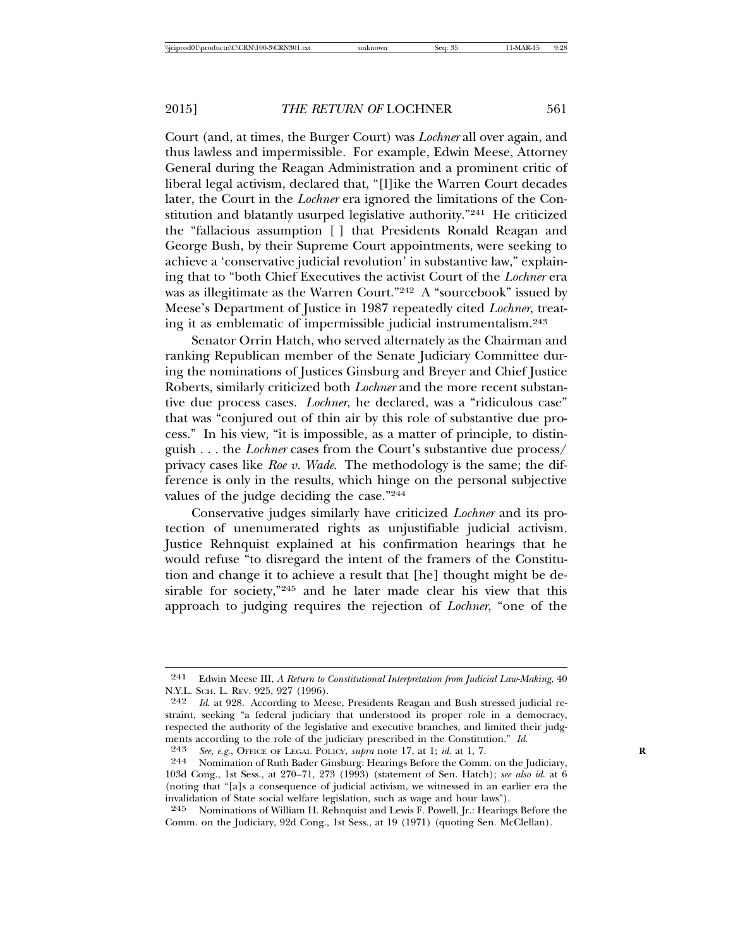Court (and, at times, the Burger Court) was *Lochner* all over again, and thus lawless and impermissible. For example, Edwin Meese, Attorney General during the Reagan Administration and a prominent critic of liberal legal activism, declared that, "[l]ike the Warren Court decades later, the Court in the *Lochner* era ignored the limitations of the Constitution and blatantly usurped legislative authority."<sup>241</sup> He criticized the "fallacious assumption [ ] that Presidents Ronald Reagan and George Bush, by their Supreme Court appointments, were seeking to achieve a 'conservative judicial revolution' in substantive law," explaining that to "both Chief Executives the activist Court of the *Lochner* era was as illegitimate as the Warren Court."242 A "sourcebook" issued by Meese's Department of Justice in 1987 repeatedly cited *Lochner*, treating it as emblematic of impermissible judicial instrumentalism.243

Senator Orrin Hatch, who served alternately as the Chairman and ranking Republican member of the Senate Judiciary Committee during the nominations of Justices Ginsburg and Breyer and Chief Justice Roberts, similarly criticized both *Lochner* and the more recent substantive due process cases. *Lochner*, he declared, was a "ridiculous case" that was "conjured out of thin air by this role of substantive due process." In his view, "it is impossible, as a matter of principle, to distinguish . . . the *Lochner* cases from the Court's substantive due process/ privacy cases like *Roe v. Wade*. The methodology is the same; the difference is only in the results, which hinge on the personal subjective values of the judge deciding the case."244

Conservative judges similarly have criticized *Lochner* and its protection of unenumerated rights as unjustifiable judicial activism. Justice Rehnquist explained at his confirmation hearings that he would refuse "to disregard the intent of the framers of the Constitution and change it to achieve a result that [he] thought might be desirable for society,"<sup>245</sup> and he later made clear his view that this approach to judging requires the rejection of *Lochner*, "one of the

<sup>241</sup> Edwin Meese III, *A Return to Constitutional Interpretation from Judicial Law-Making*, 40 N.Y.L. SCH. L. REV. 925, 927 (1996).

<sup>242</sup> *Id*. at 928. According to Meese, Presidents Reagan and Bush stressed judicial restraint, seeking "a federal judiciary that understood its proper role in a democracy, respected the authority of the legislative and executive branches, and limited their judgments according to the role of the judiciary prescribed in the Constitution." *Id.* 243 *See, e.g.*, OFFICE OF LEGAL POLICY, *supra* note 17, at 1; *id.* at 1, 7. **R**<br>244 Momination of Ruth Bader Ginsburg: Hearings Before

<sup>244</sup> Nomination of Ruth Bader Ginsburg: Hearings Before the Comm. on the Judiciary, 103d Cong., 1st Sess., at 270–71, 273 (1993) (statement of Sen. Hatch); *see also id*. at 6 (noting that "[a]s a consequence of judicial activism, we witnessed in an earlier era the invalidation of State social welfare legislation, such as wage and hour laws").

<sup>245</sup> Nominations of William H. Rehnquist and Lewis F. Powell, Jr.: Hearings Before the Comm. on the Judiciary, 92d Cong., 1st Sess., at 19 (1971) (quoting Sen. McClellan).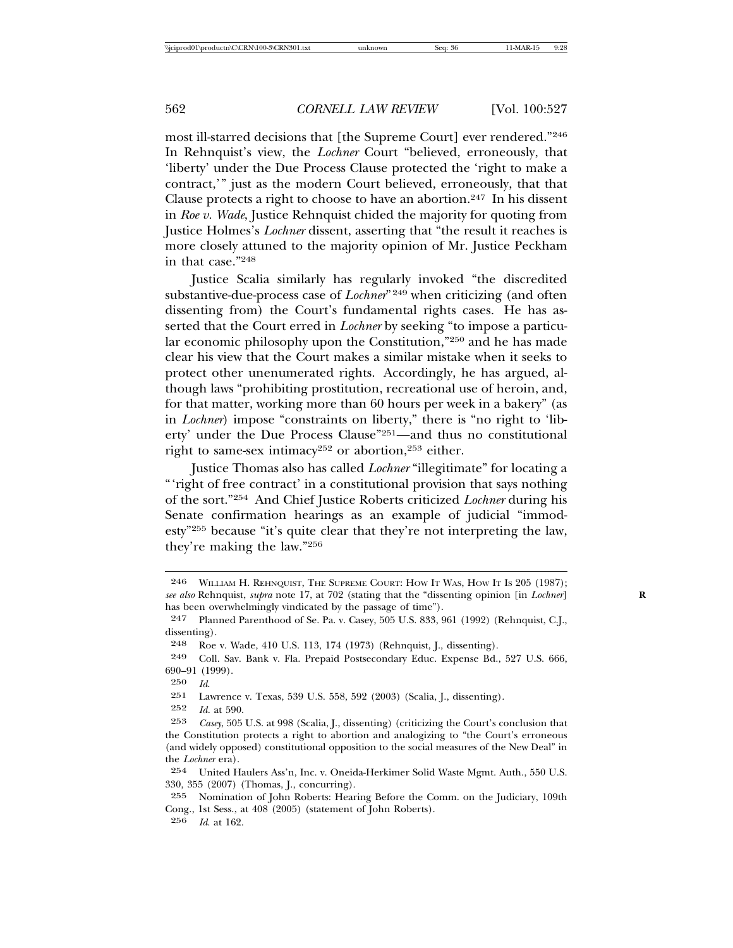most ill-starred decisions that [the Supreme Court] ever rendered."246 In Rehnquist's view, the *Lochner* Court "believed, erroneously, that 'liberty' under the Due Process Clause protected the 'right to make a contract,'" just as the modern Court believed, erroneously, that that Clause protects a right to choose to have an abortion.<sup>247</sup> In his dissent in *Roe v. Wade*, Justice Rehnquist chided the majority for quoting from Justice Holmes's *Lochner* dissent, asserting that "the result it reaches is more closely attuned to the majority opinion of Mr. Justice Peckham in that case."248

Justice Scalia similarly has regularly invoked "the discredited substantive-due-process case of *Lochner*<sup>" 249</sup> when criticizing (and often dissenting from) the Court's fundamental rights cases. He has asserted that the Court erred in *Lochner* by seeking "to impose a particular economic philosophy upon the Constitution,"250 and he has made clear his view that the Court makes a similar mistake when it seeks to protect other unenumerated rights. Accordingly, he has argued, although laws "prohibiting prostitution, recreational use of heroin, and, for that matter, working more than 60 hours per week in a bakery" (as in *Lochner*) impose "constraints on liberty," there is "no right to 'liberty' under the Due Process Clause"251—and thus no constitutional right to same-sex intimacy<sup>252</sup> or abortion,<sup>253</sup> either.

Justice Thomas also has called *Lochner* "illegitimate" for locating a "'right of free contract' in a constitutional provision that says nothing of the sort."254 And Chief Justice Roberts criticized *Lochner* during his Senate confirmation hearings as an example of judicial "immodesty"255 because "it's quite clear that they're not interpreting the law, they're making the law."256

<sup>246</sup> WILLIAM H. REHNQUIST, THE SUPREME COURT: HOW IT WAS, HOW IT IS 205 (1987); *see also* Rehnquist, *supra* note 17, at 702 (stating that the "dissenting opinion [in *Lochner*] **R** has been overwhelmingly vindicated by the passage of time").

<sup>247</sup> Planned Parenthood of Se. Pa. v. Casey, 505 U.S. 833, 961 (1992) (Rehnquist, C.J., dissenting).

<sup>248</sup> Roe v. Wade, 410 U.S. 113, 174 (1973) (Rehnquist, J., dissenting).

<sup>249</sup> Coll. Sav. Bank v. Fla. Prepaid Postsecondary Educ. Expense Bd., 527 U.S. 666, 690–91 (1999).

 $\frac{250}{251}$  *Id.* 

<sup>251</sup> Lawrence v. Texas, 539 U.S. 558, 592 (2003) (Scalia, J., dissenting).<br>252 *Le*l at 590

*Id.* at 590.

<sup>253</sup> *Casey*, 505 U.S. at 998 (Scalia, J., dissenting) (criticizing the Court's conclusion that the Constitution protects a right to abortion and analogizing to "the Court's erroneous (and widely opposed) constitutional opposition to the social measures of the New Deal" in the *Lochner* era).

<sup>254</sup> United Haulers Ass'n, Inc. v. Oneida-Herkimer Solid Waste Mgmt. Auth., 550 U.S. 330, 355 (2007) (Thomas, J., concurring).

<sup>255</sup> Nomination of John Roberts: Hearing Before the Comm. on the Judiciary, 109th Cong., 1st Sess., at 408 (2005) (statement of John Roberts).

<sup>256</sup> *Id*. at 162.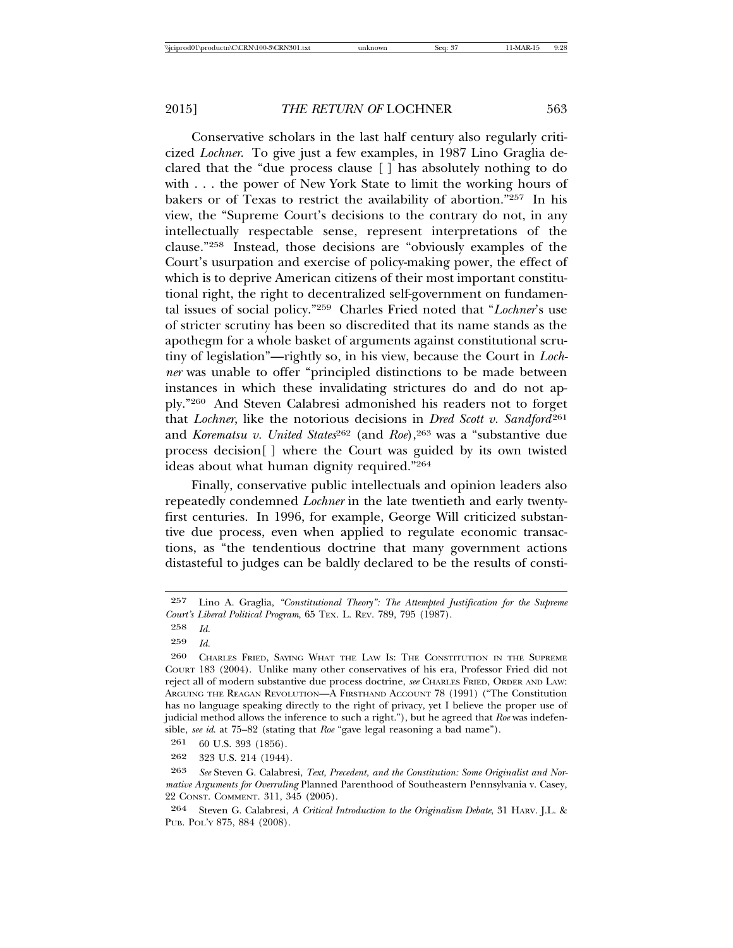Conservative scholars in the last half century also regularly criticized *Lochner*. To give just a few examples, in 1987 Lino Graglia declared that the "due process clause [ ] has absolutely nothing to do with . . . the power of New York State to limit the working hours of bakers or of Texas to restrict the availability of abortion."257 In his view, the "Supreme Court's decisions to the contrary do not, in any intellectually respectable sense, represent interpretations of the clause."258 Instead, those decisions are "obviously examples of the Court's usurpation and exercise of policy-making power, the effect of which is to deprive American citizens of their most important constitutional right, the right to decentralized self-government on fundamental issues of social policy."259 Charles Fried noted that "*Lochner*'s use of stricter scrutiny has been so discredited that its name stands as the apothegm for a whole basket of arguments against constitutional scrutiny of legislation"—rightly so, in his view, because the Court in *Lochner* was unable to offer "principled distinctions to be made between instances in which these invalidating strictures do and do not apply."260 And Steven Calabresi admonished his readers not to forget that *Lochner*, like the notorious decisions in *Dred Scott v. Sandford*<sup>261</sup> and *Korematsu v. United States*<sup>262</sup> (and *Roe*),<sup>263</sup> was a "substantive due process decision[ ] where the Court was guided by its own twisted ideas about what human dignity required."264

Finally, conservative public intellectuals and opinion leaders also repeatedly condemned *Lochner* in the late twentieth and early twentyfirst centuries. In 1996, for example, George Will criticized substantive due process, even when applied to regulate economic transactions, as "the tendentious doctrine that many government actions distasteful to judges can be baldly declared to be the results of consti-

<sup>257</sup> Lino A. Graglia, *"Constitutional Theory": The Attempted Justification for the Supreme Court's Liberal Political Program*, 65 TEX. L. REV. 789, 795 (1987).

<sup>258</sup> *Id.*

<sup>259</sup> *Id.*

<sup>260</sup> CHARLES FRIED, SAYING WHAT THE LAW IS: THE CONSTITUTION IN THE SUPREME COURT 183 (2004). Unlike many other conservatives of his era, Professor Fried did not reject all of modern substantive due process doctrine, *see* CHARLES FRIED, ORDER AND LAW: ARGUING THE REAGAN REVOLUTION—A FIRSTHAND ACCOUNT 78 (1991) ("The Constitution has no language speaking directly to the right of privacy, yet I believe the proper use of judicial method allows the inference to such a right."), but he agreed that *Roe* was indefensible, *see id*. at 75–82 (stating that *Roe* "gave legal reasoning a bad name").

<sup>261</sup> 60 U.S. 393 (1856).

<sup>262</sup> 323 U.S. 214 (1944).

<sup>263</sup> *See* Steven G. Calabresi, *Text, Precedent, and the Constitution: Some Originalist and Normative Arguments for Overruling* Planned Parenthood of Southeastern Pennsylvania v. Casey, 22 CONST. COMMENT. 311, 345 (2005).

<sup>264</sup> Steven G. Calabresi, *A Critical Introduction to the Originalism Debate*, 31 HARV. J.L. & PUB. POL'Y 875, 884 (2008).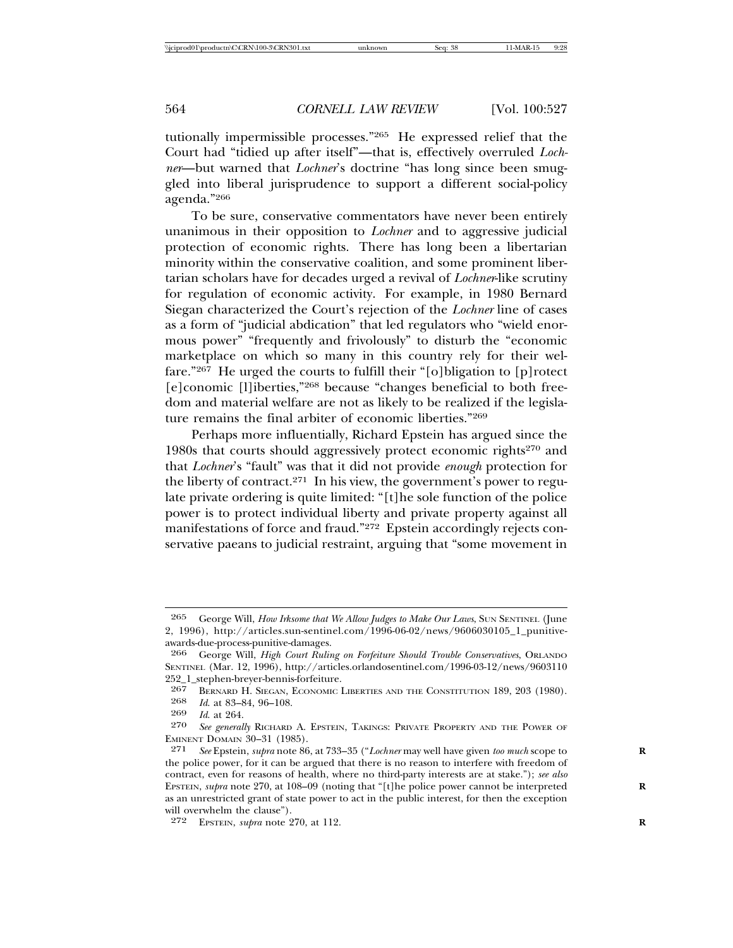tutionally impermissible processes."265 He expressed relief that the Court had "tidied up after itself"—that is, effectively overruled *Lochner*—but warned that *Lochner*'s doctrine "has long since been smuggled into liberal jurisprudence to support a different social-policy agenda."266

To be sure, conservative commentators have never been entirely unanimous in their opposition to *Lochner* and to aggressive judicial protection of economic rights. There has long been a libertarian minority within the conservative coalition, and some prominent libertarian scholars have for decades urged a revival of *Lochner*-like scrutiny for regulation of economic activity. For example, in 1980 Bernard Siegan characterized the Court's rejection of the *Lochner* line of cases as a form of "judicial abdication" that led regulators who "wield enormous power" "frequently and frivolously" to disturb the "economic marketplace on which so many in this country rely for their welfare."267 He urged the courts to fulfill their "[o]bligation to [p]rotect [e]conomic [l]iberties,"268 because "changes beneficial to both freedom and material welfare are not as likely to be realized if the legislature remains the final arbiter of economic liberties."269

Perhaps more influentially, Richard Epstein has argued since the 1980s that courts should aggressively protect economic rights<sup>270</sup> and that *Lochner*'s "fault" was that it did not provide *enough* protection for the liberty of contract.<sup>271</sup> In his view, the government's power to regulate private ordering is quite limited: "[t]he sole function of the police power is to protect individual liberty and private property against all manifestations of force and fraud."272 Epstein accordingly rejects conservative paeans to judicial restraint, arguing that "some movement in

<sup>265</sup> George Will, *How Irksome that We Allow Judges to Make Our Laws*, SUN SENTINEL (June 2, 1996), http://articles.sun-sentinel.com/1996-06-02/news/9606030105\_1\_punitiveawards-due-process-punitive-damages.

<sup>266</sup> George Will, *High Court Ruling on Forfeiture Should Trouble Conservatives*, ORLANDO SENTINEL (Mar. 12, 1996), http://articles.orlandosentinel.com/1996-03-12/news/9603110 252\_1\_stephen-breyer-bennis-forfeiture.<br>267 BERNARD H SIEGAN ECONOMIC I

<sup>267</sup> BERNARD H. SIEGAN, ECONOMIC LIBERTIES AND THE CONSTITUTION 189, 203 (1980).<br>268 Id at 83-84 96-108

<sup>268</sup> *Id*. at 83–84, 96–108.

*Id.* at 264.

<sup>270</sup> *See generally* RICHARD A. EPSTEIN, TAKINGS: PRIVATE PROPERTY AND THE POWER OF EMINENT DOMAIN 30–31 (1985).

<sup>271</sup> *See* Epstein, *supra* note 86, at 733–35 ("*Lochner* may well have given *too much* scope to **R** the police power, for it can be argued that there is no reason to interfere with freedom of contract, even for reasons of health, where no third-party interests are at stake."); *see also* EPSTEIN, *supra* note 270, at 108-09 (noting that "[t]he police power cannot be interpreted as an unrestricted grant of state power to act in the public interest, for then the exception will overwhelm the clause").

<sup>272</sup> EPSTEIN, *supra* note 270, at 112. **R**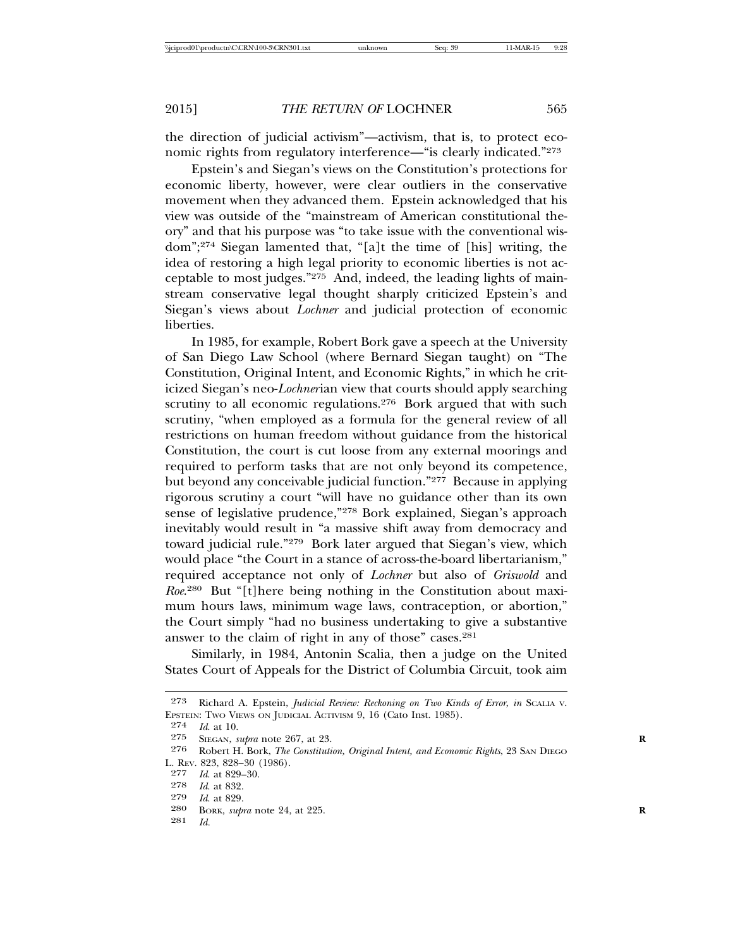the direction of judicial activism"—activism, that is, to protect economic rights from regulatory interference—"is clearly indicated."273

Epstein's and Siegan's views on the Constitution's protections for economic liberty, however, were clear outliers in the conservative movement when they advanced them. Epstein acknowledged that his view was outside of the "mainstream of American constitutional theory" and that his purpose was "to take issue with the conventional wisdom";274 Siegan lamented that, "[a]t the time of [his] writing, the idea of restoring a high legal priority to economic liberties is not acceptable to most judges."275 And, indeed, the leading lights of mainstream conservative legal thought sharply criticized Epstein's and Siegan's views about *Lochner* and judicial protection of economic liberties.

In 1985, for example, Robert Bork gave a speech at the University of San Diego Law School (where Bernard Siegan taught) on "The Constitution, Original Intent, and Economic Rights," in which he criticized Siegan's neo-*Lochner*ian view that courts should apply searching scrutiny to all economic regulations.<sup>276</sup> Bork argued that with such scrutiny, "when employed as a formula for the general review of all restrictions on human freedom without guidance from the historical Constitution, the court is cut loose from any external moorings and required to perform tasks that are not only beyond its competence, but beyond any conceivable judicial function."277 Because in applying rigorous scrutiny a court "will have no guidance other than its own sense of legislative prudence,"278 Bork explained, Siegan's approach inevitably would result in "a massive shift away from democracy and toward judicial rule."279 Bork later argued that Siegan's view, which would place "the Court in a stance of across-the-board libertarianism," required acceptance not only of *Lochner* but also of *Griswold* and *Roe*. 280 But "[t]here being nothing in the Constitution about maximum hours laws, minimum wage laws, contraception, or abortion," the Court simply "had no business undertaking to give a substantive answer to the claim of right in any of those" cases.<sup>281</sup>

Similarly, in 1984, Antonin Scalia, then a judge on the United States Court of Appeals for the District of Columbia Circuit, took aim

281 *Id.*

<sup>273</sup> Richard A. Epstein, *Judicial Review: Reckoning on Two Kinds of Error*, *in* SCALIA V. EPSTEIN: TWO VIEWS ON JUDICIAL ACTIVISM 9, 16 (Cato Inst. 1985).

<sup>274</sup> *Id*. at 10.

<sup>275</sup> SIEGAN, *supra* note 267, at 23.<br>276 Robert H Bork *The Constituti* 

<sup>276</sup> Robert H. Bork, *The Constitution, Original Intent, and Economic Rights*, 23 SAN DIEGO L. REV. 823, 828–30 (1986).

<sup>277</sup> *Id*. at 829–30.

<sup>278</sup> *Id*. at 832.

*Id.* at 829.

<sup>280</sup> BORK, *supra* note 24, at 225. **R**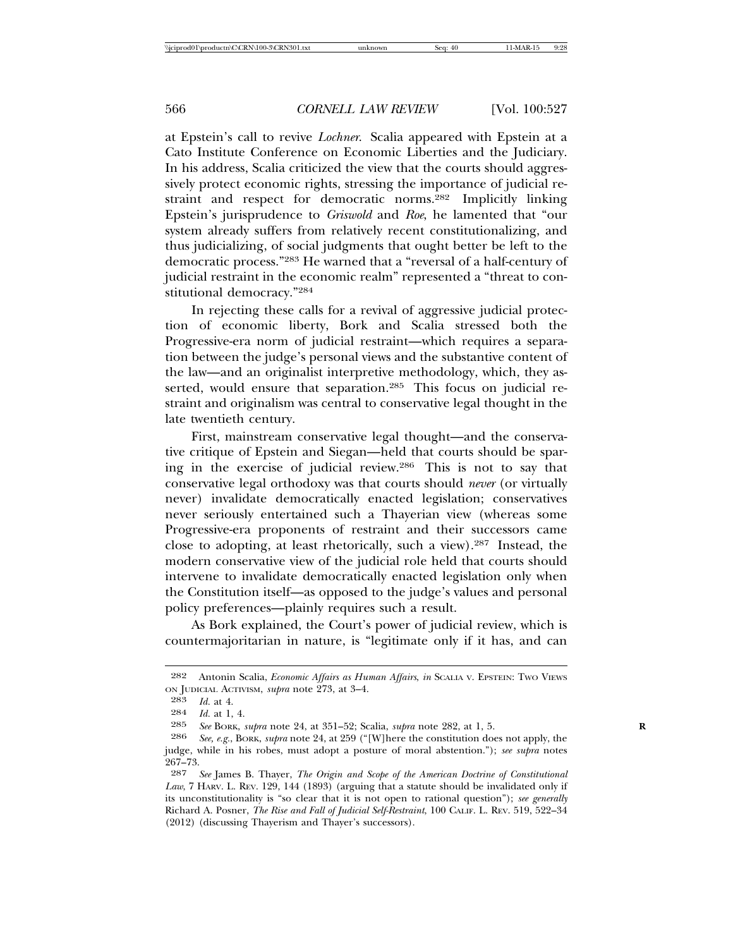at Epstein's call to revive *Lochner*. Scalia appeared with Epstein at a Cato Institute Conference on Economic Liberties and the Judiciary. In his address, Scalia criticized the view that the courts should aggressively protect economic rights, stressing the importance of judicial restraint and respect for democratic norms.282 Implicitly linking Epstein's jurisprudence to *Griswold* and *Roe*, he lamented that "our system already suffers from relatively recent constitutionalizing, and thus judicializing, of social judgments that ought better be left to the democratic process."283 He warned that a "reversal of a half-century of judicial restraint in the economic realm" represented a "threat to constitutional democracy."284

In rejecting these calls for a revival of aggressive judicial protection of economic liberty, Bork and Scalia stressed both the Progressive-era norm of judicial restraint—which requires a separation between the judge's personal views and the substantive content of the law—and an originalist interpretive methodology, which, they asserted, would ensure that separation.<sup>285</sup> This focus on judicial restraint and originalism was central to conservative legal thought in the late twentieth century.

First, mainstream conservative legal thought—and the conservative critique of Epstein and Siegan—held that courts should be sparing in the exercise of judicial review.286 This is not to say that conservative legal orthodoxy was that courts should *never* (or virtually never) invalidate democratically enacted legislation; conservatives never seriously entertained such a Thayerian view (whereas some Progressive-era proponents of restraint and their successors came close to adopting, at least rhetorically, such a view).287 Instead, the modern conservative view of the judicial role held that courts should intervene to invalidate democratically enacted legislation only when the Constitution itself—as opposed to the judge's values and personal policy preferences—plainly requires such a result.

As Bork explained, the Court's power of judicial review, which is countermajoritarian in nature, is "legitimate only if it has, and can

<sup>282</sup> Antonin Scalia, *Economic Affairs as Human Affairs*, *in* SCALIA V. EPSTEIN: TWO VIEWS ON JUDICIAL ACTIVISM, *supra* note 273, at 3–4.

<sup>283</sup> *Id.* at 4.

<sup>284</sup> *Id.* at 1, 4.<br>285 *See* BOPK

<sup>285</sup> *See* Bork, *supra* note 24, at 351–52; Scalia, *supra* note 282, at 1, 5.<br>286 *See e q*, Bork, *supra* note 24, at 259 ("[W]here the constitution does

<sup>286</sup> *See, e.g.*, BORK, *supra* note 24, at 259 ("[W]here the constitution does not apply, the judge, while in his robes, must adopt a posture of moral abstention."); *see supra* notes 267–73.

<sup>287</sup> *See* James B. Thayer, *The Origin and Scope of the American Doctrine of Constitutional Law*, 7 HARV. L. REV. 129, 144 (1893) (arguing that a statute should be invalidated only if its unconstitutionality is "so clear that it is not open to rational question"); *see generally* Richard A. Posner, *The Rise and Fall of Judicial Self-Restraint*, 100 CALIF. L. REV. 519, 522–34 (2012) (discussing Thayerism and Thayer's successors).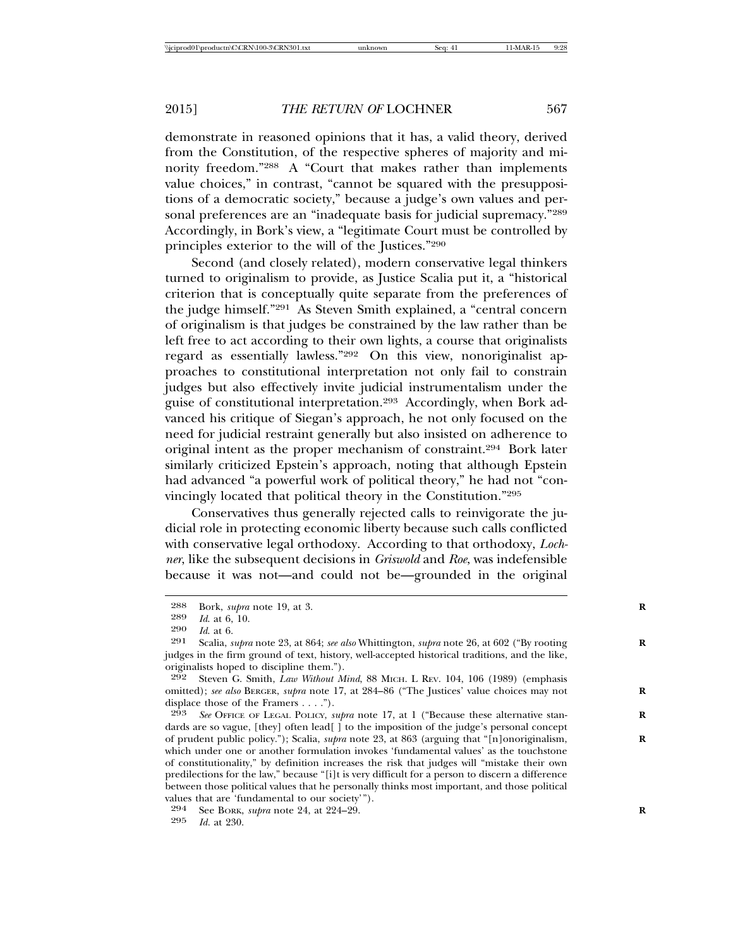demonstrate in reasoned opinions that it has, a valid theory, derived from the Constitution, of the respective spheres of majority and minority freedom."288 A "Court that makes rather than implements value choices," in contrast, "cannot be squared with the presuppositions of a democratic society," because a judge's own values and personal preferences are an "inadequate basis for judicial supremacy."<sup>289</sup> Accordingly, in Bork's view, a "legitimate Court must be controlled by principles exterior to the will of the Justices."290

Second (and closely related), modern conservative legal thinkers turned to originalism to provide, as Justice Scalia put it, a "historical criterion that is conceptually quite separate from the preferences of the judge himself."291 As Steven Smith explained, a "central concern of originalism is that judges be constrained by the law rather than be left free to act according to their own lights, a course that originalists regard as essentially lawless."292 On this view, nonoriginalist approaches to constitutional interpretation not only fail to constrain judges but also effectively invite judicial instrumentalism under the guise of constitutional interpretation.293 Accordingly, when Bork advanced his critique of Siegan's approach, he not only focused on the need for judicial restraint generally but also insisted on adherence to original intent as the proper mechanism of constraint.<sup>294</sup> Bork later similarly criticized Epstein's approach, noting that although Epstein had advanced "a powerful work of political theory," he had not "convincingly located that political theory in the Constitution."295

Conservatives thus generally rejected calls to reinvigorate the judicial role in protecting economic liberty because such calls conflicted with conservative legal orthodoxy. According to that orthodoxy, *Lochner*, like the subsequent decisions in *Griswold* and *Roe*, was indefensible because it was not—and could not be—grounded in the original

<sup>288</sup> Bork, *supra* note 19, at 3.<br>289 *Id* at 6 10

<sup>289</sup> *Id*. at 6, 10.

<sup>290</sup> *Id*. at 6.

<sup>291</sup> Scalia, *supra* note 23, at 864; *see also* Whittington, *supra* note 26, at 602 ("By rooting **R** judges in the firm ground of text, history, well-accepted historical traditions, and the like, originalists hoped to discipline them.").

<sup>292</sup> Steven G. Smith, *Law Without Mind*, 88 MICH. L REV. 104, 106 (1989) (emphasis omitted); *see also* BERGER, *supra* note 17, at 284–86 ("The Justices' value choices may not **R** displace those of the Framers . . . .").

<sup>293</sup> *See* OFFICE OF LEGAL POLICY, *supra* note 17, at 1 ("Because these alternative stan- **R** dards are so vague, [they] often lead[ ] to the imposition of the judge's personal concept of prudent public policy."); Scalia, *supra* note 23, at 863 (arguing that "[n]onoriginalism, **R** which under one or another formulation invokes 'fundamental values' as the touchstone of constitutionality," by definition increases the risk that judges will "mistake their own predilections for the law," because "[i]t is very difficult for a person to discern a difference between those political values that he personally thinks most important, and those political values that are 'fundamental to our society'").

<sup>294</sup> See Bork, *supra* note 24, at 224–29.<br>295 *R*<sub>1</sub> at 230

*Id.* at 230.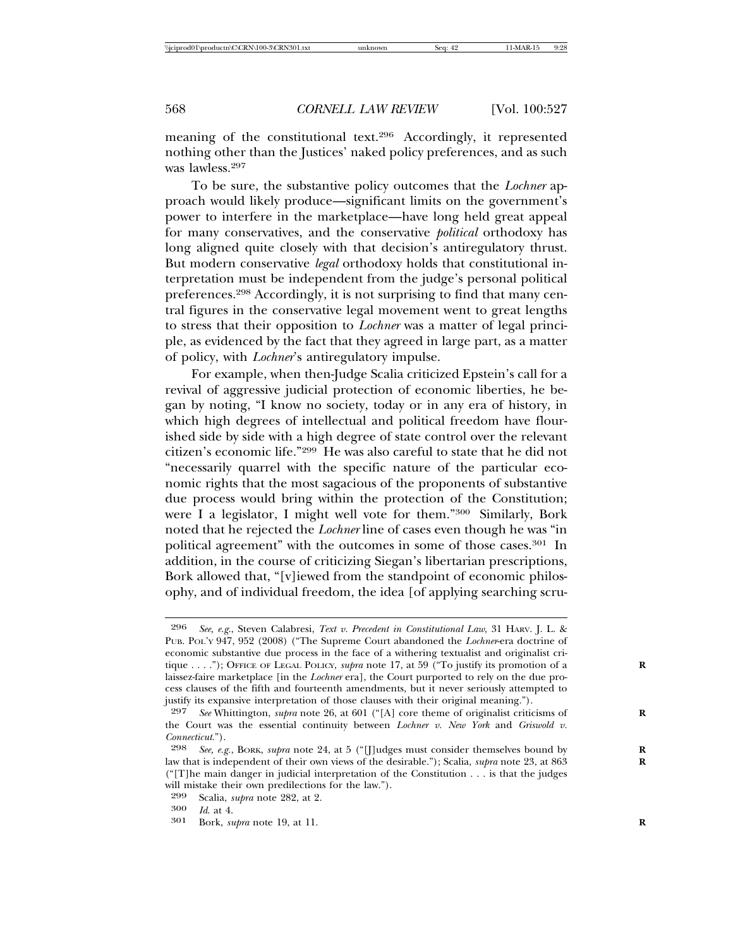meaning of the constitutional text.296 Accordingly, it represented nothing other than the Justices' naked policy preferences, and as such was lawless.297

To be sure, the substantive policy outcomes that the *Lochner* approach would likely produce—significant limits on the government's power to interfere in the marketplace—have long held great appeal for many conservatives, and the conservative *political* orthodoxy has long aligned quite closely with that decision's antiregulatory thrust. But modern conservative *legal* orthodoxy holds that constitutional interpretation must be independent from the judge's personal political preferences.298 Accordingly, it is not surprising to find that many central figures in the conservative legal movement went to great lengths to stress that their opposition to *Lochner* was a matter of legal principle, as evidenced by the fact that they agreed in large part, as a matter of policy, with *Lochner*'s antiregulatory impulse.

For example, when then-Judge Scalia criticized Epstein's call for a revival of aggressive judicial protection of economic liberties, he began by noting, "I know no society, today or in any era of history, in which high degrees of intellectual and political freedom have flourished side by side with a high degree of state control over the relevant citizen's economic life."299 He was also careful to state that he did not "necessarily quarrel with the specific nature of the particular economic rights that the most sagacious of the proponents of substantive due process would bring within the protection of the Constitution; were I a legislator, I might well vote for them."300 Similarly, Bork noted that he rejected the *Lochner* line of cases even though he was "in political agreement" with the outcomes in some of those cases.301 In addition, in the course of criticizing Siegan's libertarian prescriptions, Bork allowed that, "[v]iewed from the standpoint of economic philosophy, and of individual freedom, the idea [of applying searching scru-

<sup>296</sup> *See, e.g*., Steven Calabresi, *Text v. Precedent in Constitutional Law*, 31 HARV. J. L. & PUB. POL'Y 947, 952 (2008) ("The Supreme Court abandoned the *Lochner*-era doctrine of economic substantive due process in the face of a withering textualist and originalist critique . . . ."); OFFICE OF LEGAL POLICY, *supra* note 17, at 59 ("To justify its promotion of a laissez-faire marketplace [in the *Lochner* era], the Court purported to rely on the due process clauses of the fifth and fourteenth amendments, but it never seriously attempted to justify its expansive interpretation of those clauses with their original meaning.").

<sup>297</sup> *See* Whittington, *supra* note 26, at 601 ("[A] core theme of originalist criticisms of **R** the Court was the essential continuity between *Lochner v. New York* and *Griswold v. Connecticut*.").

See, e.g., BORK, *supra* note 24, at 5 ("[J]udges must consider themselves bound by law that is independent of their own views of the desirable."); Scalia, *supra* note 23, at 863  $("T]$ he main danger in judicial interpretation of the Constitution . . . is that the judges will mistake their own predilections for the law.").

<sup>299</sup> Scalia, *supra* note 282, at 2. <sup>300</sup> *Id*. at 4.

<sup>301</sup> Bork, *supra* note 19, at 11. **R**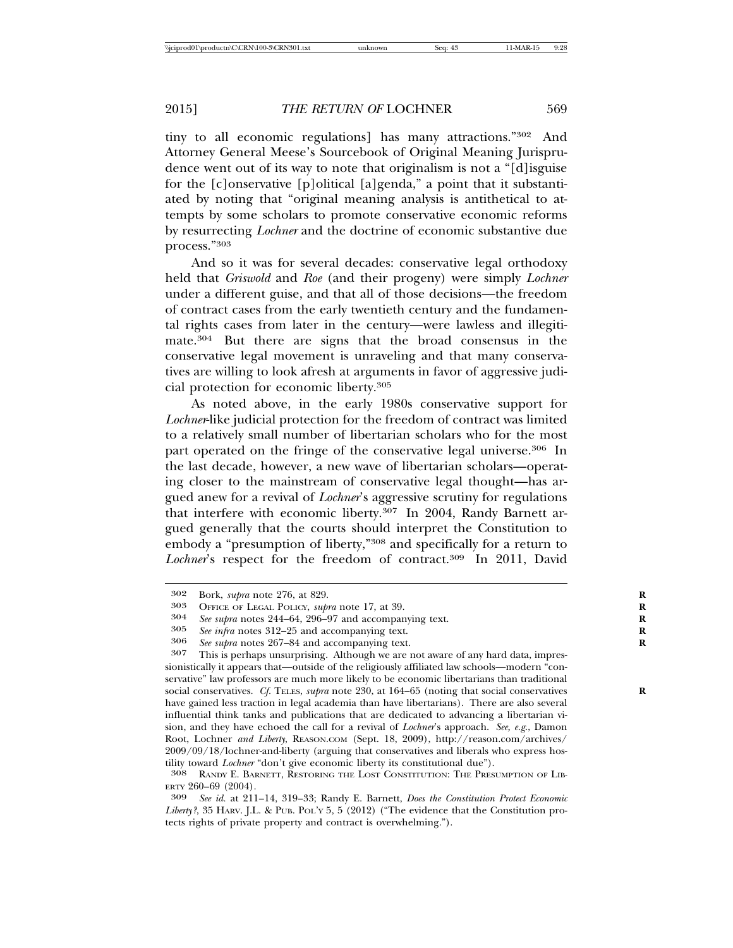tiny to all economic regulations] has many attractions."302 And Attorney General Meese's Sourcebook of Original Meaning Jurisprudence went out of its way to note that originalism is not a "[d]isguise for the [c]onservative [p]olitical [a]genda," a point that it substantiated by noting that "original meaning analysis is antithetical to attempts by some scholars to promote conservative economic reforms by resurrecting *Lochner* and the doctrine of economic substantive due process."303

And so it was for several decades: conservative legal orthodoxy held that *Griswold* and *Roe* (and their progeny) were simply *Lochner* under a different guise, and that all of those decisions—the freedom of contract cases from the early twentieth century and the fundamental rights cases from later in the century—were lawless and illegitimate.304 But there are signs that the broad consensus in the conservative legal movement is unraveling and that many conservatives are willing to look afresh at arguments in favor of aggressive judicial protection for economic liberty.305

As noted above, in the early 1980s conservative support for *Lochner*-like judicial protection for the freedom of contract was limited to a relatively small number of libertarian scholars who for the most part operated on the fringe of the conservative legal universe.306 In the last decade, however, a new wave of libertarian scholars—operating closer to the mainstream of conservative legal thought—has argued anew for a revival of *Lochner*'s aggressive scrutiny for regulations that interfere with economic liberty.307 In 2004, Randy Barnett argued generally that the courts should interpret the Constitution to embody a "presumption of liberty,"308 and specifically for a return to Lochner's respect for the freedom of contract.<sup>309</sup> In 2011, David

<sup>302</sup> Bork, *supra* note 276, at 829.<br>303 OFFICE OF LEGAL POLICY *Sub* 

<sup>303</sup> OFFICE OF LEGAL POLICY, *supra* note 17, at 39. **R**

<sup>304</sup> *See supra* notes 244–64, 296–97 and accompanying text. **R**

<sup>305</sup> *See infra* notes 312–25 and accompanying text.<br>
306 *See supra* notes 267–84 and accompanying text.<br>
307 This is perhans unsurprising Although we are r

This is perhaps unsurprising. Although we are not aware of any hard data, impressionistically it appears that—outside of the religiously affiliated law schools—modern "conservative" law professors are much more likely to be economic libertarians than traditional social conservatives. *Cf.* TELES, *supra* note 230, at 164–65 (noting that social conservatives have gained less traction in legal academia than have libertarians). There are also several influential think tanks and publications that are dedicated to advancing a libertarian vision, and they have echoed the call for a revival of *Lochner*'s approach. *See, e.g*., Damon Root, Lochner *and Liberty*, REASON.COM (Sept. 18, 2009), http://reason.com/archives/ 2009/09/18/lochner-and-liberty (arguing that conservatives and liberals who express hostility toward *Lochner* "don't give economic liberty its constitutional due").<br><sup>308</sup> RANDY E. BARNETT, RESTORING THE LOST CONSTITUTION: THE PRESUMPTION OF LIB-

ERTY 260–69 (2004). <sup>309</sup> *See id.* at 211–14, 319–33; Randy E. Barnett, *Does the Constitution Protect Economic*

Liberty?, 35 HARV. J.L. & PUB. POL'Y 5, 5 (2012) ("The evidence that the Constitution protects rights of private property and contract is overwhelming.").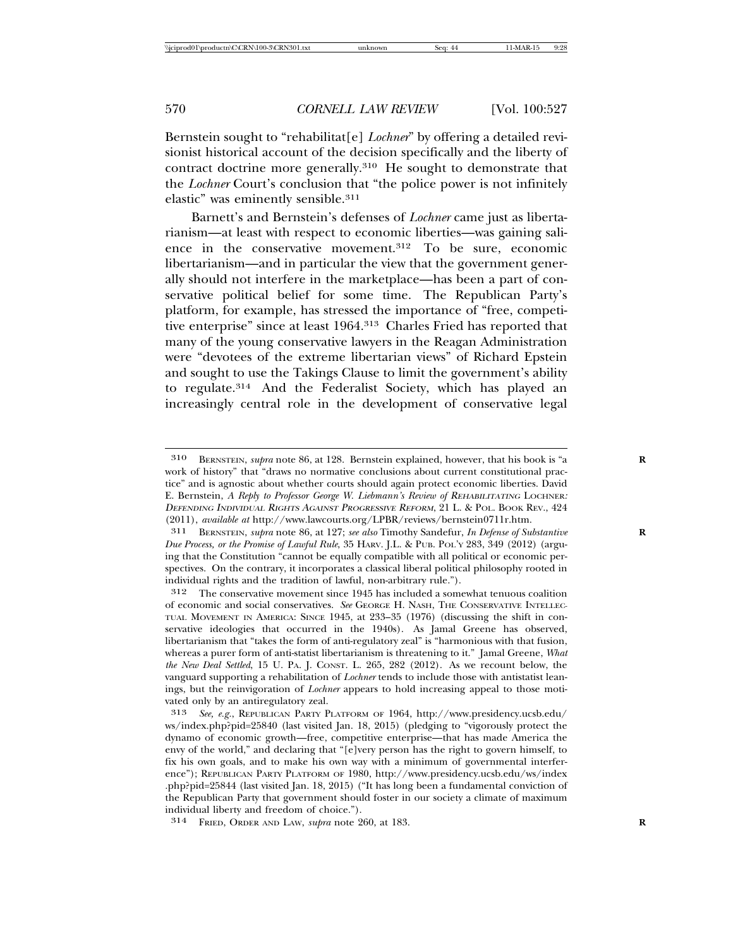Bernstein sought to "rehabilitat[e] *Lochner*" by offering a detailed revisionist historical account of the decision specifically and the liberty of contract doctrine more generally.310 He sought to demonstrate that the *Lochner* Court's conclusion that "the police power is not infinitely elastic" was eminently sensible.311

Barnett's and Bernstein's defenses of *Lochner* came just as libertarianism—at least with respect to economic liberties—was gaining salience in the conservative movement.312 To be sure, economic libertarianism—and in particular the view that the government generally should not interfere in the marketplace—has been a part of conservative political belief for some time. The Republican Party's platform, for example, has stressed the importance of "free, competitive enterprise" since at least 1964.313 Charles Fried has reported that many of the young conservative lawyers in the Reagan Administration were "devotees of the extreme libertarian views" of Richard Epstein and sought to use the Takings Clause to limit the government's ability to regulate.314 And the Federalist Society, which has played an increasingly central role in the development of conservative legal

<sup>310</sup> BERNSTEIN, *supra* note 86, at 128. Bernstein explained, however, that his book is "a **R** work of history" that "draws no normative conclusions about current constitutional practice" and is agnostic about whether courts should again protect economic liberties. David E. Bernstein, *A Reply to Professor George W. Liebmann's Review of REHABILITATING LOCHNER:* <sup>D</sup>EFENDING INDIVIDUAL RIGHTS AGAINST PROGRESSIVE REFORM, 21 L. & POL. BOOK REV., 424 (2011), *available at* http://www.lawcourts.org/LPBR/reviews/bernstein0711r.htm.

<sup>311</sup> BERNSTEIN, *supra* note 86, at 127; *see also* Timothy Sandefur, *In Defense of Substantive* **R** *Due Process, or the Promise of Lawful Rule*, 35 HARV. J.L. & PUB. POL'Y 283, 349 (2012) (arguing that the Constitution "cannot be equally compatible with all political or economic perspectives. On the contrary, it incorporates a classical liberal political philosophy rooted in individual rights and the tradition of lawful, non-arbitrary rule.").

<sup>312</sup> The conservative movement since 1945 has included a somewhat tenuous coalition of economic and social conservatives. *See* GEORGE H. NASH, THE CONSERVATIVE INTELLEC-TUAL MOVEMENT IN AMERICA: SINCE 1945, at 233–35 (1976) (discussing the shift in conservative ideologies that occurred in the 1940s). As Jamal Greene has observed, libertarianism that "takes the form of anti-regulatory zeal" is "harmonious with that fusion, whereas a purer form of anti-statist libertarianism is threatening to it." Jamal Greene, *What the New Deal Settled*, 15 U. PA. J. CONST. L. 265, 282 (2012). As we recount below, the vanguard supporting a rehabilitation of *Lochner* tends to include those with antistatist leanings, but the reinvigoration of *Lochner* appears to hold increasing appeal to those motivated only by an antiregulatory zeal.

<sup>313</sup> *See, e.g.*, REPUBLICAN PARTY PLATFORM OF 1964, http://www.presidency.ucsb.edu/ ws/index.php?pid=25840 (last visited Jan. 18, 2015) (pledging to "vigorously protect the dynamo of economic growth—free, competitive enterprise—that has made America the envy of the world," and declaring that "[e]very person has the right to govern himself, to fix his own goals, and to make his own way with a minimum of governmental interference"); REPUBLICAN PARTY PLATFORM OF 1980, http://www.presidency.ucsb.edu/ws/index .php?pid=25844 (last visited Jan. 18, 2015) ("It has long been a fundamental conviction of the Republican Party that government should foster in our society a climate of maximum individual liberty and freedom of choice.").

<sup>314</sup> FRIED, ORDER AND LAW, *supra* note 260, at 183. **R**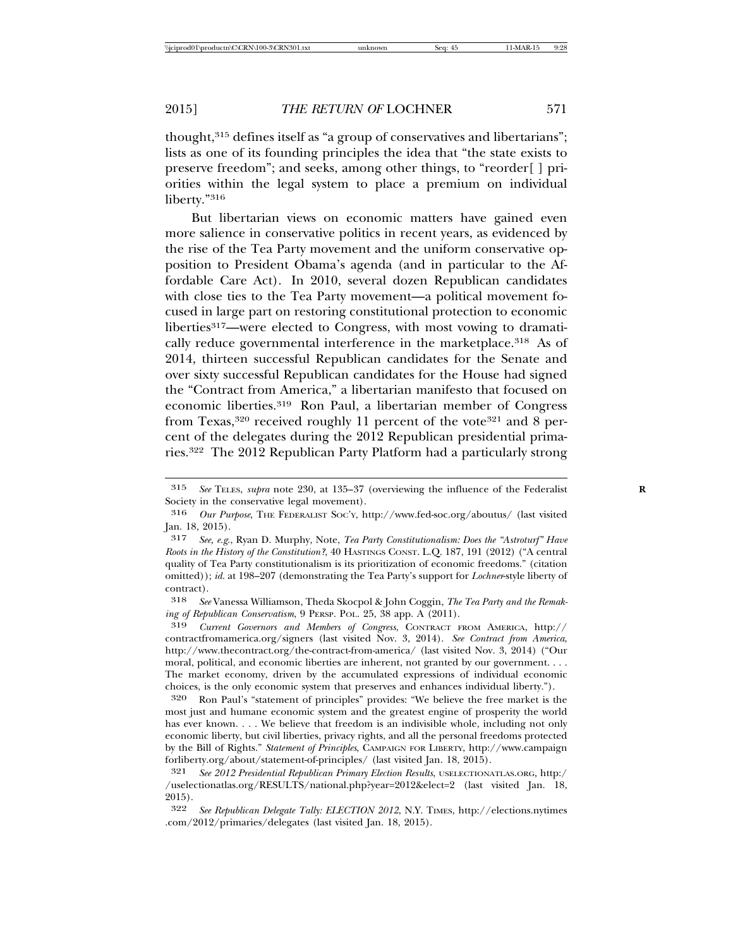thought,315 defines itself as "a group of conservatives and libertarians"; lists as one of its founding principles the idea that "the state exists to preserve freedom"; and seeks, among other things, to "reorder[ ] priorities within the legal system to place a premium on individual liberty."316

But libertarian views on economic matters have gained even more salience in conservative politics in recent years, as evidenced by the rise of the Tea Party movement and the uniform conservative opposition to President Obama's agenda (and in particular to the Affordable Care Act). In 2010, several dozen Republican candidates with close ties to the Tea Party movement—a political movement focused in large part on restoring constitutional protection to economic liberties<sup>317</sup>—were elected to Congress, with most vowing to dramatically reduce governmental interference in the marketplace.<sup>318</sup> As of 2014, thirteen successful Republican candidates for the Senate and over sixty successful Republican candidates for the House had signed the "Contract from America," a libertarian manifesto that focused on economic liberties.319 Ron Paul, a libertarian member of Congress from Texas,<sup>320</sup> received roughly 11 percent of the vote<sup>321</sup> and 8 percent of the delegates during the 2012 Republican presidential primaries.322 The 2012 Republican Party Platform had a particularly strong

<sup>315</sup> *See* TELES, *supra* note 230, at 135–37 (overviewing the influence of the Federalist **R** Society in the conservative legal movement).

<sup>316</sup> *Our Purpose*, THE FEDERALIST SOC'Y, http://www.fed-soc.org/aboutus/ (last visited Jan. 18, 2015).

<sup>317</sup> *See, e.g*., Ryan D. Murphy, Note, *Tea Party Constitutionalism: Does the "Astroturf" Have Roots in the History of the Constitution?*, 40 HASTINGS CONST. L.Q. 187, 191 (2012) ("A central quality of Tea Party constitutionalism is its prioritization of economic freedoms." (citation omitted)); *id.* at 198–207 (demonstrating the Tea Party's support for *Lochner*-style liberty of contract).

<sup>318</sup> *See* Vanessa Williamson, Theda Skocpol & John Coggin, *The Tea Party and the Remaking of Republican Conservatism*, 9 PERSP. POL. 25, 38 app. A (2011).

<sup>319</sup> *Current Governors and Members of Congress*, CONTRACT FROM AMERICA, http:// contractfromamerica.org/signers (last visited Nov. 3, 2014). *See Contract from America*, http://www.thecontract.org/the-contract-from-america/ (last visited Nov. 3, 2014) ("Our moral, political, and economic liberties are inherent, not granted by our government. . . . The market economy, driven by the accumulated expressions of individual economic choices, is the only economic system that preserves and enhances individual liberty.").

<sup>320</sup> Ron Paul's "statement of principles" provides: "We believe the free market is the most just and humane economic system and the greatest engine of prosperity the world has ever known. . . . We believe that freedom is an indivisible whole, including not only economic liberty, but civil liberties, privacy rights, and all the personal freedoms protected by the Bill of Rights." *Statement of Principles*, CAMPAIGN FOR LIBERTY, http://www.campaign forliberty.org/about/statement-of-principles/ (last visited Jan. 18, 2015).

<sup>321</sup> *See 2012 Presidential Republican Primary Election Results*, USELECTIONATLAS.ORG, http:/ /uselectionatlas.org/RESULTS/national.php?year=2012&elect=2 (last visited Jan. 18, 2015).

<sup>322</sup> *See Republican Delegate Tally: ELECTION 2012*, N.Y. TIMES, http://elections.nytimes .com/2012/primaries/delegates (last visited Jan. 18, 2015).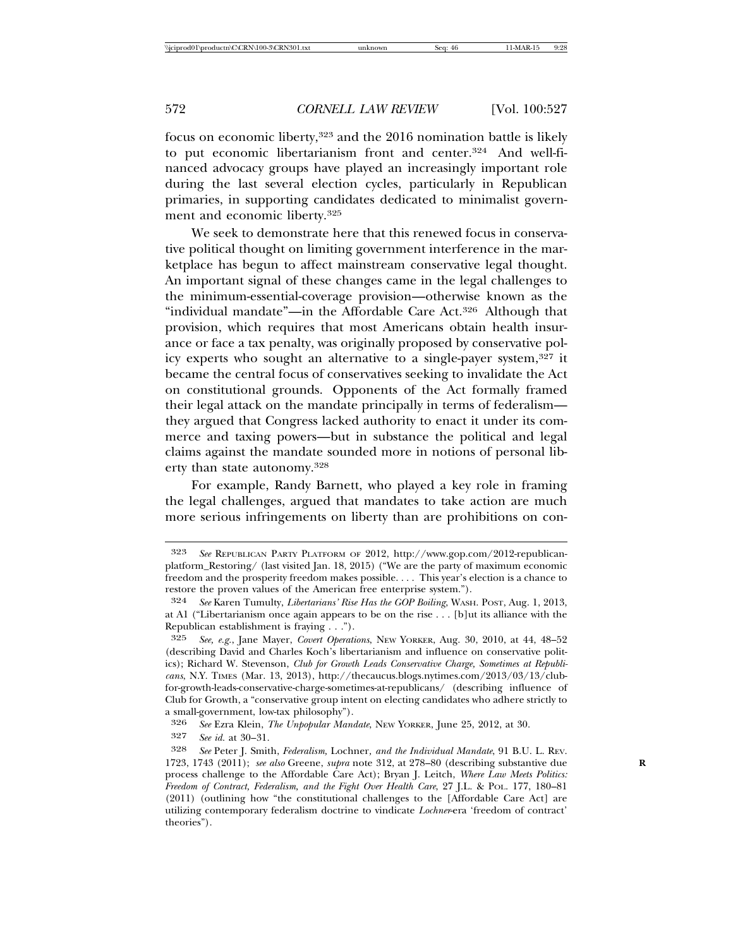focus on economic liberty,<sup>323</sup> and the 2016 nomination battle is likely to put economic libertarianism front and center.324 And well-financed advocacy groups have played an increasingly important role during the last several election cycles, particularly in Republican primaries, in supporting candidates dedicated to minimalist government and economic liberty.325

We seek to demonstrate here that this renewed focus in conservative political thought on limiting government interference in the marketplace has begun to affect mainstream conservative legal thought. An important signal of these changes came in the legal challenges to the minimum-essential-coverage provision—otherwise known as the "individual mandate"—in the Affordable Care Act.<sup>326</sup> Although that provision, which requires that most Americans obtain health insurance or face a tax penalty, was originally proposed by conservative policy experts who sought an alternative to a single-payer system,327 it became the central focus of conservatives seeking to invalidate the Act on constitutional grounds. Opponents of the Act formally framed their legal attack on the mandate principally in terms of federalism they argued that Congress lacked authority to enact it under its commerce and taxing powers—but in substance the political and legal claims against the mandate sounded more in notions of personal liberty than state autonomy.328

For example, Randy Barnett, who played a key role in framing the legal challenges, argued that mandates to take action are much more serious infringements on liberty than are prohibitions on con-

<sup>323</sup> *See* REPUBLICAN PARTY PLATFORM OF 2012, http://www.gop.com/2012-republicanplatform\_Restoring/ (last visited Jan. 18, 2015) ("We are the party of maximum economic freedom and the prosperity freedom makes possible. . . . This year's election is a chance to restore the proven values of the American free enterprise system.").

<sup>324</sup> *See* Karen Tumulty, *Libertarians' Rise Has the GOP Boiling*, WASH. POST, Aug. 1, 2013, at A1 ("Libertarianism once again appears to be on the rise . . . [b]ut its alliance with the Republican establishment is fraying . . .").

<sup>325</sup> *See, e.g.*, Jane Mayer, *Covert Operations*, NEW YORKER, Aug. 30, 2010, at 44, 48–52 (describing David and Charles Koch's libertarianism and influence on conservative politics); Richard W. Stevenson, *Club for Growth Leads Conservative Charge, Sometimes at Republicans*, N.Y. TIMES (Mar. 13, 2013), http://thecaucus.blogs.nytimes.com/2013/03/13/clubfor-growth-leads-conservative-charge-sometimes-at-republicans/ (describing influence of Club for Growth, a "conservative group intent on electing candidates who adhere strictly to a small-government, low-tax philosophy").

<sup>326</sup> *See* Ezra Klein, *The Unpopular Mandate*, NEW YORKER, June 25, 2012, at 30.

See id. at 30–31.

<sup>328</sup> *See* Peter J. Smith, *Federalism,* Lochner*, and the Individual Mandate*, 91 B.U. L. REV. 1723, 1743 (2011); *see also* Greene, *supra* note 312, at 278–80 (describing substantive due **R** process challenge to the Affordable Care Act); Bryan J. Leitch, *Where Law Meets Politics: Freedom of Contract, Federalism, and the Fight Over Health Care*, 27 J.L. & POL. 177, 180–81 (2011) (outlining how "the constitutional challenges to the [Affordable Care Act] are utilizing contemporary federalism doctrine to vindicate *Lochner*-era 'freedom of contract' theories").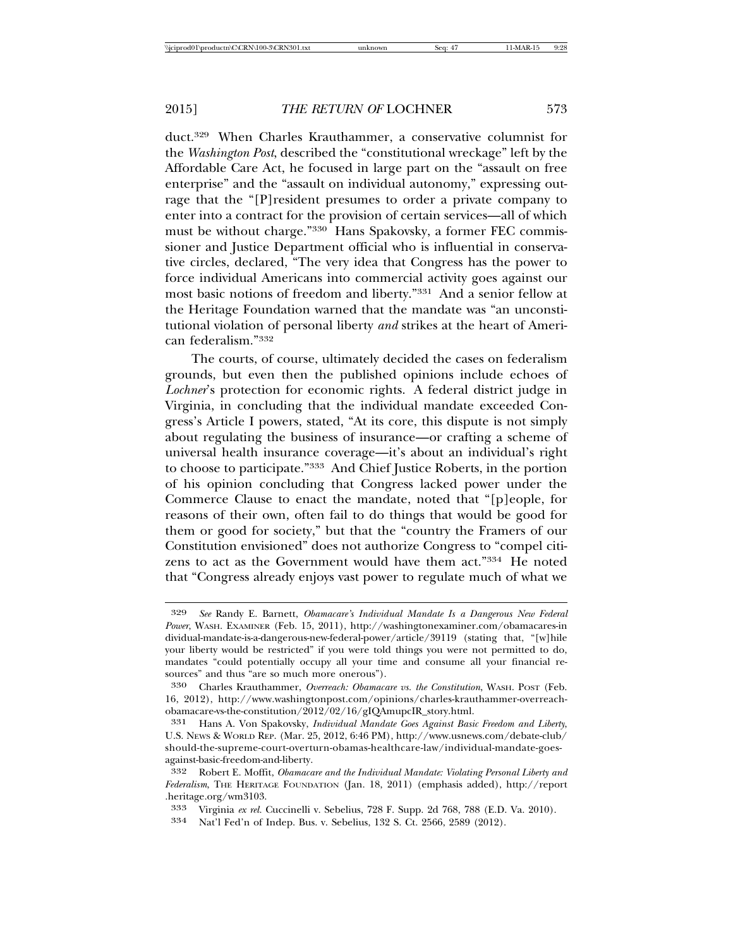duct.329 When Charles Krauthammer, a conservative columnist for the *Washington Post*, described the "constitutional wreckage" left by the Affordable Care Act, he focused in large part on the "assault on free enterprise" and the "assault on individual autonomy," expressing outrage that the "[P]resident presumes to order a private company to enter into a contract for the provision of certain services—all of which must be without charge."330 Hans Spakovsky, a former FEC commissioner and Justice Department official who is influential in conservative circles, declared, "The very idea that Congress has the power to force individual Americans into commercial activity goes against our most basic notions of freedom and liberty."331 And a senior fellow at the Heritage Foundation warned that the mandate was "an unconstitutional violation of personal liberty *and* strikes at the heart of American federalism."332

The courts, of course, ultimately decided the cases on federalism grounds, but even then the published opinions include echoes of *Lochner*'s protection for economic rights. A federal district judge in Virginia, in concluding that the individual mandate exceeded Congress's Article I powers, stated, "At its core, this dispute is not simply about regulating the business of insurance—or crafting a scheme of universal health insurance coverage—it's about an individual's right to choose to participate."333 And Chief Justice Roberts, in the portion of his opinion concluding that Congress lacked power under the Commerce Clause to enact the mandate, noted that "[p]eople, for reasons of their own, often fail to do things that would be good for them or good for society," but that the "country the Framers of our Constitution envisioned" does not authorize Congress to "compel citizens to act as the Government would have them act."334 He noted that "Congress already enjoys vast power to regulate much of what we

<sup>329</sup> *See* Randy E. Barnett, *Obamacare's Individual Mandate Is a Dangerous New Federal Power*, WASH. EXAMINER (Feb. 15, 2011), http://washingtonexaminer.com/obamacares-in dividual-mandate-is-a-dangerous-new-federal-power/article/39119 (stating that, "[w]hile your liberty would be restricted" if you were told things you were not permitted to do, mandates "could potentially occupy all your time and consume all your financial resources" and thus "are so much more onerous").

<sup>330</sup> Charles Krauthammer, *Overreach: Obamacare vs. the Constitution*, WASH. POST (Feb. 16, 2012), http://www.washingtonpost.com/opinions/charles-krauthammer-overreachobamacare-vs-the-constitution/2012/02/16/gIQAmupcIR\_story.html.

<sup>331</sup> Hans A. Von Spakovsky, *Individual Mandate Goes Against Basic Freedom and Liberty*, U.S. NEWS & WORLD REP. (Mar. 25, 2012, 6:46 PM), http://www.usnews.com/debate-club/ should-the-supreme-court-overturn-obamas-healthcare-law/individual-mandate-goesagainst-basic-freedom-and-liberty.

<sup>332</sup> Robert E. Moffit, *Obamacare and the Individual Mandate: Violating Personal Liberty and Federalism*, THE HERITAGE FOUNDATION (Jan. 18, 2011) (emphasis added), http://report .heritage.org/wm3103.

<sup>333</sup> Virginia *ex rel.* Cuccinelli v. Sebelius, 728 F. Supp. 2d 768, 788 (E.D. Va. 2010).

<sup>334</sup> Nat'l Fed'n of Indep. Bus. v. Sebelius, 132 S. Ct. 2566, 2589 (2012).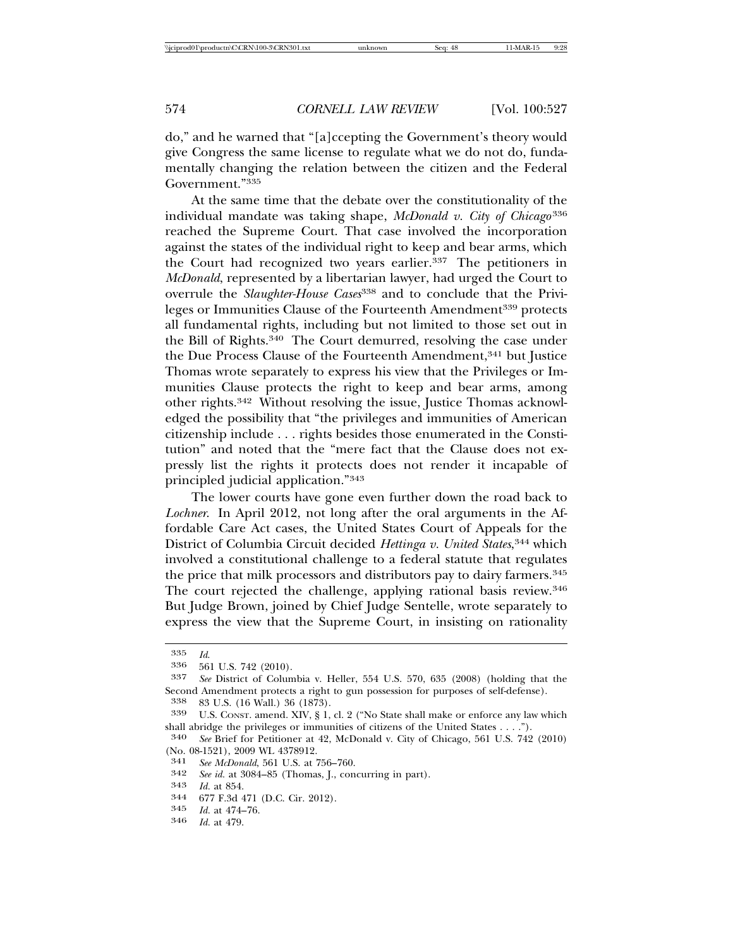do," and he warned that "[a]ccepting the Government's theory would give Congress the same license to regulate what we do not do, fundamentally changing the relation between the citizen and the Federal Government."335

At the same time that the debate over the constitutionality of the individual mandate was taking shape, *McDonald v. City of Chicago* <sup>336</sup> reached the Supreme Court. That case involved the incorporation against the states of the individual right to keep and bear arms, which the Court had recognized two years earlier.<sup>337</sup> The petitioners in *McDonald*, represented by a libertarian lawyer, had urged the Court to overrule the *Slaughter-House Cases*338 and to conclude that the Privileges or Immunities Clause of the Fourteenth Amendment<sup>339</sup> protects all fundamental rights, including but not limited to those set out in the Bill of Rights.340 The Court demurred, resolving the case under the Due Process Clause of the Fourteenth Amendment,<sup>341</sup> but Justice Thomas wrote separately to express his view that the Privileges or Immunities Clause protects the right to keep and bear arms, among other rights.342 Without resolving the issue, Justice Thomas acknowledged the possibility that "the privileges and immunities of American citizenship include . . . rights besides those enumerated in the Constitution" and noted that the "mere fact that the Clause does not expressly list the rights it protects does not render it incapable of principled judicial application."343

The lower courts have gone even further down the road back to *Lochner*. In April 2012, not long after the oral arguments in the Affordable Care Act cases, the United States Court of Appeals for the District of Columbia Circuit decided *Hettinga v. United States*, 344 which involved a constitutional challenge to a federal statute that regulates the price that milk processors and distributors pay to dairy farmers.<sup>345</sup> The court rejected the challenge, applying rational basis review.<sup>346</sup> But Judge Brown, joined by Chief Judge Sentelle, wrote separately to express the view that the Supreme Court, in insisting on rationality

<sup>342</sup> *See id.* at 3084–85 (Thomas, J., concurring in part). <sup>343</sup> *Id.* at 854. <sup>344</sup> 677 F.3d 471 (D.C. Cir. 2012).

<sup>335</sup> *Id*. <sup>336</sup> 561 U.S. 742 (2010).

<sup>337</sup> *See* District of Columbia v. Heller, 554 U.S. 570, 635 (2008) (holding that the Second Amendment protects a right to gun possession for purposes of self-defense).

<sup>338</sup> 83 U.S. (16 Wall.) 36 (1873). <sup>339</sup> U.S. CONST. amend. XIV, § 1, cl. 2 ("No State shall make or enforce any law which

shall abridge the privileges or immunities of citizens of the United States . . . .").<br>340 See Brief for Petitioner at 49 McDonald v City of Chicago 561 U.S. 749

See Brief for Petitioner at 42, McDonald v. City of Chicago, 561 U.S. 742 (2010) (No. 08-1521), 2009 WL 4378912.<br>341 See McDonald 561 U.S. at '

<sup>341</sup> *See McDonald*, 561 U.S. at 756–760.

<sup>345</sup> *Id.* at 474–76. <sup>346</sup> *Id.* at 479.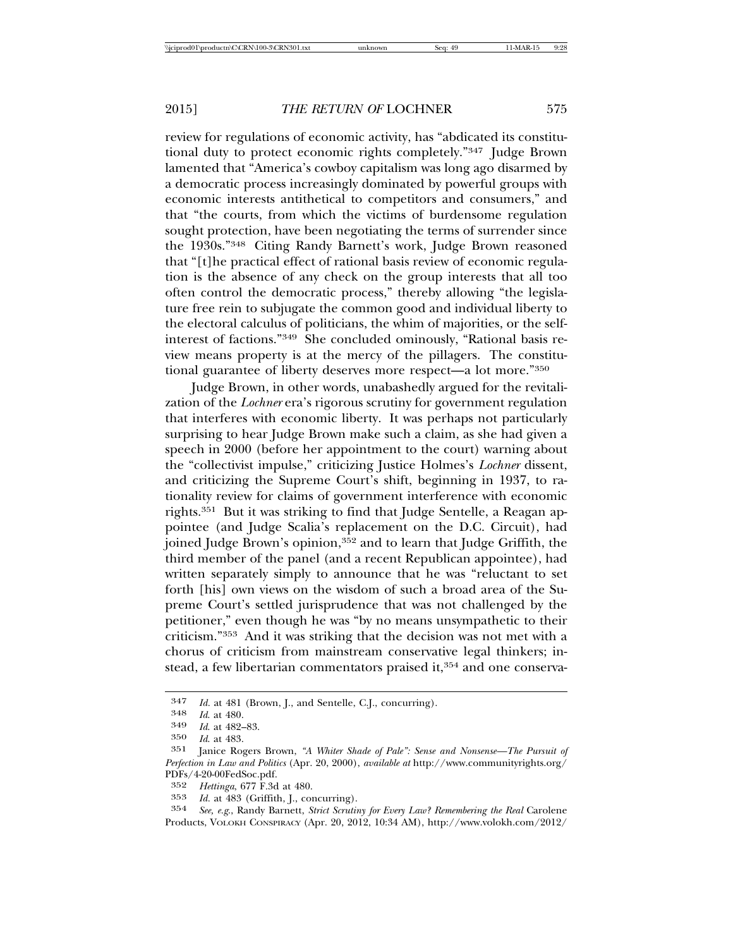review for regulations of economic activity, has "abdicated its constitutional duty to protect economic rights completely."347 Judge Brown lamented that "America's cowboy capitalism was long ago disarmed by a democratic process increasingly dominated by powerful groups with economic interests antithetical to competitors and consumers," and that "the courts, from which the victims of burdensome regulation sought protection, have been negotiating the terms of surrender since the 1930s."348 Citing Randy Barnett's work, Judge Brown reasoned that "[t]he practical effect of rational basis review of economic regulation is the absence of any check on the group interests that all too often control the democratic process," thereby allowing "the legislature free rein to subjugate the common good and individual liberty to the electoral calculus of politicians, the whim of majorities, or the selfinterest of factions."349 She concluded ominously, "Rational basis review means property is at the mercy of the pillagers. The constitutional guarantee of liberty deserves more respect—a lot more."350

Judge Brown, in other words, unabashedly argued for the revitalization of the *Lochner* era's rigorous scrutiny for government regulation that interferes with economic liberty. It was perhaps not particularly surprising to hear Judge Brown make such a claim, as she had given a speech in 2000 (before her appointment to the court) warning about the "collectivist impulse," criticizing Justice Holmes's *Lochner* dissent, and criticizing the Supreme Court's shift, beginning in 1937, to rationality review for claims of government interference with economic rights.351 But it was striking to find that Judge Sentelle, a Reagan appointee (and Judge Scalia's replacement on the D.C. Circuit), had joined Judge Brown's opinion,<sup>352</sup> and to learn that Judge Griffith, the third member of the panel (and a recent Republican appointee), had written separately simply to announce that he was "reluctant to set forth [his] own views on the wisdom of such a broad area of the Supreme Court's settled jurisprudence that was not challenged by the petitioner," even though he was "by no means unsympathetic to their criticism."353 And it was striking that the decision was not met with a chorus of criticism from mainstream conservative legal thinkers; instead, a few libertarian commentators praised it,<sup>354</sup> and one conserva-

<sup>347</sup> *Id.* at 481 (Brown, J., and Sentelle, C.J., concurring). <sup>348</sup> *Id*. at 480. <sup>349</sup> *Id*. at 482–83.

<sup>350</sup> *Id*. at 483.

Janice Rogers Brown, "A Whiter Shade of Pale": Sense and Nonsense-The Pursuit of *Perfection in Law and Politics* (Apr. 20, 2000), *available at* http://www.communityrights.org/ PDFs/4-20-00FedSoc.pdf.

<sup>352</sup> *Hettinga*, 677 F.3d at 480.

<sup>353</sup> *Id.* at 483 (Griffith, J., concurring).<br>354 *See. e.g.*, Randy Barnett, *Strict Scrutin* 

<sup>354</sup> *See, e.g*., Randy Barnett, *Strict Scrutiny for Every Law? Remembering the Real* Carolene Products, VOLOKH CONSPIRACY (Apr. 20, 2012, 10:34 AM), http://www.volokh.com/2012/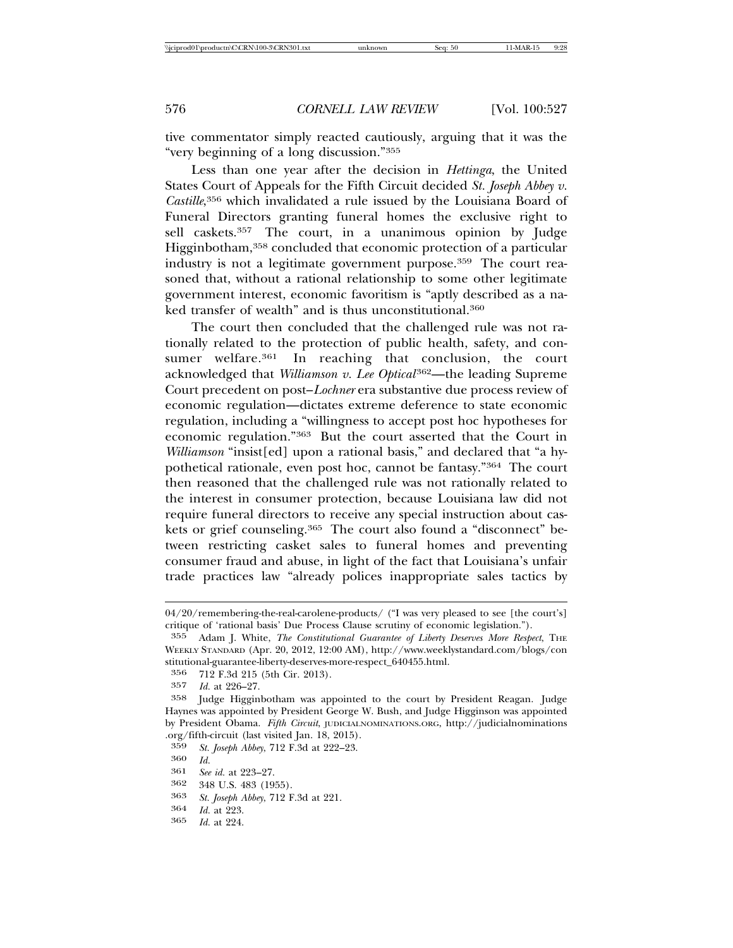tive commentator simply reacted cautiously, arguing that it was the "very beginning of a long discussion."355

Less than one year after the decision in *Hettinga*, the United States Court of Appeals for the Fifth Circuit decided *St. Joseph Abbey v. Castille*, 356 which invalidated a rule issued by the Louisiana Board of Funeral Directors granting funeral homes the exclusive right to sell caskets.<sup>357</sup> The court, in a unanimous opinion by Judge Higginbotham,<sup>358</sup> concluded that economic protection of a particular industry is not a legitimate government purpose.<sup>359</sup> The court reasoned that, without a rational relationship to some other legitimate government interest, economic favoritism is "aptly described as a naked transfer of wealth" and is thus unconstitutional.<sup>360</sup>

The court then concluded that the challenged rule was not rationally related to the protection of public health, safety, and consumer welfare.<sup>361</sup> In reaching that conclusion, the court acknowledged that *Williamson v. Lee Optical*<sup>362</sup>—the leading Supreme Court precedent on post–*Lochner* era substantive due process review of economic regulation—dictates extreme deference to state economic regulation, including a "willingness to accept post hoc hypotheses for economic regulation."363 But the court asserted that the Court in *Williamson* "insist[ed] upon a rational basis," and declared that "a hypothetical rationale, even post hoc, cannot be fantasy."364 The court then reasoned that the challenged rule was not rationally related to the interest in consumer protection, because Louisiana law did not require funeral directors to receive any special instruction about caskets or grief counseling.<sup>365</sup> The court also found a "disconnect" between restricting casket sales to funeral homes and preventing consumer fraud and abuse, in light of the fact that Louisiana's unfair trade practices law "already polices inappropriate sales tactics by

- 361 *See id.* at 223–27.
- 
- <sup>362</sup> 348 U.S. 483 (1955). <sup>363</sup> *St. Joseph Abbey*, 712 F.3d at 221. <sup>364</sup> *Id.* at 223.
- 
- *Id.* at 224.

<sup>04/20/</sup>remembering-the-real-carolene-products/ ("I was very pleased to see [the court's] critique of 'rational basis' Due Process Clause scrutiny of economic legislation.").<br>355 Adam I. White. The Constitutional Guarantee of Liberty Deserves More Respe

<sup>355</sup> Adam J. White, *The Constitutional Guarantee of Liberty Deserves More Respect*, THE WEEKLY STANDARD (Apr. 20, 2012, 12:00 AM), http://www.weeklystandard.com/blogs/con stitutional-guarantee-liberty-deserves-more-respect\_640455.html.

<sup>356 712</sup> F.3d 215 (5th Cir. 2013).<br>357 *Id.* at 226–27.

<sup>357</sup> *Id.* at 226–27.

Judge Higginbotham was appointed to the court by President Reagan. Judge Haynes was appointed by President George W. Bush, and Judge Higginson was appointed by President Obama. *Fifth Circuit*, JUDICIALNOMINATIONS.ORG, http://judicialnominations .org/fifth-circuit (last visited Jan. 18, 2015).

<sup>359</sup> *St. Joseph Abbey*, 712 F.3d at 222–23. <sup>360</sup> *Id.*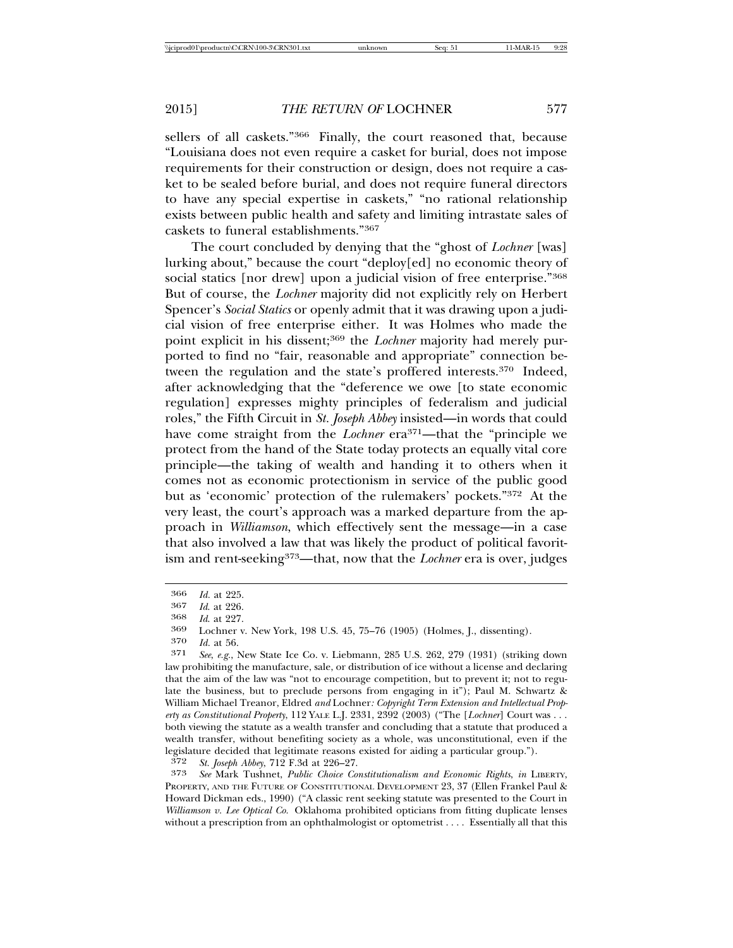sellers of all caskets."<sup>366</sup> Finally, the court reasoned that, because "Louisiana does not even require a casket for burial, does not impose requirements for their construction or design, does not require a casket to be sealed before burial, and does not require funeral directors to have any special expertise in caskets," "no rational relationship exists between public health and safety and limiting intrastate sales of caskets to funeral establishments."367

The court concluded by denying that the "ghost of *Lochner* [was] lurking about," because the court "deploy[ed] no economic theory of social statics [nor drew] upon a judicial vision of free enterprise."<sup>368</sup> But of course, the *Lochner* majority did not explicitly rely on Herbert Spencer's *Social Statics* or openly admit that it was drawing upon a judicial vision of free enterprise either. It was Holmes who made the point explicit in his dissent;<sup>369</sup> the *Lochner* majority had merely purported to find no "fair, reasonable and appropriate" connection between the regulation and the state's proffered interests.370 Indeed, after acknowledging that the "deference we owe [to state economic regulation] expresses mighty principles of federalism and judicial roles," the Fifth Circuit in *St. Joseph Abbey* insisted—in words that could have come straight from the *Lochner* era<sup>371</sup>—that the "principle we protect from the hand of the State today protects an equally vital core principle—the taking of wealth and handing it to others when it comes not as economic protectionism in service of the public good but as 'economic' protection of the rulemakers' pockets."372 At the very least, the court's approach was a marked departure from the approach in *Williamson*, which effectively sent the message—in a case that also involved a law that was likely the product of political favoritism and rent-seeking373—that, now that the *Lochner* era is over, judges

370 *Id.* at 56.

372 *St. Joseph Abbey*, 712 F.3d at 226–27.

373 *See* Mark Tushnet, *Public Choice Constitutionalism and Economic Rights*, *in* LIBERTY, PROPERTY, AND THE FUTURE OF CONSTITUTIONAL DEVELOPMENT 23, 37 (Ellen Frankel Paul & Howard Dickman eds., 1990) ("A classic rent seeking statute was presented to the Court in *Williamson v. Lee Optical Co.* Oklahoma prohibited opticians from fitting duplicate lenses without a prescription from an ophthalmologist or optometrist . . . . Essentially all that this

<sup>366</sup> *Id.* at 225.

<sup>367</sup> *Id*. at 226. <sup>368</sup> *Id*. at 227. <sup>369</sup> Lochner v. New York, 198 U.S. 45, 75–76 (1905) (Holmes, J., dissenting).

<sup>371</sup> *See*, *e.g.*, New State Ice Co. v. Liebmann, 285 U.S. 262, 279 (1931) (striking down law prohibiting the manufacture, sale, or distribution of ice without a license and declaring that the aim of the law was "not to encourage competition, but to prevent it; not to regulate the business, but to preclude persons from engaging in it"); Paul M. Schwartz & William Michael Treanor, Eldred *and* Lochner*: Copyright Term Extension and Intellectual Property as Constitutional Property*, 112 YALE L.J. 2331, 2392 (2003) ("The [*Lochner*] Court was . . . both viewing the statute as a wealth transfer and concluding that a statute that produced a wealth transfer, without benefiting society as a whole, was unconstitutional, even if the legislature decided that legitimate reasons existed for aiding a particular group.").<br> $372 \text{ St.}$  *Issebh Abhex*, 712 F.3d at 226–27.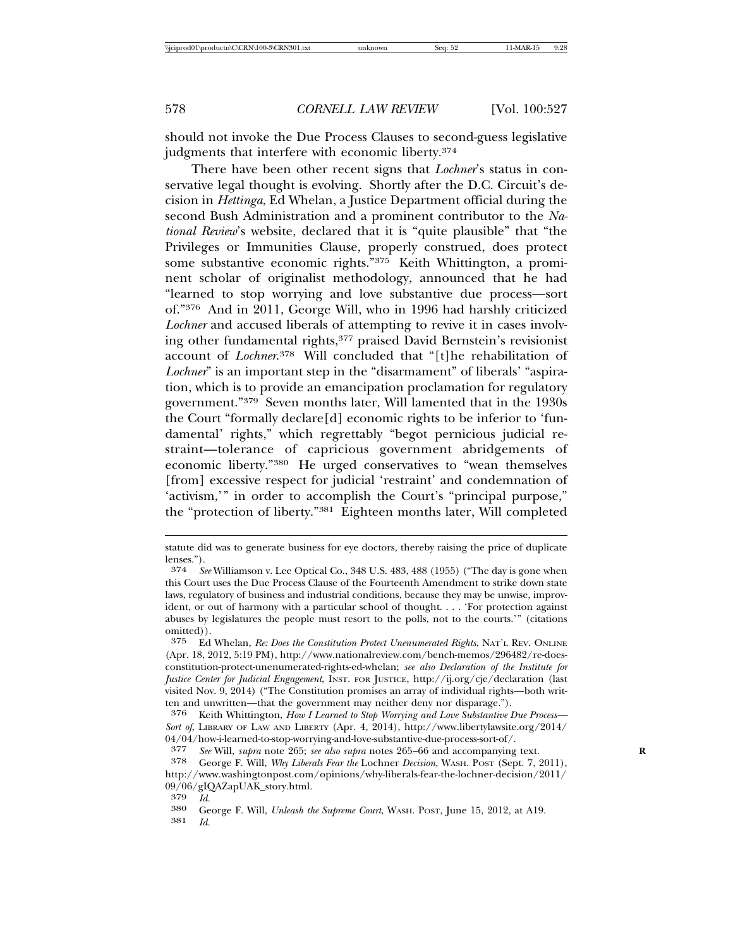should not invoke the Due Process Clauses to second-guess legislative judgments that interfere with economic liberty.<sup>374</sup>

There have been other recent signs that *Lochner*'s status in conservative legal thought is evolving. Shortly after the D.C. Circuit's decision in *Hettinga*, Ed Whelan, a Justice Department official during the second Bush Administration and a prominent contributor to the *National Review*'s website, declared that it is "quite plausible" that "the Privileges or Immunities Clause, properly construed, does protect some substantive economic rights."375 Keith Whittington, a prominent scholar of originalist methodology, announced that he had "learned to stop worrying and love substantive due process—sort of."376 And in 2011, George Will, who in 1996 had harshly criticized *Lochner* and accused liberals of attempting to revive it in cases involving other fundamental rights,<sup>377</sup> praised David Bernstein's revisionist account of *Lochner*. 378 Will concluded that "[t]he rehabilitation of *Lochner*" is an important step in the "disarmament" of liberals' "aspiration, which is to provide an emancipation proclamation for regulatory government."379 Seven months later, Will lamented that in the 1930s the Court "formally declare[d] economic rights to be inferior to 'fundamental' rights," which regrettably "begot pernicious judicial restraint—tolerance of capricious government abridgements of economic liberty."380 He urged conservatives to "wean themselves [from] excessive respect for judicial 'restraint' and condemnation of 'activism,'" in order to accomplish the Court's "principal purpose," the "protection of liberty."381 Eighteen months later, Will completed

statute did was to generate business for eye doctors, thereby raising the price of duplicate lenses.").<br> $\frac{374}{9}$ 

<sup>374</sup> *See* Williamson v. Lee Optical Co., 348 U.S. 483, 488 (1955) ("The day is gone when this Court uses the Due Process Clause of the Fourteenth Amendment to strike down state laws, regulatory of business and industrial conditions, because they may be unwise, improvident, or out of harmony with a particular school of thought. . . . 'For protection against abuses by legislatures the people must resort to the polls, not to the courts.'" (citations omitted)).<br>375 F.d

<sup>375</sup> Ed Whelan, *Re: Does the Constitution Protect Unenumerated Rights*, NAT'L REV. ONLINE (Apr. 18, 2012, 5:19 PM), http://www.nationalreview.com/bench-memos/296482/re-doesconstitution-protect-unenumerated-rights-ed-whelan; *see also Declaration of the Institute for Justice Center for Judicial Engagement*, INST. FOR JUSTICE, http://ij.org/cje/declaration (last visited Nov. 9, 2014) ("The Constitution promises an array of individual rights—both written and unwritten—that the government may neither deny nor disparage.").

<sup>376</sup> Keith Whittington, *How I Learned to Stop Worrying and Love Substantive Due Process— Sort of*, LIBRARY OF LAW AND LIBERTY (Apr. 4, 2014), http://www.libertylawsite.org/2014/  $04/04$ /how-i-learned-to-stop-worrying-and-love-substantive-due-process-sort-of/.<br>377 See Will, subra note 965: see also subra notes 965–66 and accompanying

<sup>377</sup> *See* Will, *supra* note 265; *see also supra* notes 265–66 and accompanying text. **R**

<sup>378</sup> George F. Will, *Why Liberals Fear the* Lochner *Decision*, WASH. POST (Sept. 7, 2011), http://www.washingtonpost.com/opinions/why-liberals-fear-the-lochner-decision/2011/ 09/06/gIQAZapUAK\_story.html.<br>379 Id

<sup>379</sup> *Id.* <sup>380</sup> George F. Will, *Unleash the Supreme Court*, WASH. POST, June 15, 2012, at A19. 381 *Id.*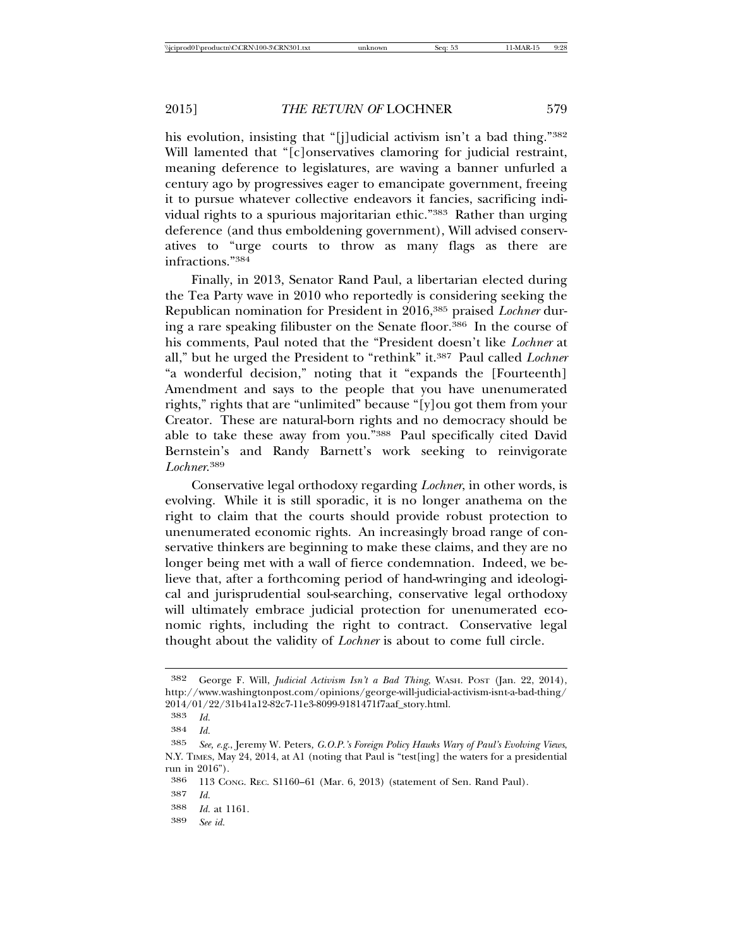his evolution, insisting that "[j]udicial activism isn't a bad thing."382 Will lamented that "[c]onservatives clamoring for judicial restraint, meaning deference to legislatures, are waving a banner unfurled a century ago by progressives eager to emancipate government, freeing it to pursue whatever collective endeavors it fancies, sacrificing individual rights to a spurious majoritarian ethic."383 Rather than urging deference (and thus emboldening government), Will advised conservatives to "urge courts to throw as many flags as there are infractions."384

Finally, in 2013, Senator Rand Paul, a libertarian elected during the Tea Party wave in 2010 who reportedly is considering seeking the Republican nomination for President in 2016,385 praised *Lochner* during a rare speaking filibuster on the Senate floor.386 In the course of his comments, Paul noted that the "President doesn't like *Lochner* at all," but he urged the President to "rethink" it.387 Paul called *Lochner* "a wonderful decision," noting that it "expands the [Fourteenth] Amendment and says to the people that you have unenumerated rights," rights that are "unlimited" because "[y]ou got them from your Creator. These are natural-born rights and no democracy should be able to take these away from you."388 Paul specifically cited David Bernstein's and Randy Barnett's work seeking to reinvigorate *Lochner*. 389

Conservative legal orthodoxy regarding *Lochner*, in other words, is evolving. While it is still sporadic, it is no longer anathema on the right to claim that the courts should provide robust protection to unenumerated economic rights. An increasingly broad range of conservative thinkers are beginning to make these claims, and they are no longer being met with a wall of fierce condemnation. Indeed, we believe that, after a forthcoming period of hand-wringing and ideological and jurisprudential soul-searching, conservative legal orthodoxy will ultimately embrace judicial protection for unenumerated economic rights, including the right to contract. Conservative legal thought about the validity of *Lochner* is about to come full circle.

389 *See id.*

<sup>382</sup> George F. Will, *Judicial Activism Isn't a Bad Thing*, WASH. POST (Jan. 22, 2014), http://www.washingtonpost.com/opinions/george-will-judicial-activism-isnt-a-bad-thing/ 2014/01/22/31b41a12-82c7-11e3-8099-9181471f7aaf\_story.html.

<sup>383</sup> *Id.*

<sup>384</sup> *Id.*

<sup>385</sup> *See, e.g.*, Jeremy W. Peters*, G.O.P.'s Foreign Policy Hawks Wary of Paul's Evolving Views*, N.Y. TIMES, May 24, 2014, at A1 (noting that Paul is "test[ing] the waters for a presidential run in 2016").

<sup>386</sup> 113 CONG. REC. S1160–61 (Mar. 6, 2013) (statement of Sen. Rand Paul).

<sup>387</sup> *Id.*

<sup>388</sup> *Id.* at 1161.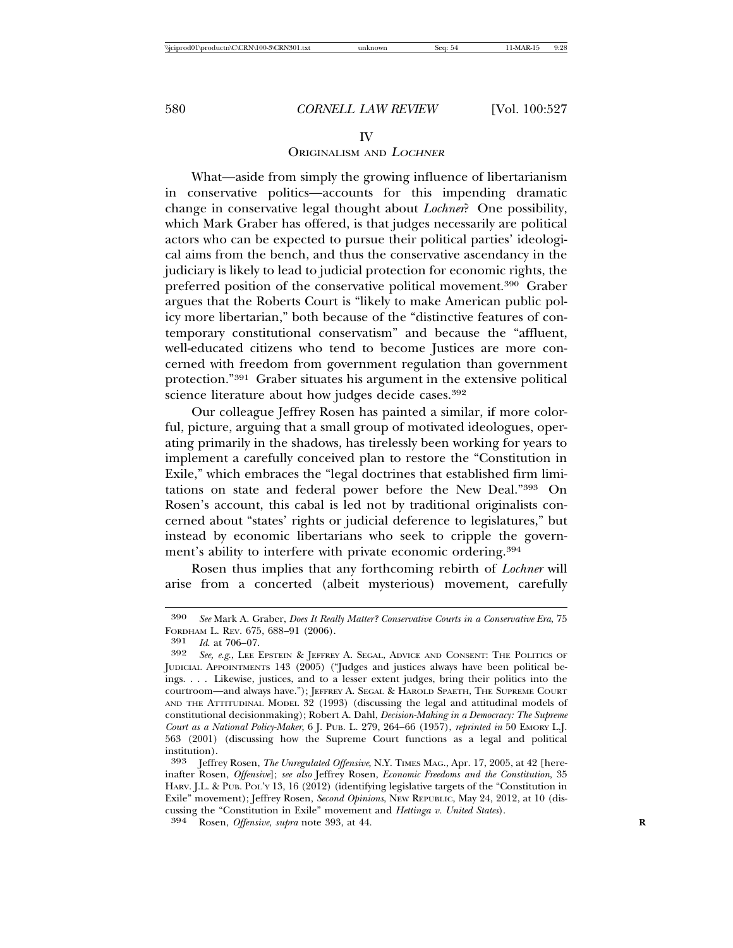## IV

## ORIGINALISM AND <sup>L</sup>OCHNER

What—aside from simply the growing influence of libertarianism in conservative politics—accounts for this impending dramatic change in conservative legal thought about *Lochner*? One possibility, which Mark Graber has offered, is that judges necessarily are political actors who can be expected to pursue their political parties' ideological aims from the bench, and thus the conservative ascendancy in the judiciary is likely to lead to judicial protection for economic rights, the preferred position of the conservative political movement.390 Graber argues that the Roberts Court is "likely to make American public policy more libertarian," both because of the "distinctive features of contemporary constitutional conservatism" and because the "affluent, well-educated citizens who tend to become Justices are more concerned with freedom from government regulation than government protection."391 Graber situates his argument in the extensive political science literature about how judges decide cases.<sup>392</sup>

Our colleague Jeffrey Rosen has painted a similar, if more colorful, picture, arguing that a small group of motivated ideologues, operating primarily in the shadows, has tirelessly been working for years to implement a carefully conceived plan to restore the "Constitution in Exile," which embraces the "legal doctrines that established firm limitations on state and federal power before the New Deal."393 On Rosen's account, this cabal is led not by traditional originalists concerned about "states' rights or judicial deference to legislatures," but instead by economic libertarians who seek to cripple the government's ability to interfere with private economic ordering.394

Rosen thus implies that any forthcoming rebirth of *Lochner* will arise from a concerted (albeit mysterious) movement, carefully

<sup>390</sup> *See* Mark A. Graber, *Does It Really Matter? Conservative Courts in a Conservative Era*, 75 FORDHAM L. REV. 675, 688-91 (2006).<br>391 Id at 706-07

<sup>391</sup> *Id*. at 706–07.

See, e.g., LEE EPSTEIN & JEFFREY A. SEGAL, ADVICE AND CONSENT: THE POLITICS OF JUDICIAL APPOINTMENTS 143 (2005) ("Judges and justices always have been political beings. . . . Likewise, justices, and to a lesser extent judges, bring their politics into the courtroom—and always have."); JEFFREY A. SEGAL & HAROLD SPAETH, THE SUPREME COURT AND THE ATTITUDINAL MODEL 32 (1993) (discussing the legal and attitudinal models of constitutional decisionmaking); Robert A. Dahl, *Decision-Making in a Democracy: The Supreme Court as a National Policy-Maker*, 6 J. PUB. L. 279, 264–66 (1957), *reprinted in* 50 EMORY L.J. 563 (2001) (discussing how the Supreme Court functions as a legal and political institution).<br>393 **I**effre

<sup>393</sup> Jeffrey Rosen, *The Unregulated Offensive*, N.Y. TIMES MAG., Apr. 17, 2005, at 42 [hereinafter Rosen, *Offensive*]; *see also* Jeffrey Rosen, *Economic Freedoms and the Constitution*, 35 HARV. J.L. & PUB. POL'Y 13, 16 (2012) (identifying legislative targets of the "Constitution in Exile" movement); Jeffrey Rosen, *Second Opinions*, NEW REPUBLIC, May 24, 2012, at 10 (discussing the "Constitution in Exile" movement and *Hettinga v. United States*). <sup>394</sup> Rosen, *Offensive*, *supra* note 393, at 44. **<sup>R</sup>**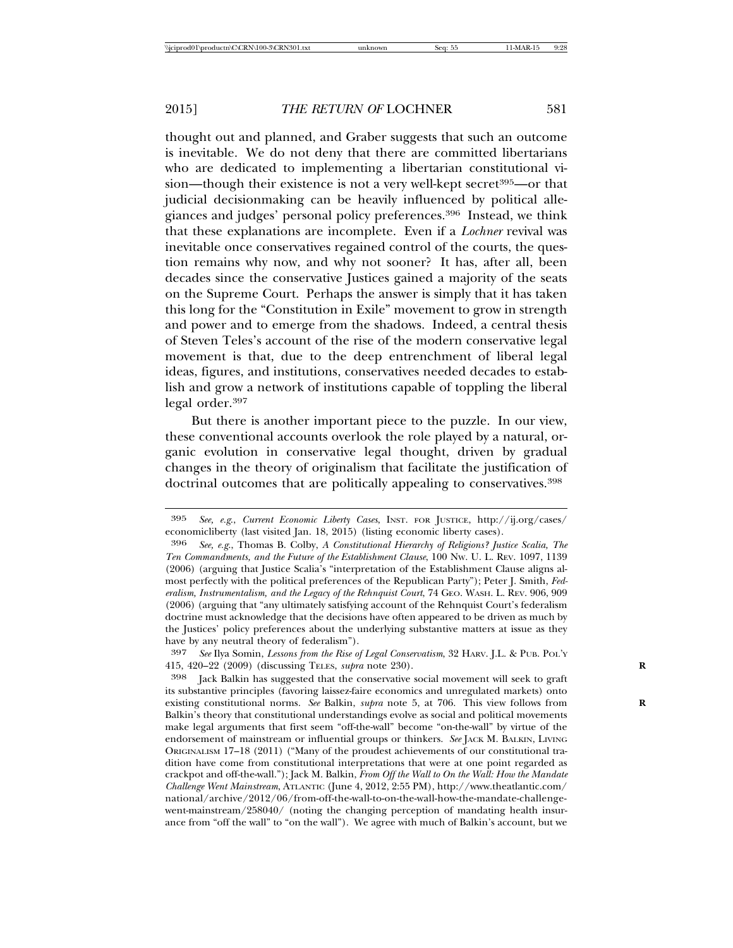thought out and planned, and Graber suggests that such an outcome is inevitable. We do not deny that there are committed libertarians who are dedicated to implementing a libertarian constitutional vision—though their existence is not a very well-kept secret<sup>395</sup>—or that judicial decisionmaking can be heavily influenced by political allegiances and judges' personal policy preferences.396 Instead, we think that these explanations are incomplete. Even if a *Lochner* revival was inevitable once conservatives regained control of the courts, the question remains why now, and why not sooner? It has, after all, been decades since the conservative Justices gained a majority of the seats on the Supreme Court. Perhaps the answer is simply that it has taken this long for the "Constitution in Exile" movement to grow in strength and power and to emerge from the shadows. Indeed, a central thesis of Steven Teles's account of the rise of the modern conservative legal movement is that, due to the deep entrenchment of liberal legal ideas, figures, and institutions, conservatives needed decades to establish and grow a network of institutions capable of toppling the liberal legal order.397

But there is another important piece to the puzzle. In our view, these conventional accounts overlook the role played by a natural, organic evolution in conservative legal thought, driven by gradual changes in the theory of originalism that facilitate the justification of doctrinal outcomes that are politically appealing to conservatives.<sup>398</sup>

<sup>395</sup> *See, e.g*., *Current Economic Liberty Cases*, INST. FOR JUSTICE, http://ij.org/cases/ economicliberty (last visited Jan. 18, 2015) (listing economic liberty cases).

<sup>396</sup> *See, e.g*., Thomas B. Colby, *A Constitutional Hierarchy of Religions? Justice Scalia, The Ten Commandments, and the Future of the Establishment Clause*, 100 NW. U. L. REV. 1097, 1139 (2006) (arguing that Justice Scalia's "interpretation of the Establishment Clause aligns almost perfectly with the political preferences of the Republican Party"); Peter J. Smith, *Federalism, Instrumentalism, and the Legacy of the Rehnquist Court*, 74 GEO. WASH. L. REV. 906, 909 (2006) (arguing that "any ultimately satisfying account of the Rehnquist Court's federalism doctrine must acknowledge that the decisions have often appeared to be driven as much by the Justices' policy preferences about the underlying substantive matters at issue as they have by any neutral theory of federalism").

<sup>397</sup> *See* Ilya Somin, *Lessons from the Rise of Legal Conservatism*, 32 HARV. J.L. & PUB. POL'Y 415, 420–22 (2009) (discussing TELES, *supra* note 230). **R**

<sup>398</sup> Jack Balkin has suggested that the conservative social movement will seek to graft its substantive principles (favoring laissez-faire economics and unregulated markets) onto existing constitutional norms. *See* Balkin, *supra* note 5, at 706. This view follows from **R** Balkin's theory that constitutional understandings evolve as social and political movements make legal arguments that first seem "off-the-wall" become "on-the-wall" by virtue of the endorsement of mainstream or influential groups or thinkers. *See* JACK M. BALKIN, LIVING ORIGINALISM 17–18 (2011) ("Many of the proudest achievements of our constitutional tradition have come from constitutional interpretations that were at one point regarded as crackpot and off-the-wall."); Jack M. Balkin, *From Off the Wall to On the Wall: How the Mandate Challenge Went Mainstream*, ATLANTIC (June 4, 2012, 2:55 PM), http://www.theatlantic.com/ national/archive/2012/06/from-off-the-wall-to-on-the-wall-how-the-mandate-challengewent-mainstream/258040/ (noting the changing perception of mandating health insurance from "off the wall" to "on the wall"). We agree with much of Balkin's account, but we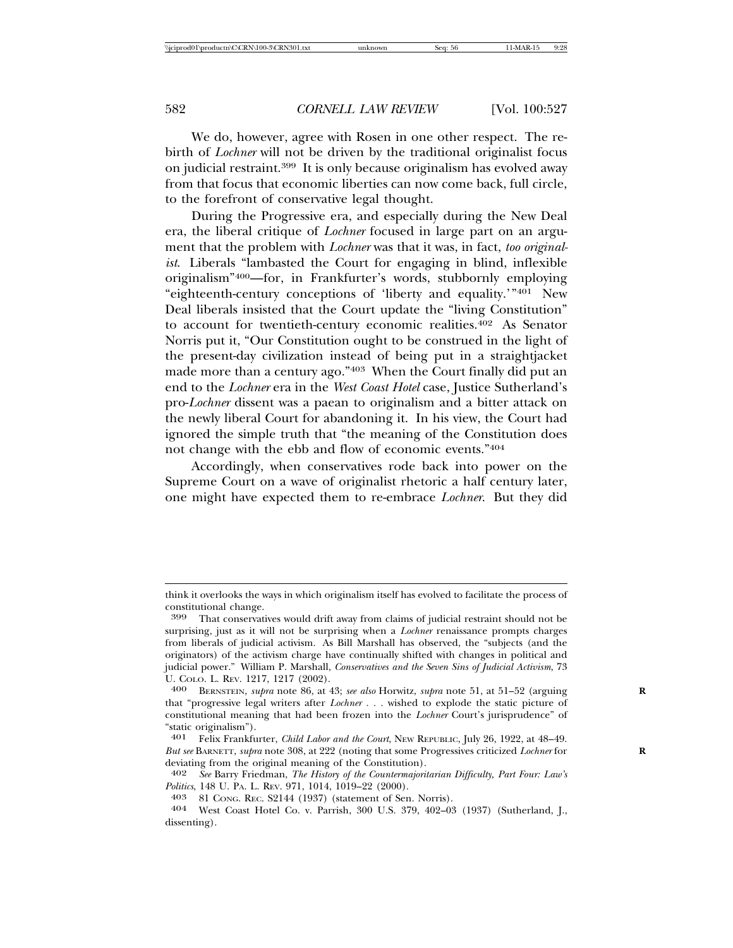We do, however, agree with Rosen in one other respect. The rebirth of *Lochner* will not be driven by the traditional originalist focus on judicial restraint.399 It is only because originalism has evolved away from that focus that economic liberties can now come back, full circle, to the forefront of conservative legal thought.

During the Progressive era, and especially during the New Deal era, the liberal critique of *Lochner* focused in large part on an argument that the problem with *Lochner* was that it was, in fact, *too originalist*. Liberals "lambasted the Court for engaging in blind, inflexible originalism"400—for, in Frankfurter's words, stubbornly employing "eighteenth-century conceptions of 'liberty and equality.'"401 New Deal liberals insisted that the Court update the "living Constitution" to account for twentieth-century economic realities.402 As Senator Norris put it, "Our Constitution ought to be construed in the light of the present-day civilization instead of being put in a straightjacket made more than a century ago."403 When the Court finally did put an end to the *Lochner* era in the *West Coast Hotel* case, Justice Sutherland's pro-*Lochner* dissent was a paean to originalism and a bitter attack on the newly liberal Court for abandoning it. In his view, the Court had ignored the simple truth that "the meaning of the Constitution does not change with the ebb and flow of economic events."404

Accordingly, when conservatives rode back into power on the Supreme Court on a wave of originalist rhetoric a half century later, one might have expected them to re-embrace *Lochner*. But they did

think it overlooks the ways in which originalism itself has evolved to facilitate the process of constitutional change.<br><sup>399</sup> That conservati

That conservatives would drift away from claims of judicial restraint should not be surprising, just as it will not be surprising when a *Lochner* renaissance prompts charges from liberals of judicial activism. As Bill Marshall has observed, the "subjects (and the originators) of the activism charge have continually shifted with changes in political and judicial power." William P. Marshall, *Conservatives and the Seven Sins of Judicial Activism*, 73 U. COLO. L. REV. 1217, 1217 (2002). <sup>400</sup> BERNSTEIN, *supra* note 86, at 43; *see also* Horwitz, *supra* note 51, at 51–52 (arguing **<sup>R</sup>**

that "progressive legal writers after *Lochner . . .* wished to explode the static picture of constitutional meaning that had been frozen into the *Lochner* Court's jurisprudence" of "static originalism").

<sup>401</sup> Felix Frankfurter, *Child Labor and the Court*, NEW REPUBLIC, July 26, 1922, at 48–49. *But see* BARNETT, *supra* note 308, at 222 (noting that some Progressives criticized *Lochner* for **R** deviating from the original meaning of the Constitution).

<sup>402</sup> *See* Barry Friedman, *The History of the Countermajoritarian Difficulty, Part Four: Law's*

*Politics*, 148 U. PA. L. REV. 971, 1014, 1019–22 (2000). <sup>403</sup> 81 CONG. REC. S2144 (1937) (statement of Sen. Norris). <sup>404</sup> West Coast Hotel Co. v. Parrish, 300 U.S. 379, 402–03 (1937) (Sutherland, J., dissenting).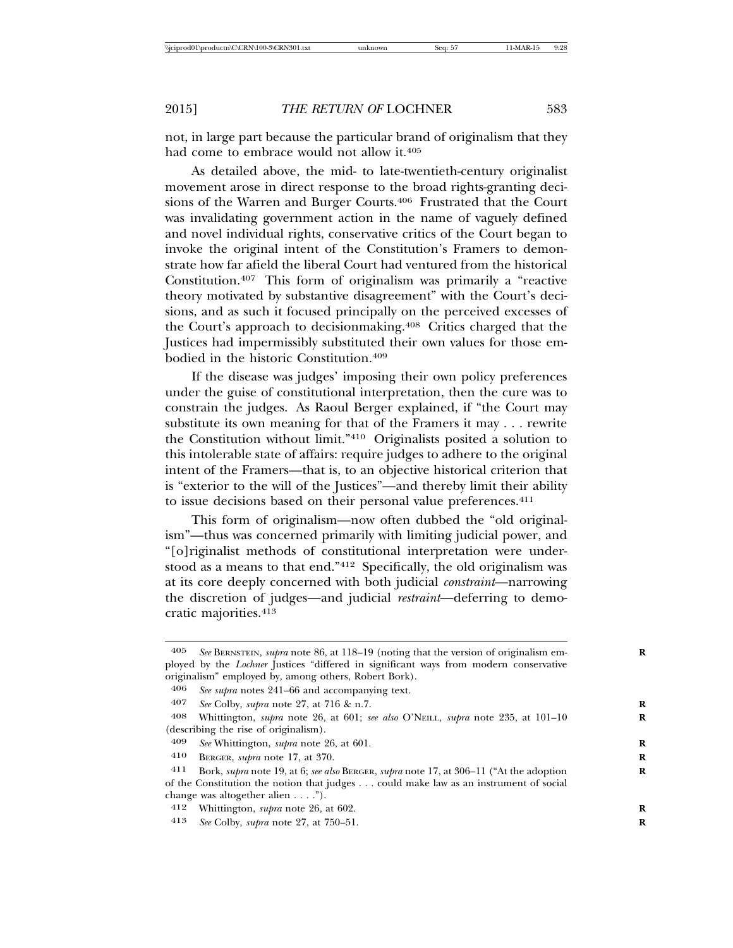not, in large part because the particular brand of originalism that they had come to embrace would not allow it.<sup>405</sup>

As detailed above, the mid- to late-twentieth-century originalist movement arose in direct response to the broad rights-granting decisions of the Warren and Burger Courts.<sup>406</sup> Frustrated that the Court was invalidating government action in the name of vaguely defined and novel individual rights, conservative critics of the Court began to invoke the original intent of the Constitution's Framers to demonstrate how far afield the liberal Court had ventured from the historical Constitution.407 This form of originalism was primarily a "reactive theory motivated by substantive disagreement" with the Court's decisions, and as such it focused principally on the perceived excesses of the Court's approach to decisionmaking.<sup>408</sup> Critics charged that the Justices had impermissibly substituted their own values for those embodied in the historic Constitution.409

If the disease was judges' imposing their own policy preferences under the guise of constitutional interpretation, then the cure was to constrain the judges. As Raoul Berger explained, if "the Court may substitute its own meaning for that of the Framers it may . . . rewrite the Constitution without limit."410 Originalists posited a solution to this intolerable state of affairs: require judges to adhere to the original intent of the Framers—that is, to an objective historical criterion that is "exterior to the will of the Justices"—and thereby limit their ability to issue decisions based on their personal value preferences.411

This form of originalism—now often dubbed the "old originalism"—thus was concerned primarily with limiting judicial power, and "[o]riginalist methods of constitutional interpretation were understood as a means to that end."412 Specifically, the old originalism was at its core deeply concerned with both judicial *constraint*—narrowing the discretion of judges—and judicial *restraint*—deferring to democratic majorities.413

<sup>405</sup> *See* BERNSTEIN, *supra* note 86, at 118–19 (noting that the version of originalism em- **R** ployed by the *Lochner* Justices "differed in significant ways from modern conservative originalism" employed by, among others, Robert Bork).

<sup>406</sup> *See supra* notes 241–66 and accompanying text.

<sup>407</sup> *See* Colby, *supra* note 27, at 716 & n.7. **R**

<sup>408</sup> Whittington, *supra* note 26, at 601; *see also* O'NEILL, *supra* note 235, at 101–10 **R** (describing the rise of originalism).

<sup>409</sup> *See* Whittington, *supra* note 26, at 601. **R**

<sup>410</sup> BERGER, *supra* note 17, at 370. **R**

<sup>411</sup> Bork, *supra* note 19, at 6; *see also* BERGER, *supra* note 17, at 306–11 ("At the adoption **R** of the Constitution the notion that judges . . . could make law as an instrument of social change was altogether alien . . . .").

<sup>412</sup> Whittington, *supra* note 26, at 602. **R**

<sup>413</sup> *See* Colby, *supra* note 27, at 750–51. **R**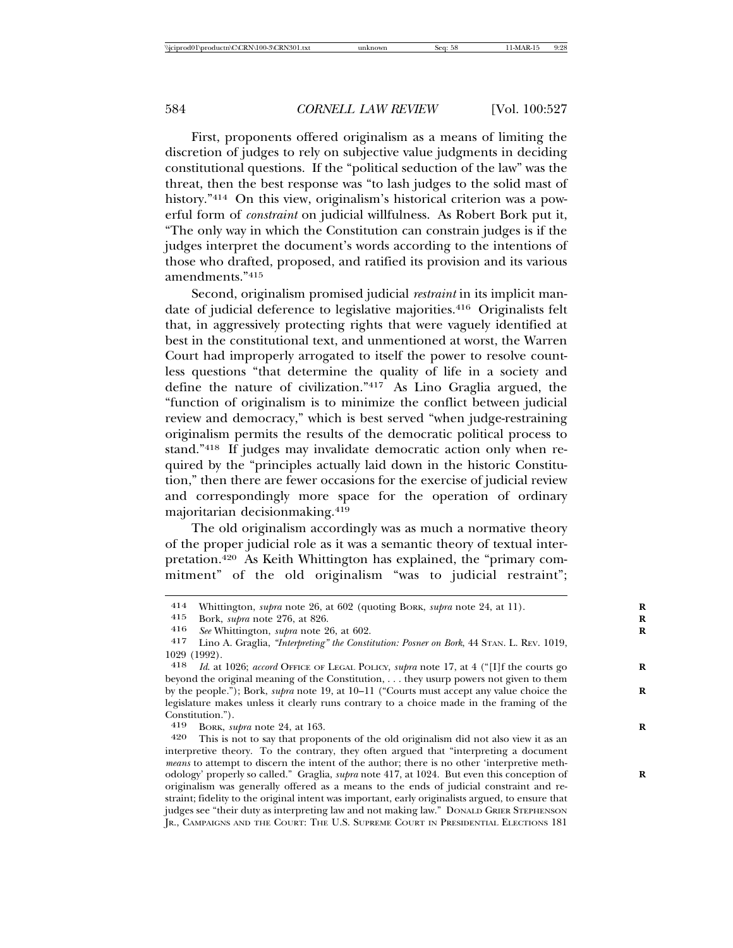First, proponents offered originalism as a means of limiting the discretion of judges to rely on subjective value judgments in deciding constitutional questions. If the "political seduction of the law" was the threat, then the best response was "to lash judges to the solid mast of history."414 On this view, originalism's historical criterion was a powerful form of *constraint* on judicial willfulness. As Robert Bork put it, "The only way in which the Constitution can constrain judges is if the judges interpret the document's words according to the intentions of those who drafted, proposed, and ratified its provision and its various amendments."415

Second, originalism promised judicial *restraint* in its implicit mandate of judicial deference to legislative majorities.<sup>416</sup> Originalists felt that, in aggressively protecting rights that were vaguely identified at best in the constitutional text, and unmentioned at worst, the Warren Court had improperly arrogated to itself the power to resolve countless questions "that determine the quality of life in a society and define the nature of civilization."417 As Lino Graglia argued, the "function of originalism is to minimize the conflict between judicial review and democracy," which is best served "when judge-restraining originalism permits the results of the democratic political process to stand."418 If judges may invalidate democratic action only when required by the "principles actually laid down in the historic Constitution," then there are fewer occasions for the exercise of judicial review and correspondingly more space for the operation of ordinary majoritarian decisionmaking.419

The old originalism accordingly was as much a normative theory of the proper judicial role as it was a semantic theory of textual interpretation.420 As Keith Whittington has explained, the "primary commitment" of the old originalism "was to judicial restraint";

419 BORK, *supra* note 24, at 163. **R**

<sup>414</sup> Whittington, *supra* note 26, at 602 (quoting BORK, *supra* note 24, at 11). **R**

<sup>415</sup> Bork, *supra* note 276, at 826.<br>416 See Whittington *subra* note 2

<sup>416</sup> *See* Whittington, *supra* note 26, at 602. **R**

<sup>417</sup> Lino A. Graglia, *"Interpreting" the Constitution: Posner on Bork*, 44 STAN. L. REV. 1019,  $\frac{1029}{418}$  (1992).

*Id.* at 1026; *accord* OFFICE OF LEGAL POLICY, *supra* note 17, at 4 ("[I]f the courts go beyond the original meaning of the Constitution, . . . they usurp powers not given to them by the people."); Bork, *supra* note 19, at 10–11 ("Courts must accept any value choice the legislature makes unless it clearly runs contrary to a choice made in the framing of the Constitution.").

<sup>420</sup> This is not to say that proponents of the old originalism did not also view it as an interpretive theory. To the contrary, they often argued that "interpreting a document *means* to attempt to discern the intent of the author; there is no other 'interpretive methodology' properly so called." Graglia, *supra* note 417, at 1024. But even this conception of **R** originalism was generally offered as a means to the ends of judicial constraint and restraint; fidelity to the original intent was important, early originalists argued, to ensure that judges see "their duty as interpreting law and not making law." DONALD GRIER STEPHENSON JR., CAMPAIGNS AND THE COURT: THE U.S. SUPREME COURT IN PRESIDENTIAL ELECTIONS 181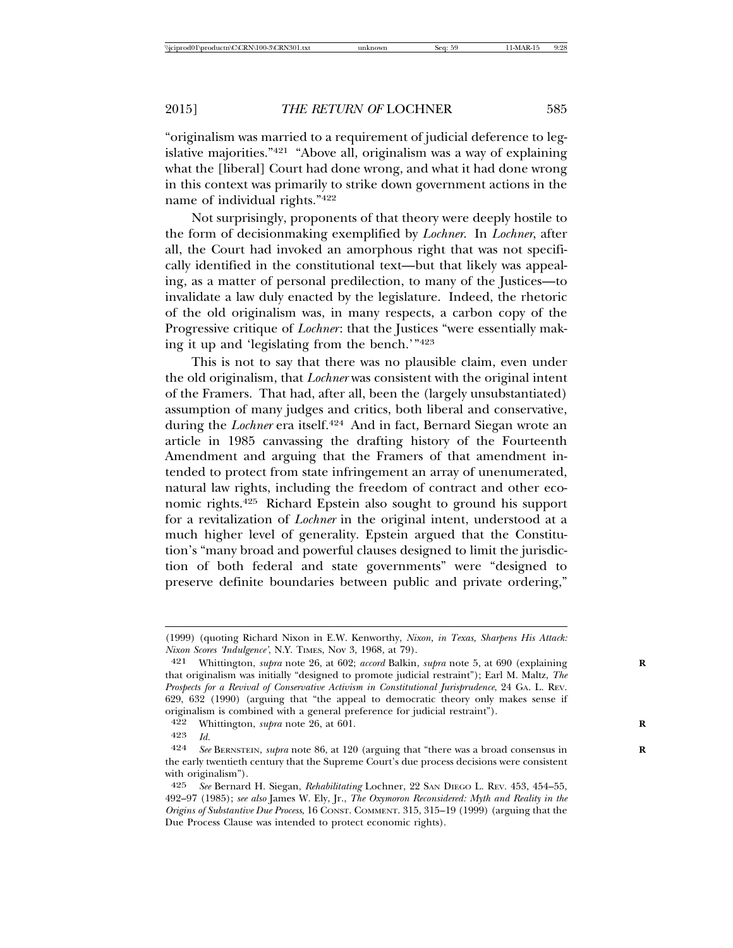"originalism was married to a requirement of judicial deference to legislative majorities."421 "Above all, originalism was a way of explaining what the [liberal] Court had done wrong, and what it had done wrong in this context was primarily to strike down government actions in the name of individual rights."422

Not surprisingly, proponents of that theory were deeply hostile to the form of decisionmaking exemplified by *Lochner*. In *Lochner*, after all, the Court had invoked an amorphous right that was not specifically identified in the constitutional text—but that likely was appealing, as a matter of personal predilection, to many of the Justices—to invalidate a law duly enacted by the legislature. Indeed, the rhetoric of the old originalism was, in many respects, a carbon copy of the Progressive critique of *Lochner*: that the Justices "were essentially making it up and 'legislating from the bench.'"423

This is not to say that there was no plausible claim, even under the old originalism, that *Lochner* was consistent with the original intent of the Framers. That had, after all, been the (largely unsubstantiated) assumption of many judges and critics, both liberal and conservative, during the *Lochner* era itself.<sup>424</sup> And in fact, Bernard Siegan wrote an article in 1985 canvassing the drafting history of the Fourteenth Amendment and arguing that the Framers of that amendment intended to protect from state infringement an array of unenumerated, natural law rights, including the freedom of contract and other economic rights.425 Richard Epstein also sought to ground his support for a revitalization of *Lochner* in the original intent, understood at a much higher level of generality. Epstein argued that the Constitution's "many broad and powerful clauses designed to limit the jurisdiction of both federal and state governments" were "designed to preserve definite boundaries between public and private ordering,"

422 Whittington, *supra* note 26, at 601. **R**

<sup>(1999) (</sup>quoting Richard Nixon in E.W. Kenworthy, *Nixon, in Texas, Sharpens His Attack: Nixon Scores 'Indulgence'*, N.Y. TIMES, Nov 3, 1968, at 79).

<sup>421</sup> Whittington, *supra* note 26, at 602; *accord* Balkin, *supra* note 5, at 690 (explaining **R** that originalism was initially "designed to promote judicial restraint"); Earl M. Maltz, *The Prospects for a Revival of Conservative Activism in Constitutional Jurisprudence*, 24 GA. L. REV. 629, 632 (1990) (arguing that "the appeal to democratic theory only makes sense if originalism is combined with a general preference for judicial restraint").

<sup>423</sup> *Id.*

See BERNSTEIN, *supra* note 86, at 120 (arguing that "there was a broad consensus in the early twentieth century that the Supreme Court's due process decisions were consistent with originalism").

<sup>425</sup> *See* Bernard H. Siegan, *Rehabilitating* Lochner, 22 SAN DIEGO L. REV. 453, 454–55, 492–97 (1985); *see also* James W. Ely, Jr., *The Oxymoron Reconsidered: Myth and Reality in the Origins of Substantive Due Process*, 16 CONST. COMMENT. 315, 315–19 (1999) (arguing that the Due Process Clause was intended to protect economic rights).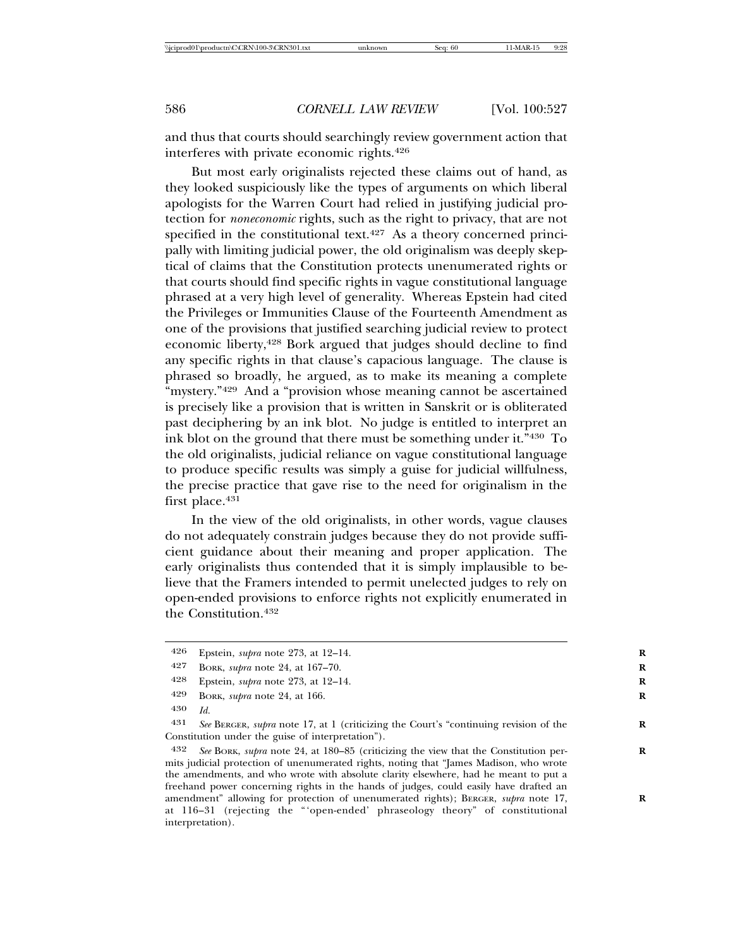and thus that courts should searchingly review government action that interferes with private economic rights.426

But most early originalists rejected these claims out of hand, as they looked suspiciously like the types of arguments on which liberal apologists for the Warren Court had relied in justifying judicial protection for *noneconomic* rights, such as the right to privacy, that are not specified in the constitutional text. $427$  As a theory concerned principally with limiting judicial power, the old originalism was deeply skeptical of claims that the Constitution protects unenumerated rights or that courts should find specific rights in vague constitutional language phrased at a very high level of generality. Whereas Epstein had cited the Privileges or Immunities Clause of the Fourteenth Amendment as one of the provisions that justified searching judicial review to protect economic liberty,<sup>428</sup> Bork argued that judges should decline to find any specific rights in that clause's capacious language. The clause is phrased so broadly, he argued, as to make its meaning a complete "mystery."<sup>429</sup> And a "provision whose meaning cannot be ascertained is precisely like a provision that is written in Sanskrit or is obliterated past deciphering by an ink blot. No judge is entitled to interpret an ink blot on the ground that there must be something under it."430 To the old originalists, judicial reliance on vague constitutional language to produce specific results was simply a guise for judicial willfulness, the precise practice that gave rise to the need for originalism in the first place.<sup>431</sup>

In the view of the old originalists, in other words, vague clauses do not adequately constrain judges because they do not provide sufficient guidance about their meaning and proper application. The early originalists thus contended that it is simply implausible to believe that the Framers intended to permit unelected judges to rely on open-ended provisions to enforce rights not explicitly enumerated in the Constitution.432

431 *See* BERGER, *supra* note 17, at 1 (criticizing the Court's "continuing revision of the **R** Constitution under the guise of interpretation").

432 *See* BORK, *supra* note 24, at 180–85 (criticizing the view that the Constitution per- **R** mits judicial protection of unenumerated rights, noting that "James Madison, who wrote the amendments, and who wrote with absolute clarity elsewhere, had he meant to put a freehand power concerning rights in the hands of judges, could easily have drafted an amendment" allowing for protection of unenumerated rights); BERGER, *supra* note 17, at 116–31 (rejecting the "'open-ended' phraseology theory" of constitutional interpretation).

<sup>426</sup> Epstein, *supra* note 273, at 12–14. **R**

<sup>427</sup> BORK, *supra* note 24, at 167–70. **R**

<sup>428</sup> Epstein, *supra* note 273, at 12–14. **R**

<sup>429</sup> BORK, *supra* note 24, at 166. **R**

<sup>430</sup> *Id.*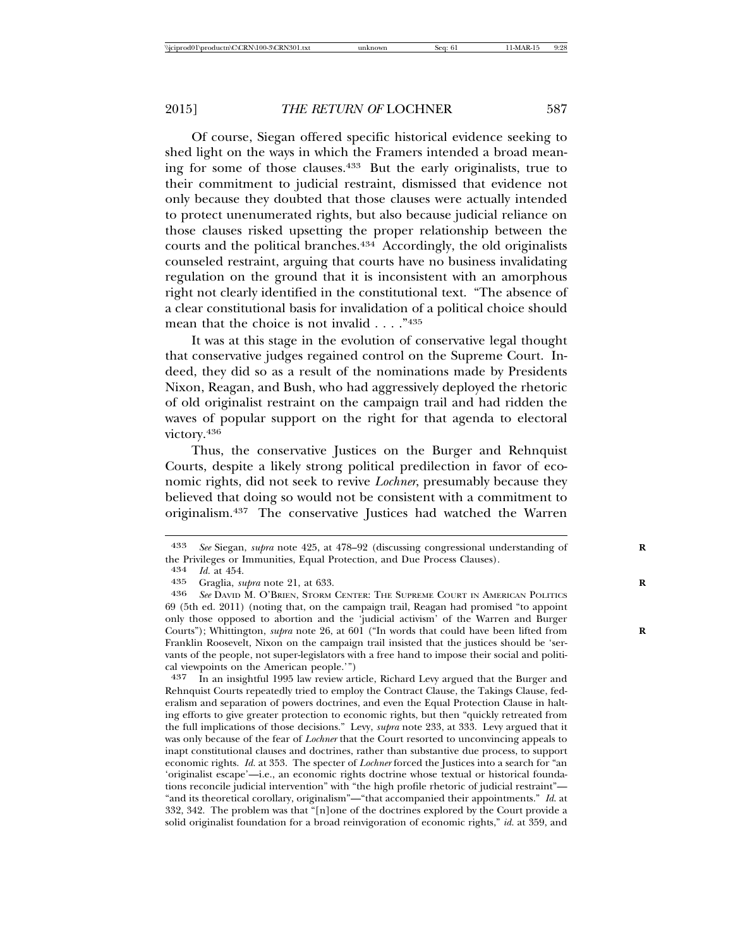Of course, Siegan offered specific historical evidence seeking to shed light on the ways in which the Framers intended a broad meaning for some of those clauses.433 But the early originalists, true to their commitment to judicial restraint, dismissed that evidence not only because they doubted that those clauses were actually intended to protect unenumerated rights, but also because judicial reliance on those clauses risked upsetting the proper relationship between the courts and the political branches.434 Accordingly, the old originalists counseled restraint, arguing that courts have no business invalidating regulation on the ground that it is inconsistent with an amorphous right not clearly identified in the constitutional text. "The absence of a clear constitutional basis for invalidation of a political choice should mean that the choice is not invalid . . . ."435

It was at this stage in the evolution of conservative legal thought that conservative judges regained control on the Supreme Court. Indeed, they did so as a result of the nominations made by Presidents Nixon, Reagan, and Bush, who had aggressively deployed the rhetoric of old originalist restraint on the campaign trail and had ridden the waves of popular support on the right for that agenda to electoral victory. 436

Thus, the conservative Justices on the Burger and Rehnquist Courts, despite a likely strong political predilection in favor of economic rights, did not seek to revive *Lochner*, presumably because they believed that doing so would not be consistent with a commitment to originalism.437 The conservative Justices had watched the Warren

<sup>433</sup> *See* Siegan, *supra* note 425, at 478–92 (discussing congressional understanding of **R** the Privileges or Immunities, Equal Protection, and Due Process Clauses).<br> $434$  *Id.* at  $454$ .

<sup>434</sup> *Id.* at 454.

<sup>435</sup> Graglia, *supra* note 21, at 633.<br>436 See DAVID M O'BRIEN STORM

<sup>436</sup> *See* DAVID M. O'BRIEN, STORM CENTER: THE SUPREME COURT IN AMERICAN POLITICS 69 (5th ed. 2011) (noting that, on the campaign trail, Reagan had promised "to appoint only those opposed to abortion and the 'judicial activism' of the Warren and Burger Courts"); Whittington, *supra* note 26, at 601 ("In words that could have been lifted from Franklin Roosevelt, Nixon on the campaign trail insisted that the justices should be 'servants of the people, not super-legislators with a free hand to impose their social and political viewpoints on the American people.'")

<sup>437</sup> In an insightful 1995 law review article, Richard Levy argued that the Burger and Rehnquist Courts repeatedly tried to employ the Contract Clause, the Takings Clause, federalism and separation of powers doctrines, and even the Equal Protection Clause in halting efforts to give greater protection to economic rights, but then "quickly retreated from the full implications of those decisions." Levy, *supra* note 233, at 333. Levy argued that it was only because of the fear of *Lochner* that the Court resorted to unconvincing appeals to inapt constitutional clauses and doctrines, rather than substantive due process, to support economic rights. *Id.* at 353. The specter of *Lochner* forced the Justices into a search for "an 'originalist escape'—i.e., an economic rights doctrine whose textual or historical foundations reconcile judicial intervention" with "the high profile rhetoric of judicial restraint"— "and its theoretical corollary, originalism"—"that accompanied their appointments." *Id*. at 332, 342. The problem was that "[n]one of the doctrines explored by the Court provide a solid originalist foundation for a broad reinvigoration of economic rights," *id.* at 359, and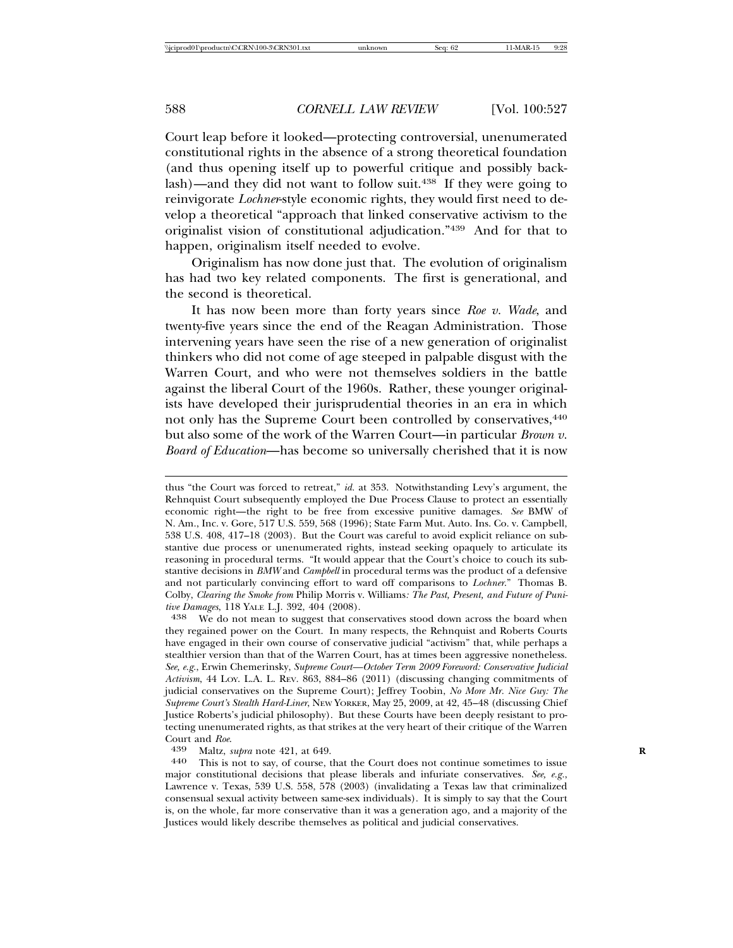Court leap before it looked—protecting controversial, unenumerated constitutional rights in the absence of a strong theoretical foundation (and thus opening itself up to powerful critique and possibly backlash)—and they did not want to follow suit.438 If they were going to reinvigorate *Lochner*-style economic rights, they would first need to develop a theoretical "approach that linked conservative activism to the originalist vision of constitutional adjudication."439 And for that to happen, originalism itself needed to evolve.

Originalism has now done just that. The evolution of originalism has had two key related components. The first is generational, and the second is theoretical.

It has now been more than forty years since *Roe v. Wade*, and twenty-five years since the end of the Reagan Administration. Those intervening years have seen the rise of a new generation of originalist thinkers who did not come of age steeped in palpable disgust with the Warren Court, and who were not themselves soldiers in the battle against the liberal Court of the 1960s. Rather, these younger originalists have developed their jurisprudential theories in an era in which not only has the Supreme Court been controlled by conservatives,  $440$ but also some of the work of the Warren Court—in particular *Brown v. Board of Education*—has become so universally cherished that it is now

thus "the Court was forced to retreat," *id.* at 353. Notwithstanding Levy's argument, the Rehnquist Court subsequently employed the Due Process Clause to protect an essentially economic right—the right to be free from excessive punitive damages. *See* BMW of N. Am., Inc. v. Gore, 517 U.S. 559, 568 (1996); State Farm Mut. Auto. Ins. Co. v. Campbell, 538 U.S. 408, 417–18 (2003). But the Court was careful to avoid explicit reliance on substantive due process or unenumerated rights, instead seeking opaquely to articulate its reasoning in procedural terms. "It would appear that the Court's choice to couch its substantive decisions in *BMW* and *Campbell* in procedural terms was the product of a defensive and not particularly convincing effort to ward off comparisons to *Lochner*." Thomas B. Colby, *Clearing the Smoke from* Philip Morris v. Williams*: The Past, Present, and Future of Punitive Damages*, 118 YALE L.J. 392, 404 (2008).<br><sup>438</sup> We do not mean to suggest that conservatives stood down across the board when

they regained power on the Court. In many respects, the Rehnquist and Roberts Courts have engaged in their own course of conservative judicial "activism" that, while perhaps a stealthier version than that of the Warren Court, has at times been aggressive nonetheless. *See, e.g.*, Erwin Chemerinsky, *Supreme Court—October Term 2009 Foreword: Conservative Judicial Activism*, 44 LOY. L.A. L. REV. 863, 884–86 (2011) (discussing changing commitments of judicial conservatives on the Supreme Court); Jeffrey Toobin, *No More Mr. Nice Guy: The Supreme Court's Stealth Hard-Liner*, NEW YORKER, May 25, 2009, at 42, 45–48 (discussing Chief Justice Roberts's judicial philosophy). But these Courts have been deeply resistant to protecting unenumerated rights, as that strikes at the very heart of their critique of the Warren Court and *Roe.*<br>
439 Maltz, *supra* note 421, at 649.<br>
440 This is not to say, of course, that the Court does not continue sometimes to issue

major constitutional decisions that please liberals and infuriate conservatives. *See, e.g.*, Lawrence v. Texas, 539 U.S. 558, 578 (2003) (invalidating a Texas law that criminalized consensual sexual activity between same-sex individuals). It is simply to say that the Court is, on the whole, far more conservative than it was a generation ago, and a majority of the Justices would likely describe themselves as political and judicial conservatives.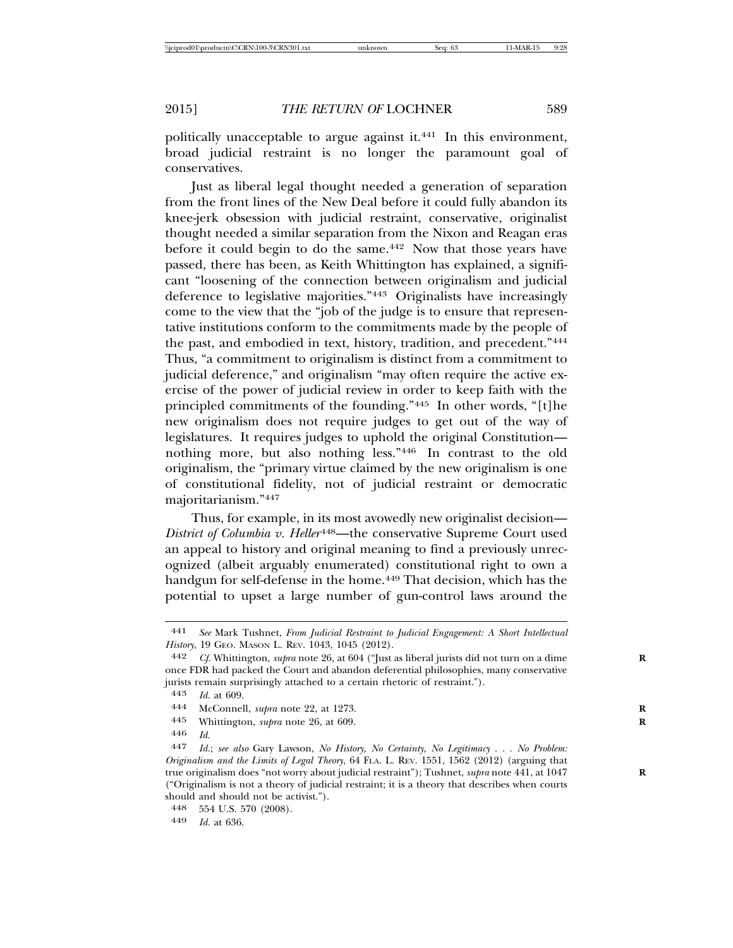politically unacceptable to argue against it.<sup>441</sup> In this environment, broad judicial restraint is no longer the paramount goal of conservatives.

Just as liberal legal thought needed a generation of separation from the front lines of the New Deal before it could fully abandon its knee-jerk obsession with judicial restraint, conservative, originalist thought needed a similar separation from the Nixon and Reagan eras before it could begin to do the same.<sup>442</sup> Now that those years have passed, there has been, as Keith Whittington has explained, a significant "loosening of the connection between originalism and judicial deference to legislative majorities."443 Originalists have increasingly come to the view that the "job of the judge is to ensure that representative institutions conform to the commitments made by the people of the past, and embodied in text, history, tradition, and precedent."444 Thus, "a commitment to originalism is distinct from a commitment to judicial deference," and originalism "may often require the active exercise of the power of judicial review in order to keep faith with the principled commitments of the founding."445 In other words, "[t]he new originalism does not require judges to get out of the way of legislatures. It requires judges to uphold the original Constitution nothing more, but also nothing less."446 In contrast to the old originalism, the "primary virtue claimed by the new originalism is one of constitutional fidelity, not of judicial restraint or democratic majoritarianism."447

Thus, for example, in its most avowedly new originalist decision— *District of Columbia v. Heller*<sup>448</sup>—the conservative Supreme Court used an appeal to history and original meaning to find a previously unrecognized (albeit arguably enumerated) constitutional right to own a handgun for self-defense in the home.<sup>449</sup> That decision, which has the potential to upset a large number of gun-control laws around the

<sup>441</sup> *See* Mark Tushnet, *From Judicial Restraint to Judicial Engagement: A Short Intellectual History*, 19 GEO. MASON L. REV. 1043, 1045 (2012).

<sup>442</sup> *Cf.* Whittington, *supra* note 26, at 604 ("Just as liberal jurists did not turn on a dime **R** once FDR had packed the Court and abandon deferential philosophies, many conservative jurists remain surprisingly attached to a certain rhetoric of restraint.").

<sup>443</sup> *Id.* at 609.

<sup>444</sup> McConnell, *supra* note 22, at 1273. **R**

<sup>445</sup> Whittington, *supra* note 26, at 609. **R**

<sup>446</sup> *Id.*

<sup>447</sup> *Id.*; *see also* Gary Lawson, *No History, No Certainty, No Legitimacy . . . No Problem: Originalism and the Limits of Legal Theory*, 64 FLA. L. REV. 1551, 1562 (2012) (arguing that true originalism does "not worry about judicial restraint"); Tushnet, *supra* note 441, at 1047 **R** ("Originalism is not a theory of judicial restraint; it is a theory that describes when courts should and should not be activist.").

<sup>448</sup> 554 U.S. 570 (2008).

<sup>449</sup> *Id.* at 636.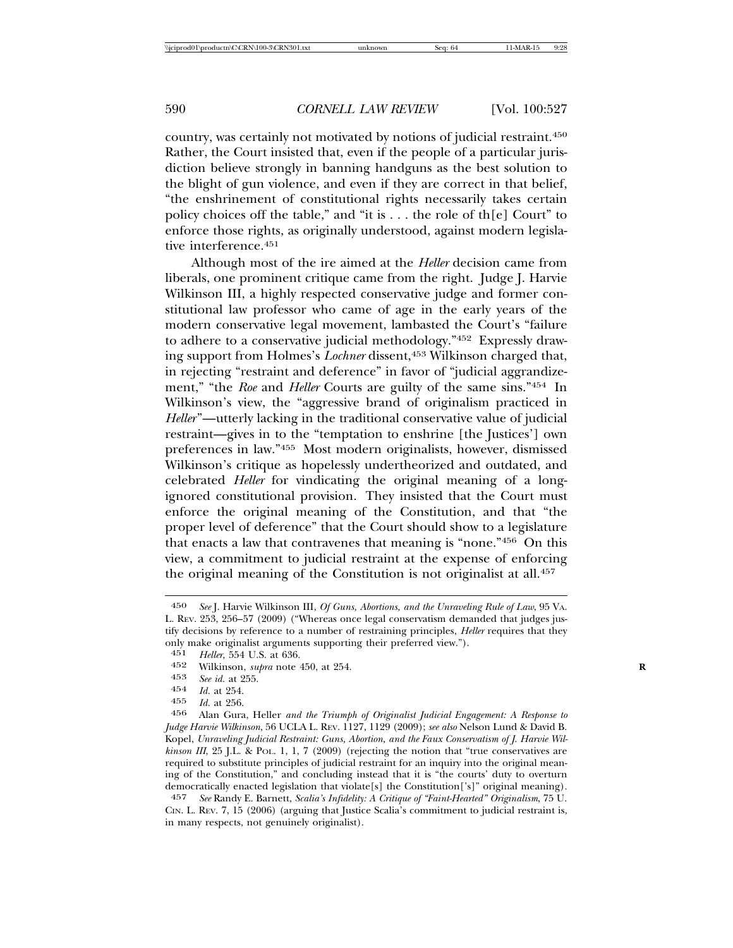country, was certainly not motivated by notions of judicial restraint.450 Rather, the Court insisted that, even if the people of a particular jurisdiction believe strongly in banning handguns as the best solution to the blight of gun violence, and even if they are correct in that belief, "the enshrinement of constitutional rights necessarily takes certain policy choices off the table," and "it is . . . the role of th[e] Court" to enforce those rights, as originally understood, against modern legislative interference.451

Although most of the ire aimed at the *Heller* decision came from liberals, one prominent critique came from the right. Judge J. Harvie Wilkinson III, a highly respected conservative judge and former constitutional law professor who came of age in the early years of the modern conservative legal movement, lambasted the Court's "failure to adhere to a conservative judicial methodology."452 Expressly drawing support from Holmes's *Lochner* dissent,453 Wilkinson charged that, in rejecting "restraint and deference" in favor of "judicial aggrandizement," "the *Roe* and *Heller* Courts are guilty of the same sins."454 In Wilkinson's view, the "aggressive brand of originalism practiced in *Heller*"—utterly lacking in the traditional conservative value of judicial restraint—gives in to the "temptation to enshrine [the Justices'] own preferences in law."455 Most modern originalists, however, dismissed Wilkinson's critique as hopelessly undertheorized and outdated, and celebrated *Heller* for vindicating the original meaning of a longignored constitutional provision. They insisted that the Court must enforce the original meaning of the Constitution, and that "the proper level of deference" that the Court should show to a legislature that enacts a law that contravenes that meaning is "none."456 On this view, a commitment to judicial restraint at the expense of enforcing the original meaning of the Constitution is not originalist at all.457

457 *See* Randy E. Barnett, *Scalia's Infidelity: A Critique of "Faint-Hearted" Originalism*, 75 U. CIN. L. REV. 7, 15 (2006) (arguing that Justice Scalia's commitment to judicial restraint is, in many respects, not genuinely originalist).

<sup>450</sup> *See* J. Harvie Wilkinson III, *Of Guns, Abortions, and the Unraveling Rule of Law*, 95 VA. L. REV. 253, 256–57 (2009) ("Whereas once legal conservatism demanded that judges justify decisions by reference to a number of restraining principles, *Heller* requires that they only make originalist arguments supporting their preferred view.").<br> $451$  Heller 554 U.S. at 636

<sup>451</sup> *Heller*, 554 U.S. at 636.

<sup>452</sup> Wilkinson, *supra* note 450, at 254. **R**

<sup>453</sup> *See id.* at 255.

<sup>454</sup> *Id.* at 254.

<sup>455</sup> *Id.* at 256.

<sup>456</sup> Alan Gura, Heller *and the Triumph of Originalist Judicial Engagement: A Response to Judge Harvie Wilkinson*, 56 UCLA L. REV. 1127, 1129 (2009); *see also* Nelson Lund & David B. Kopel, *Unraveling Judicial Restraint: Guns, Abortion, and the Faux Conservatism of J. Harvie Wilkinson III*, 25 J.L. & POL. 1, 1, 7 (2009) (rejecting the notion that "true conservatives are required to substitute principles of judicial restraint for an inquiry into the original meaning of the Constitution," and concluding instead that it is "the courts' duty to overturn democratically enacted legislation that violate[s] the Constitution['s]" original meaning).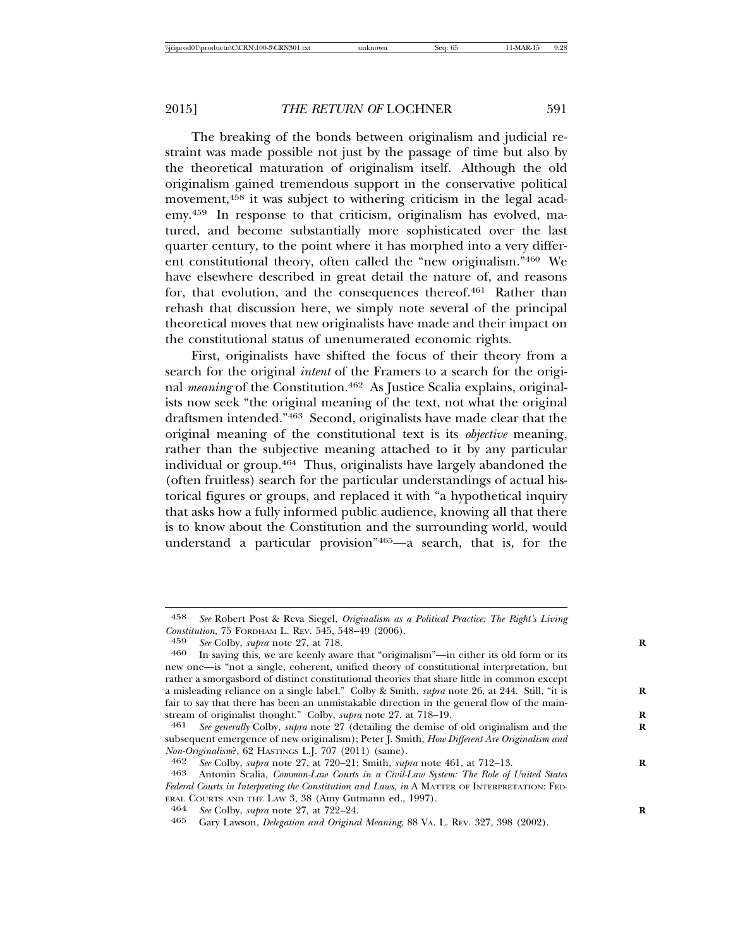The breaking of the bonds between originalism and judicial restraint was made possible not just by the passage of time but also by the theoretical maturation of originalism itself. Although the old originalism gained tremendous support in the conservative political movement,<sup>458</sup> it was subject to withering criticism in the legal academy.459 In response to that criticism, originalism has evolved, matured, and become substantially more sophisticated over the last quarter century, to the point where it has morphed into a very different constitutional theory, often called the "new originalism."460 We have elsewhere described in great detail the nature of, and reasons for, that evolution, and the consequences thereof.<sup>461</sup> Rather than rehash that discussion here, we simply note several of the principal theoretical moves that new originalists have made and their impact on the constitutional status of unenumerated economic rights.

First, originalists have shifted the focus of their theory from a search for the original *intent* of the Framers to a search for the original *meaning* of the Constitution.<sup>462</sup> As Justice Scalia explains, originalists now seek "the original meaning of the text, not what the original draftsmen intended."463 Second, originalists have made clear that the original meaning of the constitutional text is its *objective* meaning, rather than the subjective meaning attached to it by any particular individual or group.464 Thus, originalists have largely abandoned the (often fruitless) search for the particular understandings of actual historical figures or groups, and replaced it with "a hypothetical inquiry that asks how a fully informed public audience, knowing all that there is to know about the Constitution and the surrounding world, would understand a particular provision"465—a search, that is, for the

<sup>458</sup> *See* Robert Post & Reva Siegel, *Originalism as a Political Practice: The Right's Living Constitution*, 75 FORDHAM L. REV. 545, 548–49 (2006).<br>459 *See Colby subra note* 27, at 718

<sup>459</sup> *See* Colby, *supra* note 27, at 718. **R**

In saying this, we are keenly aware that "originalism"—in either its old form or its new one—is "not a single, coherent, unified theory of constitutional interpretation, but rather a smorgasbord of distinct constitutional theories that share little in common except a misleading reliance on a single label." Colby & Smith, *supra* note 26, at 244. Still, "it is **R** fair to say that there has been an unmistakable direction in the general flow of the mainstream of originalist thought." Colby, *supra* note 27, at 718–19.

<sup>461</sup> *See generally* Colby, *supra* note 27 (detailing the demise of old originalism and the **R** subsequent emergence of new originalism); Peter J. Smith, *How Different Are Originalism and Non-Originalism*?, 62 HASTINGS L.J. 707 (2011) (same).<br>462 *See Colby subra* note 27 at 720–21: Smith *sub* 

<sup>462</sup> *See* Colby, *supra* note 27, at 720–21; Smith, *supra* note 461, at 712–13. **R**

<sup>463</sup> Antonin Scalia, *Common-Law Courts in a Civil-Law System: The Role of United States Federal Courts in Interpreting the Constitution and Laws*, *in* A MATTER OF INTERPRETATION: FED-ERAL COURTS AND THE LAW 3, 38 (Amy Gutmann ed., 1997).<br>
<sup>464</sup> *See* Colby, *supra* note 27, at 722–24.<br>
<sup>465</sup> Cary Lawson, *Delegation and Original Meaning*, 88 V<sub>A</sub>

<sup>465</sup> Gary Lawson, *Delegation and Original Meaning*, 88 VA. L. REV. 327, 398 (2002).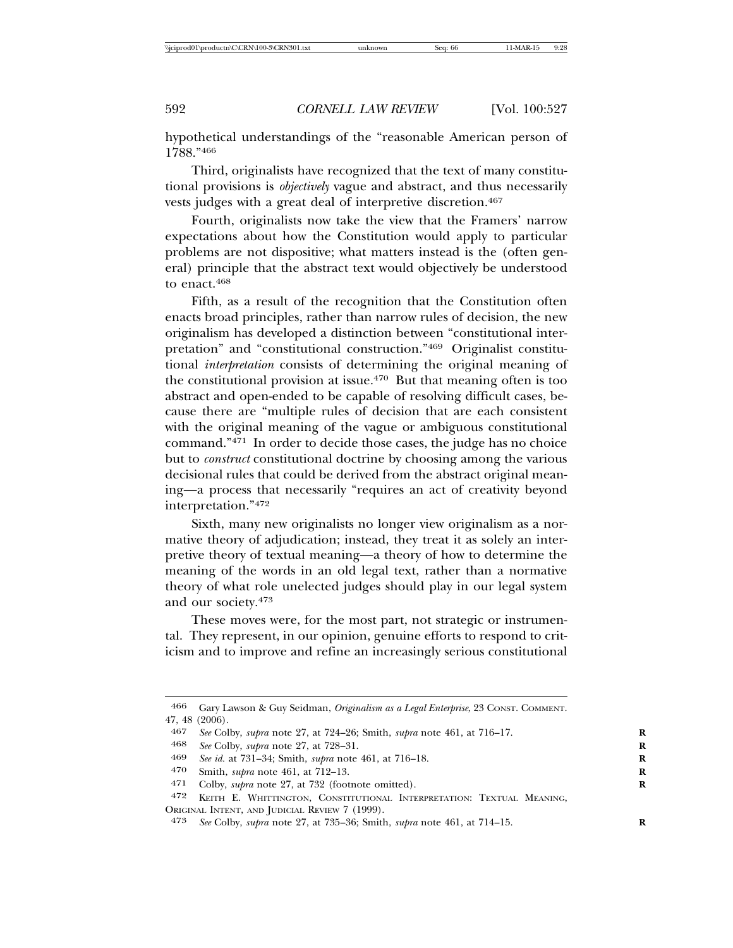hypothetical understandings of the "reasonable American person of 1788."466

Third, originalists have recognized that the text of many constitutional provisions is *objectively* vague and abstract, and thus necessarily vests judges with a great deal of interpretive discretion.<sup>467</sup>

Fourth, originalists now take the view that the Framers' narrow expectations about how the Constitution would apply to particular problems are not dispositive; what matters instead is the (often general) principle that the abstract text would objectively be understood to enact.468

Fifth, as a result of the recognition that the Constitution often enacts broad principles, rather than narrow rules of decision, the new originalism has developed a distinction between "constitutional interpretation" and "constitutional construction."469 Originalist constitutional *interpretation* consists of determining the original meaning of the constitutional provision at issue.470 But that meaning often is too abstract and open-ended to be capable of resolving difficult cases, because there are "multiple rules of decision that are each consistent with the original meaning of the vague or ambiguous constitutional command."471 In order to decide those cases, the judge has no choice but to *construct* constitutional doctrine by choosing among the various decisional rules that could be derived from the abstract original meaning—a process that necessarily "requires an act of creativity beyond interpretation."472

Sixth, many new originalists no longer view originalism as a normative theory of adjudication; instead, they treat it as solely an interpretive theory of textual meaning—a theory of how to determine the meaning of the words in an old legal text, rather than a normative theory of what role unelected judges should play in our legal system and our society.473

These moves were, for the most part, not strategic or instrumental. They represent, in our opinion, genuine efforts to respond to criticism and to improve and refine an increasingly serious constitutional

<sup>466</sup> Gary Lawson & Guy Seidman, *Originalism as a Legal Enterprise*, 23 CONST. COMMENT. 47, 48 (2006).

<sup>467</sup> *See* Colby, *supra* note 27, at 724–26; Smith, *supra* note 461, at 716–17. **R**

<sup>468</sup> *See* Colby, *supra* note 27, at 728–31. **R**

<sup>469</sup> *See id.* at 731–34; Smith, *supra* note 461, at 716–18. **R**

<sup>470</sup> Smith, *supra* note 461, at 712–13.<br>471 Colby *subra* note 27 at 732 (foot

Colby, *supra* note 27, at 732 (footnote omitted).

<sup>472</sup> KEITH E. WHITTINGTON, CONSTITUTIONAL INTERPRETATION: TEXTUAL MEANING, ORIGINAL INTENT, AND JUDICIAL REVIEW 7 (1999).

<sup>473</sup> *See* Colby, *supra* note 27, at 735–36; Smith, *supra* note 461, at 714–15. **R**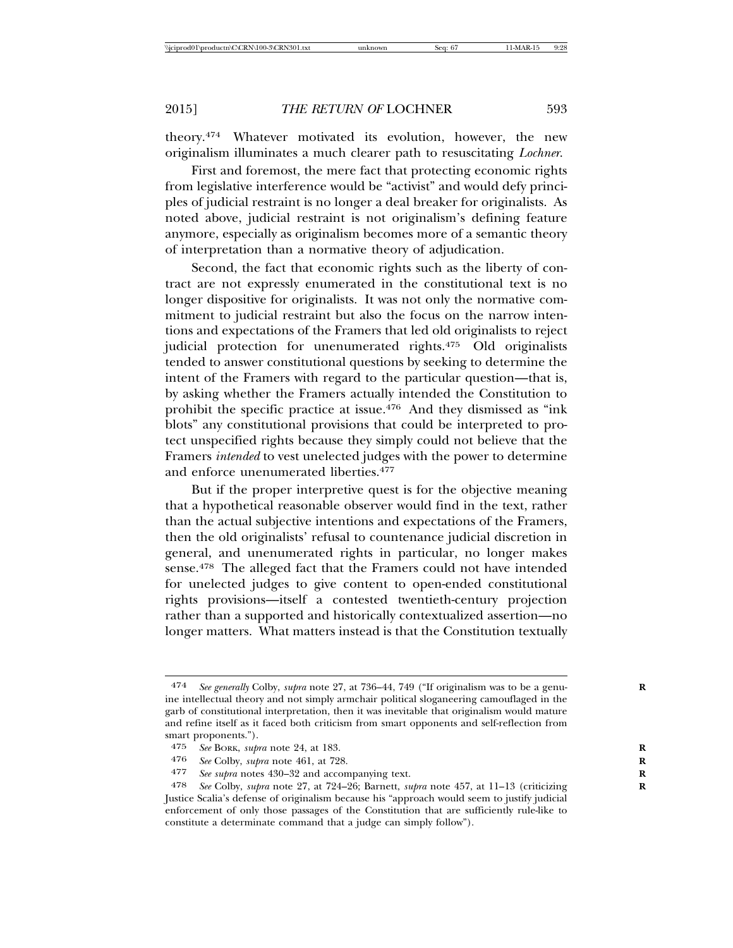theory.474 Whatever motivated its evolution, however, the new originalism illuminates a much clearer path to resuscitating *Lochner*.

First and foremost, the mere fact that protecting economic rights from legislative interference would be "activist" and would defy principles of judicial restraint is no longer a deal breaker for originalists. As noted above, judicial restraint is not originalism's defining feature anymore, especially as originalism becomes more of a semantic theory of interpretation than a normative theory of adjudication.

Second, the fact that economic rights such as the liberty of contract are not expressly enumerated in the constitutional text is no longer dispositive for originalists. It was not only the normative commitment to judicial restraint but also the focus on the narrow intentions and expectations of the Framers that led old originalists to reject judicial protection for unenumerated rights.475 Old originalists tended to answer constitutional questions by seeking to determine the intent of the Framers with regard to the particular question—that is, by asking whether the Framers actually intended the Constitution to prohibit the specific practice at issue.476 And they dismissed as "ink blots" any constitutional provisions that could be interpreted to protect unspecified rights because they simply could not believe that the Framers *intended* to vest unelected judges with the power to determine and enforce unenumerated liberties.<sup>477</sup>

But if the proper interpretive quest is for the objective meaning that a hypothetical reasonable observer would find in the text, rather than the actual subjective intentions and expectations of the Framers, then the old originalists' refusal to countenance judicial discretion in general, and unenumerated rights in particular, no longer makes sense.<sup>478</sup> The alleged fact that the Framers could not have intended for unelected judges to give content to open-ended constitutional rights provisions—itself a contested twentieth-century projection rather than a supported and historically contextualized assertion—no longer matters. What matters instead is that the Constitution textually

<sup>474</sup> *See generally* Colby, *supra* note 27, at 736–44, 749 ("If originalism was to be a genu- **R** ine intellectual theory and not simply armchair political sloganeering camouflaged in the garb of constitutional interpretation, then it was inevitable that originalism would mature and refine itself as it faced both criticism from smart opponents and self-reflection from smart proponents.").<br>475 See BORK, sub.

<sup>475</sup> *See* BORK, *supra* note 24, at 183. **R**

<sup>476</sup> *See* Colby, *supra* note 461, at 728. **R**

<sup>477</sup> *See supra* notes 430–32 and accompanying text. **R**

<sup>478</sup> *See* Colby, *supra* note 27, at 724–26; Barnett, *supra* note 457, at 11–13 (criticizing **R** Justice Scalia's defense of originalism because his "approach would seem to justify judicial enforcement of only those passages of the Constitution that are sufficiently rule-like to constitute a determinate command that a judge can simply follow").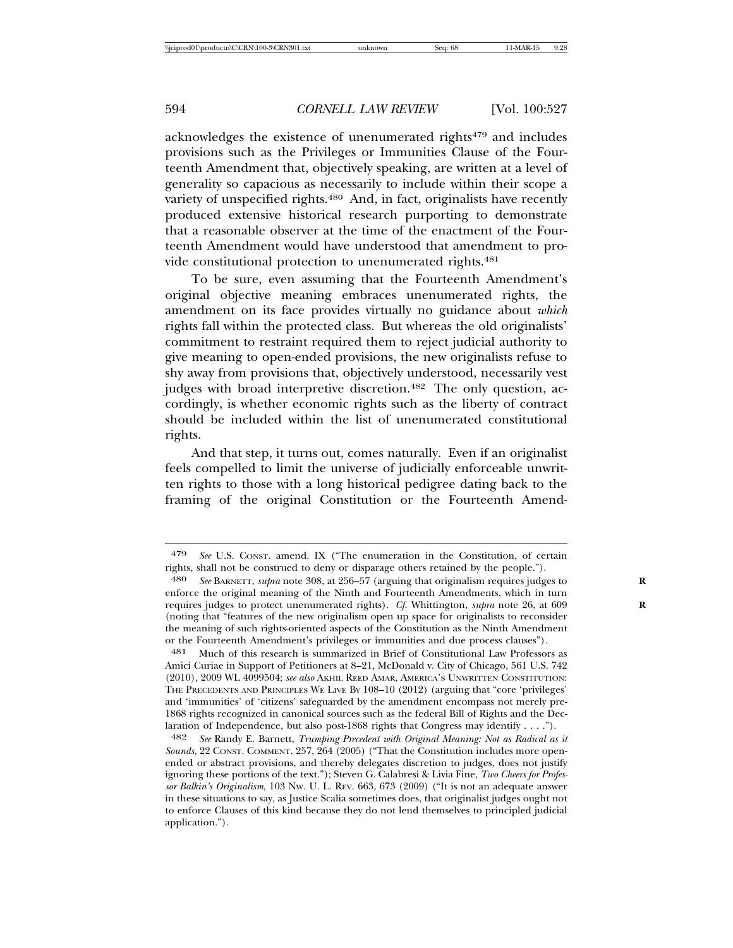acknowledges the existence of unenumerated rights<sup>479</sup> and includes provisions such as the Privileges or Immunities Clause of the Fourteenth Amendment that, objectively speaking, are written at a level of generality so capacious as necessarily to include within their scope a variety of unspecified rights.<sup>480</sup> And, in fact, originalists have recently produced extensive historical research purporting to demonstrate that a reasonable observer at the time of the enactment of the Fourteenth Amendment would have understood that amendment to provide constitutional protection to unenumerated rights.<sup>481</sup>

To be sure, even assuming that the Fourteenth Amendment's original objective meaning embraces unenumerated rights, the amendment on its face provides virtually no guidance about *which* rights fall within the protected class. But whereas the old originalists' commitment to restraint required them to reject judicial authority to give meaning to open-ended provisions, the new originalists refuse to shy away from provisions that, objectively understood, necessarily vest judges with broad interpretive discretion.<sup>482</sup> The only question, accordingly, is whether economic rights such as the liberty of contract should be included within the list of unenumerated constitutional rights.

And that step, it turns out, comes naturally. Even if an originalist feels compelled to limit the universe of judicially enforceable unwritten rights to those with a long historical pedigree dating back to the framing of the original Constitution or the Fourteenth Amend-

<sup>479</sup> *See* U.S. CONST. amend. IX ("The enumeration in the Constitution, of certain rights, shall not be construed to deny or disparage others retained by the people.").

<sup>480</sup> *See* BARNETT, *supra* note 308, at 256–57 (arguing that originalism requires judges to **R** enforce the original meaning of the Ninth and Fourteenth Amendments, which in turn requires judges to protect unenumerated rights). *Cf.* Whittington, *supra* note 26, at 609 **R** (noting that "features of the new originalism open up space for originalists to reconsider the meaning of such rights-oriented aspects of the Constitution as the Ninth Amendment or the Fourteenth Amendment's privileges or immunities and due process clauses").

<sup>481</sup> Much of this research is summarized in Brief of Constitutional Law Professors as Amici Curiae in Support of Petitioners at 8–21, McDonald v. City of Chicago, 561 U.S. 742 (2010), 2009 WL 4099504; *see also* AKHIL REED AMAR, AMERICA'S UNWRITTEN CONSTITUTION: THE PRECEDENTS AND PRINCIPLES WE LIVE BY 108–10 (2012) (arguing that "core 'privileges' and 'immunities' of 'citizens' safeguarded by the amendment encompass not merely pre-1868 rights recognized in canonical sources such as the federal Bill of Rights and the Declaration of Independence, but also post-1868 rights that Congress may identify . . . .").

<sup>482</sup> *See* Randy E. Barnett, *Trumping Precedent with Original Meaning: Not as Radical as it Sounds*, 22 CONST. COMMENT. 257, 264 (2005) ("That the Constitution includes more openended or abstract provisions, and thereby delegates discretion to judges, does not justify ignoring these portions of the text."); Steven G. Calabresi & Livia Fine, *Two Cheers for Professor Balkin's Originalism*, 103 NW. U. L. REV. 663, 673 (2009) ("It is not an adequate answer in these situations to say, as Justice Scalia sometimes does, that originalist judges ought not to enforce Clauses of this kind because they do not lend themselves to principled judicial application.").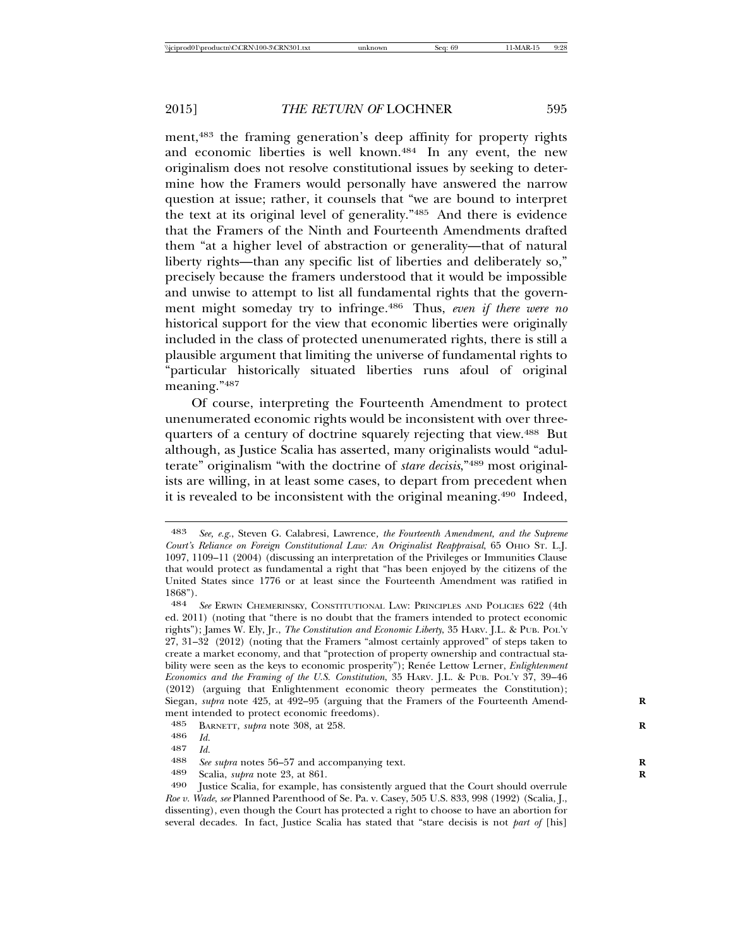ment,483 the framing generation's deep affinity for property rights and economic liberties is well known.484 In any event, the new originalism does not resolve constitutional issues by seeking to determine how the Framers would personally have answered the narrow question at issue; rather, it counsels that "we are bound to interpret the text at its original level of generality."485 And there is evidence that the Framers of the Ninth and Fourteenth Amendments drafted them "at a higher level of abstraction or generality—that of natural liberty rights—than any specific list of liberties and deliberately so," precisely because the framers understood that it would be impossible and unwise to attempt to list all fundamental rights that the government might someday try to infringe.486 Thus, *even if there were no* historical support for the view that economic liberties were originally included in the class of protected unenumerated rights, there is still a plausible argument that limiting the universe of fundamental rights to "particular historically situated liberties runs afoul of original meaning."487

Of course, interpreting the Fourteenth Amendment to protect unenumerated economic rights would be inconsistent with over threequarters of a century of doctrine squarely rejecting that view.488 But although, as Justice Scalia has asserted, many originalists would "adulterate" originalism "with the doctrine of *stare decisis*,"489 most originalists are willing, in at least some cases, to depart from precedent when it is revealed to be inconsistent with the original meaning.490 Indeed,

<sup>483</sup> *See, e.g.*, Steven G. Calabresi, Lawrence*, the Fourteenth Amendment, and the Supreme Court's Reliance on Foreign Constitutional Law: An Originalist Reappraisal*, 65 OHIO ST. L.J. 1097, 1109–11 (2004) (discussing an interpretation of the Privileges or Immunities Clause that would protect as fundamental a right that "has been enjoyed by the citizens of the United States since 1776 or at least since the Fourteenth Amendment was ratified in 1868").

<sup>484</sup> *See* ERWIN CHEMERINSKY, CONSTITUTIONAL LAW: PRINCIPLES AND POLICIES 622 (4th ed. 2011) (noting that "there is no doubt that the framers intended to protect economic rights"); James W. Ely, Jr., *The Constitution and Economic Liberty*, 35 HARV. J.L. & PUB. POL'Y 27, 31–32 (2012) (noting that the Framers "almost certainly approved" of steps taken to create a market economy, and that "protection of property ownership and contractual stability were seen as the keys to economic prosperity"); Renée Lettow Lerner, *Enlightenment Economics and the Framing of the U.S. Constitution*, 35 HARV. J.L. & PUB. POL'Y 37, 39–46 (2012) (arguing that Enlightenment economic theory permeates the Constitution); Siegan, *supra* note 425, at 492–95 (arguing that the Framers of the Fourteenth Amendment intended to protect economic freedoms).<br>485 BARNETT subra note 308 at 958

BARNETT, *supra* note 308, at 258.

<sup>486</sup> *Id.*

<sup>487</sup> *Id.* <sup>488</sup> *See supra* notes 56–57 and accompanying text. **<sup>R</sup>**

<sup>489</sup> Scalia, *supra* note 23, at 861.<br>490 Iustice Scalia for example h

Justice Scalia, for example, has consistently argued that the Court should overrule *Roe v. Wade*, *see* Planned Parenthood of Se. Pa. v. Casey, 505 U.S. 833, 998 (1992) (Scalia, J., dissenting), even though the Court has protected a right to choose to have an abortion for several decades. In fact, Justice Scalia has stated that "stare decisis is not *part of* [his]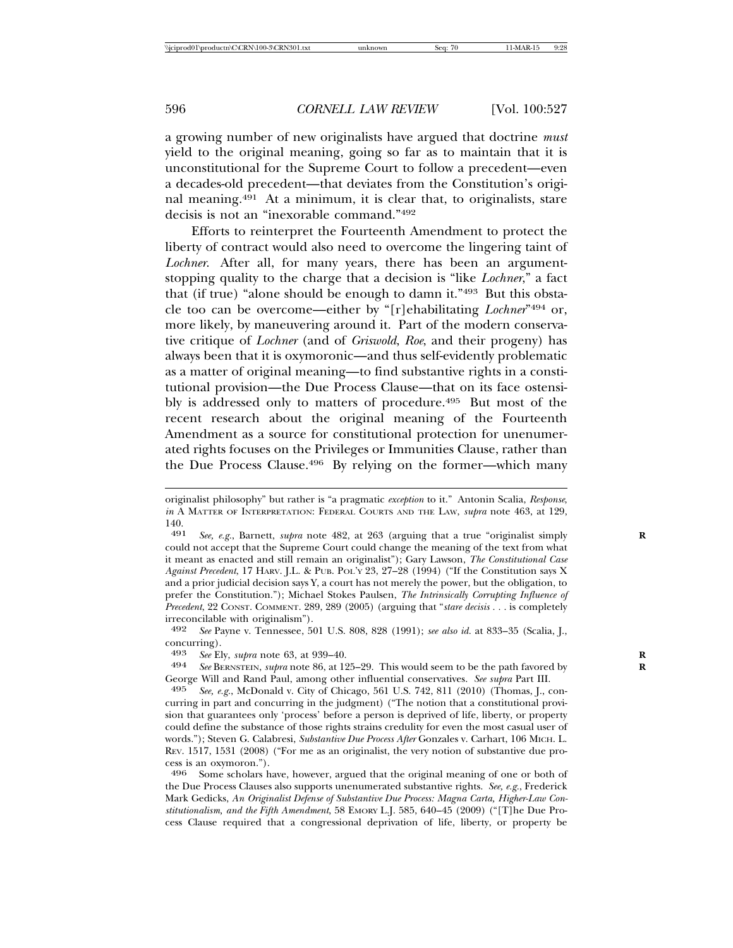a growing number of new originalists have argued that doctrine *must* yield to the original meaning, going so far as to maintain that it is unconstitutional for the Supreme Court to follow a precedent—even a decades-old precedent—that deviates from the Constitution's original meaning.491 At a minimum, it is clear that, to originalists, stare decisis is not an "inexorable command."492

Efforts to reinterpret the Fourteenth Amendment to protect the liberty of contract would also need to overcome the lingering taint of *Lochner*. After all, for many years, there has been an argumentstopping quality to the charge that a decision is "like *Lochner*," a fact that (if true) "alone should be enough to damn it."493 But this obstacle too can be overcome—either by "[r]ehabilitating *Lochner*"494 or, more likely, by maneuvering around it. Part of the modern conservative critique of *Lochner* (and of *Griswold*, *Roe*, and their progeny) has always been that it is oxymoronic—and thus self-evidently problematic as a matter of original meaning—to find substantive rights in a constitutional provision—the Due Process Clause—that on its face ostensibly is addressed only to matters of procedure.<sup>495</sup> But most of the recent research about the original meaning of the Fourteenth Amendment as a source for constitutional protection for unenumerated rights focuses on the Privileges or Immunities Clause, rather than the Due Process Clause.496 By relying on the former—which many

originalist philosophy" but rather is "a pragmatic *exception* to it." Antonin Scalia, *Response*, *in* A MATTER OF INTERPRETATION: FEDERAL COURTS AND THE LAW, *supra* note 463, at 129,  $\frac{140}{491}$ 

See, e.g., Barnett, *supra* note 482, at 263 (arguing that a true "originalist simply could not accept that the Supreme Court could change the meaning of the text from what it meant as enacted and still remain an originalist"); Gary Lawson, *The Constitutional Case Against Precedent*, 17 HARV. J.L. & PUB. POL'Y 23, 27–28 (1994) ("If the Constitution says X and a prior judicial decision says Y, a court has not merely the power, but the obligation, to prefer the Constitution."); Michael Stokes Paulsen, *The Intrinsically Corrupting Influence of Precedent*, 22 CONST. COMMENT. 289, 289 (2005) (arguing that "*stare decisis . . .* is completely irreconcilable with originalism").

<sup>492</sup> *See* Payne v. Tennessee, 501 U.S. 808, 828 (1991); *see also id.* at 833–35 (Scalia, J., concurring).<br>493 See El

<sup>493</sup> *See* Ely, *supra* note 63, at 939–40. **R**

See BERNSTEIN, *supra* note 86, at 125–29. This would seem to be the path favored by George Will and Rand Paul, among other influential conservatives. *See supra* Part III.<br>  $\frac{495}{8}$  See e.g. McDonald v. City of Chicago, 561 U.S. 749, 811 (9010) (Thomas L.c.

<sup>495</sup> *See, e.g.*, McDonald v. City of Chicago, 561 U.S. 742, 811 (2010) (Thomas, J., concurring in part and concurring in the judgment) ("The notion that a constitutional provision that guarantees only 'process' before a person is deprived of life, liberty, or property could define the substance of those rights strains credulity for even the most casual user of words."); Steven G. Calabresi, *Substantive Due Process After* Gonzales v. Carhart, 106 MICH. L. REV. 1517, 1531 (2008) ("For me as an originalist, the very notion of substantive due process is an oxymoron.").

<sup>496</sup> Some scholars have, however, argued that the original meaning of one or both of the Due Process Clauses also supports unenumerated substantive rights. *See, e.g.*, Frederick Mark Gedicks, *An Originalist Defense of Substantive Due Process: Magna Carta, Higher-Law Constitutionalism, and the Fifth Amendment*, 58 EMORY L.J. 585, 640–45 (2009) ("[T]he Due Process Clause required that a congressional deprivation of life, liberty, or property be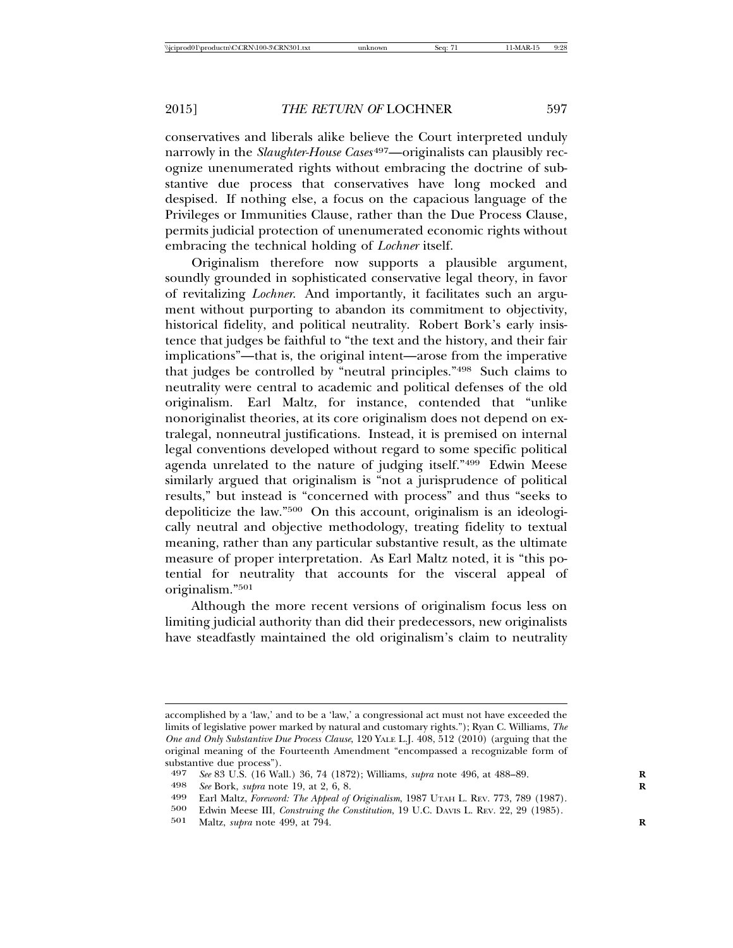conservatives and liberals alike believe the Court interpreted unduly narrowly in the *Slaughter-House Cases* 497—originalists can plausibly recognize unenumerated rights without embracing the doctrine of substantive due process that conservatives have long mocked and despised. If nothing else, a focus on the capacious language of the Privileges or Immunities Clause, rather than the Due Process Clause, permits judicial protection of unenumerated economic rights without embracing the technical holding of *Lochner* itself.

Originalism therefore now supports a plausible argument, soundly grounded in sophisticated conservative legal theory, in favor of revitalizing *Lochner*. And importantly, it facilitates such an argument without purporting to abandon its commitment to objectivity, historical fidelity, and political neutrality. Robert Bork's early insistence that judges be faithful to "the text and the history, and their fair implications"—that is, the original intent—arose from the imperative that judges be controlled by "neutral principles."498 Such claims to neutrality were central to academic and political defenses of the old originalism. Earl Maltz, for instance, contended that "unlike nonoriginalist theories, at its core originalism does not depend on extralegal, nonneutral justifications. Instead, it is premised on internal legal conventions developed without regard to some specific political agenda unrelated to the nature of judging itself."499 Edwin Meese similarly argued that originalism is "not a jurisprudence of political results," but instead is "concerned with process" and thus "seeks to depoliticize the law."500 On this account, originalism is an ideologically neutral and objective methodology, treating fidelity to textual meaning, rather than any particular substantive result, as the ultimate measure of proper interpretation. As Earl Maltz noted, it is "this potential for neutrality that accounts for the visceral appeal of originalism."501

Although the more recent versions of originalism focus less on limiting judicial authority than did their predecessors, new originalists have steadfastly maintained the old originalism's claim to neutrality

accomplished by a 'law,' and to be a 'law,' a congressional act must not have exceeded the limits of legislative power marked by natural and customary rights."); Ryan C. Williams, *The One and Only Substantive Due Process Clause*, 120 YALE L.J. 408, 512 (2010) (arguing that the original meaning of the Fourteenth Amendment "encompassed a recognizable form of substantive due process").<br>497 See 83 U.S. (16 Wa

<sup>497</sup> *See* 83 U.S. (16 Wall.) 36, 74 (1872); Williams, *supra* note 496, at 488–89. **R**

<sup>498</sup> *See* Bork, *supra* note 19, at 2, 6, 8.<br>499 Farl Maltz *Foreword: The Appeal* of

<sup>499</sup> Earl Maltz, *Foreword: The Appeal of Originalism*, 1987 UTAH L. REV. 773, 789 (1987).

<sup>500</sup> Edwin Meese III, *Construing the Constitution*, 19 U.C. DAVIS L. REV. 22, 29 (1985).

<sup>501</sup> Maltz, *supra* note 499, at 794. **R**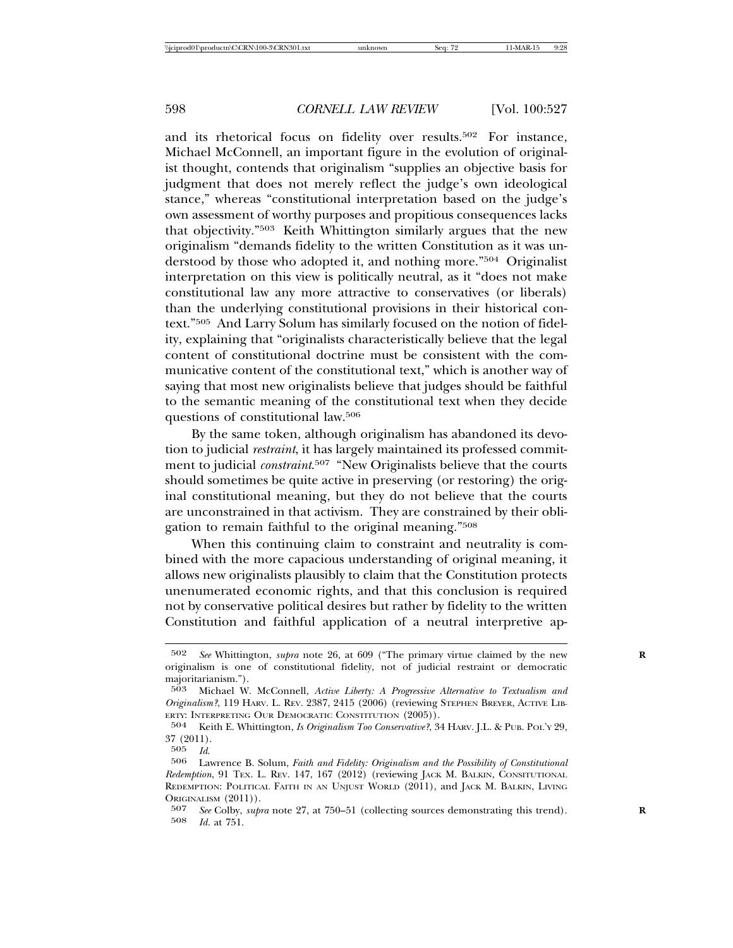and its rhetorical focus on fidelity over results.<sup>502</sup> For instance, Michael McConnell, an important figure in the evolution of originalist thought, contends that originalism "supplies an objective basis for judgment that does not merely reflect the judge's own ideological stance," whereas "constitutional interpretation based on the judge's own assessment of worthy purposes and propitious consequences lacks that objectivity."503 Keith Whittington similarly argues that the new originalism "demands fidelity to the written Constitution as it was understood by those who adopted it, and nothing more."504 Originalist interpretation on this view is politically neutral, as it "does not make constitutional law any more attractive to conservatives (or liberals) than the underlying constitutional provisions in their historical context."505 And Larry Solum has similarly focused on the notion of fidelity, explaining that "originalists characteristically believe that the legal content of constitutional doctrine must be consistent with the communicative content of the constitutional text," which is another way of saying that most new originalists believe that judges should be faithful to the semantic meaning of the constitutional text when they decide questions of constitutional law.506

By the same token, although originalism has abandoned its devotion to judicial *restraint*, it has largely maintained its professed commitment to judicial *constraint*. 507 "New Originalists believe that the courts should sometimes be quite active in preserving (or restoring) the original constitutional meaning, but they do not believe that the courts are unconstrained in that activism. They are constrained by their obligation to remain faithful to the original meaning."508

When this continuing claim to constraint and neutrality is combined with the more capacious understanding of original meaning, it allows new originalists plausibly to claim that the Constitution protects unenumerated economic rights, and that this conclusion is required not by conservative political desires but rather by fidelity to the written Constitution and faithful application of a neutral interpretive ap-

<sup>502</sup> *See* Whittington, *supra* note 26, at 609 ("The primary virtue claimed by the new **R** originalism is one of constitutional fidelity, not of judicial restraint or democratic majoritarianism.").

<sup>503</sup> Michael W. McConnell, *Active Liberty: A Progressive Alternative to Textualism and Originalism?*, 119 HARV. L. REV. 2387, 2415 (2006) (reviewing STEPHEN BREYER, ACTIVE LIB-ERTY: INTERPRETING OUR DEMOCRATIC CONSTITUTION (2005)).

<sup>504</sup> Keith E. Whittington, *Is Originalism Too Conservative?*, 34 HARV. J.L. & PUB. POL'Y 29,  $\frac{37}{505}$   $\frac{(2011)}{Id}$ 

<sup>505</sup> *Id*. <sup>506</sup> Lawrence B. Solum, *Faith and Fidelity: Originalism and the Possibility of Constitutional Redemption*, 91 TEX. L. REV. 147, 167 (2012) (reviewing JACK M. BALKIN, CONSITUTIONAL REDEMPTION: POLITICAL FAITH IN AN UNJUST WORLD (2011), and JACK M. BALKIN, LIVING ORIGINALISM (2011)).

<sup>507</sup> *See* Colby, *supra* note 27, at 750–51 (collecting sources demonstrating this trend). **R** 508 *Id.* at 751.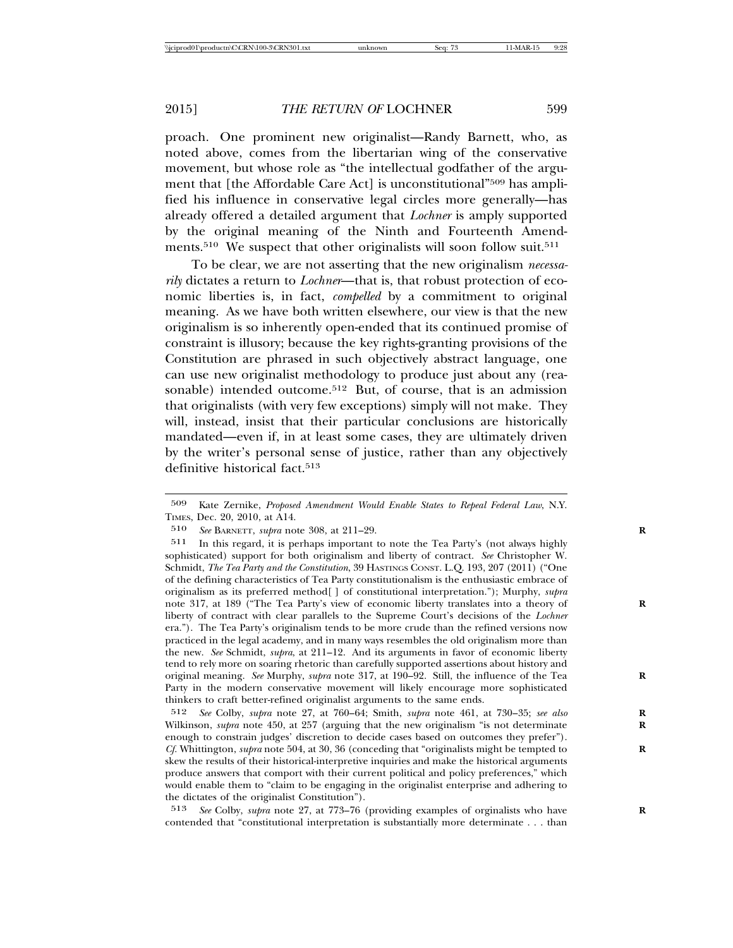proach. One prominent new originalist—Randy Barnett, who, as noted above, comes from the libertarian wing of the conservative movement, but whose role as "the intellectual godfather of the argument that [the Affordable Care Act] is unconstitutional"509 has amplified his influence in conservative legal circles more generally—has already offered a detailed argument that *Lochner* is amply supported by the original meaning of the Ninth and Fourteenth Amendments.<sup>510</sup> We suspect that other originalists will soon follow suit.<sup>511</sup>

To be clear, we are not asserting that the new originalism *necessarily* dictates a return to *Lochner*—that is, that robust protection of economic liberties is, in fact, *compelled* by a commitment to original meaning. As we have both written elsewhere, our view is that the new originalism is so inherently open-ended that its continued promise of constraint is illusory; because the key rights-granting provisions of the Constitution are phrased in such objectively abstract language, one can use new originalist methodology to produce just about any (reasonable) intended outcome.<sup>512</sup> But, of course, that is an admission that originalists (with very few exceptions) simply will not make. They will, instead, insist that their particular conclusions are historically mandated—even if, in at least some cases, they are ultimately driven by the writer's personal sense of justice, rather than any objectively definitive historical fact.<sup>513</sup>

<sup>509</sup> Kate Zernike, *Proposed Amendment Would Enable States to Repeal Federal Law*, N.Y. TIMES, Dec. 20, 2010, at A14.

<sup>510</sup> *See* BARNETT, *supra* note 308, at 211–29. **R**

<sup>511</sup> In this regard, it is perhaps important to note the Tea Party's (not always highly sophisticated) support for both originalism and liberty of contract. *See* Christopher W. Schmidt, *The Tea Party and the Constitution*, 39 HASTINGS CONST. L.Q. 193, 207 (2011) ("One of the defining characteristics of Tea Party constitutionalism is the enthusiastic embrace of originalism as its preferred method[ ] of constitutional interpretation."); Murphy, *supra* note 317, at 189 ("The Tea Party's view of economic liberty translates into a theory of **R** liberty of contract with clear parallels to the Supreme Court's decisions of the *Lochner* era."). The Tea Party's originalism tends to be more crude than the refined versions now practiced in the legal academy, and in many ways resembles the old originalism more than the new. *See* Schmidt, *supra*, at 211–12. And its arguments in favor of economic liberty tend to rely more on soaring rhetoric than carefully supported assertions about history and original meaning. *See* Murphy, *supra* note 317, at 190–92. Still, the influence of the Tea **R** Party in the modern conservative movement will likely encourage more sophisticated thinkers to craft better-refined originalist arguments to the same ends.

<sup>512</sup> *See* Colby, *supra* note 27, at 760–64; Smith, *supra* note 461, at 730–35; *see also* **R** Wilkinson, *supra* note 450, at 257 (arguing that the new originalism "is not determinate **R** enough to constrain judges' discretion to decide cases based on outcomes they prefer"). *Cf.* Whittington, *supra* note 504, at 30, 36 (conceding that "originalists might be tempted to **R** skew the results of their historical-interpretive inquiries and make the historical arguments produce answers that comport with their current political and policy preferences," which would enable them to "claim to be engaging in the originalist enterprise and adhering to the dictates of the originalist Constitution").

<sup>513</sup> *See* Colby, *supra* note 27, at 773–76 (providing examples of orginalists who have **R** contended that "constitutional interpretation is substantially more determinate . . . than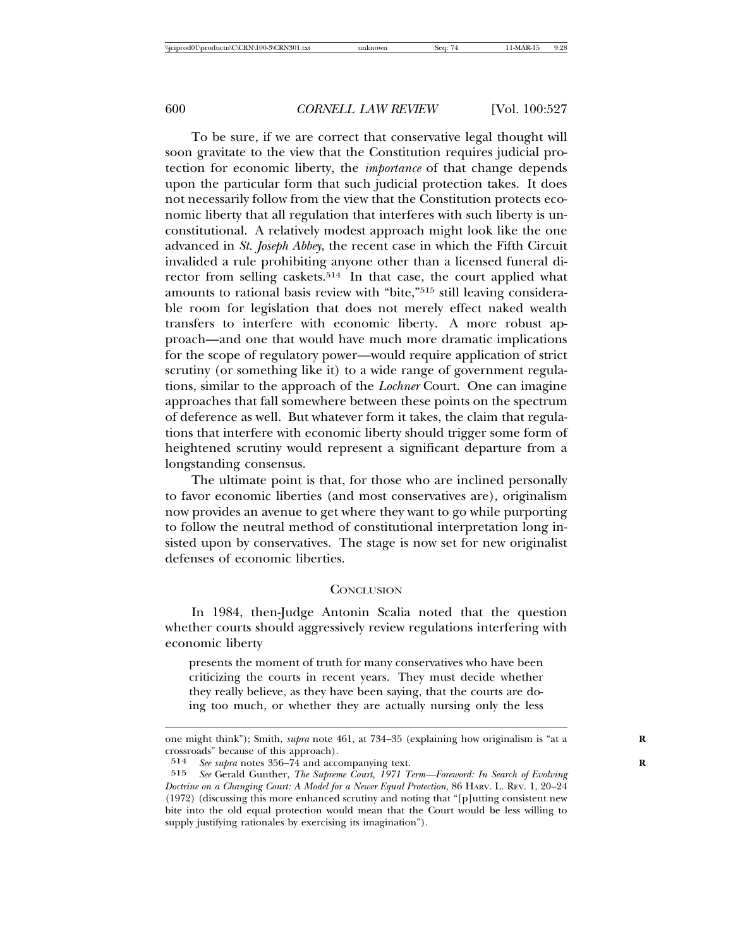To be sure, if we are correct that conservative legal thought will soon gravitate to the view that the Constitution requires judicial protection for economic liberty, the *importance* of that change depends upon the particular form that such judicial protection takes. It does not necessarily follow from the view that the Constitution protects economic liberty that all regulation that interferes with such liberty is unconstitutional. A relatively modest approach might look like the one advanced in *St. Joseph Abbey*, the recent case in which the Fifth Circuit invalided a rule prohibiting anyone other than a licensed funeral director from selling caskets.<sup>514</sup> In that case, the court applied what amounts to rational basis review with "bite,"515 still leaving considerable room for legislation that does not merely effect naked wealth transfers to interfere with economic liberty. A more robust approach—and one that would have much more dramatic implications for the scope of regulatory power—would require application of strict scrutiny (or something like it) to a wide range of government regulations, similar to the approach of the *Lochner* Court. One can imagine approaches that fall somewhere between these points on the spectrum of deference as well. But whatever form it takes, the claim that regulations that interfere with economic liberty should trigger some form of heightened scrutiny would represent a significant departure from a longstanding consensus.

The ultimate point is that, for those who are inclined personally to favor economic liberties (and most conservatives are), originalism now provides an avenue to get where they want to go while purporting to follow the neutral method of constitutional interpretation long insisted upon by conservatives. The stage is now set for new originalist defenses of economic liberties.

## **CONCLUSION**

In 1984, then-Judge Antonin Scalia noted that the question whether courts should aggressively review regulations interfering with economic liberty

presents the moment of truth for many conservatives who have been criticizing the courts in recent years. They must decide whether they really believe, as they have been saying, that the courts are doing too much, or whether they are actually nursing only the less

one might think"); Smith, *supra* note 461, at 734–35 (explaining how originalism is "at a **R** crossroads" because of this approach).

<sup>514</sup> *See supra* notes 356–74 and accompanying text. **R**

<sup>515</sup> *See* Gerald Gunther, *The Supreme Court, 1971 Term—Foreword: In Search of Evolving Doctrine on a Changing Court: A Model for a Newer Equal Protection*, 86 HARV. L. REV. 1, 20–24 (1972) (discussing this more enhanced scrutiny and noting that "[p]utting consistent new bite into the old equal protection would mean that the Court would be less willing to supply justifying rationales by exercising its imagination").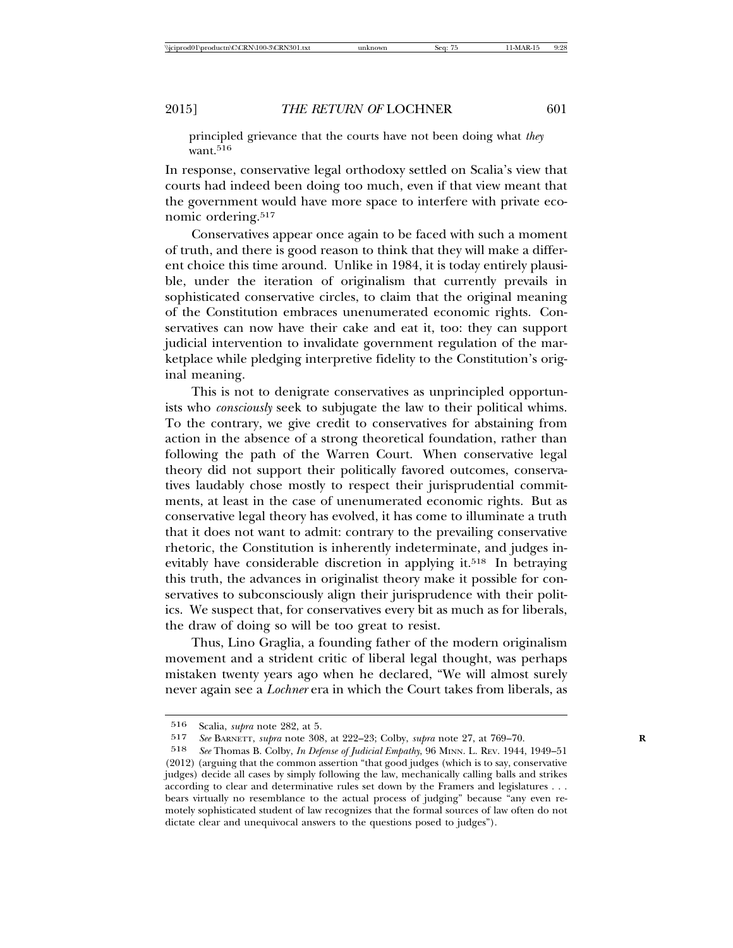principled grievance that the courts have not been doing what *they* want.<sup>516</sup>

In response, conservative legal orthodoxy settled on Scalia's view that courts had indeed been doing too much, even if that view meant that the government would have more space to interfere with private economic ordering.517

Conservatives appear once again to be faced with such a moment of truth, and there is good reason to think that they will make a different choice this time around. Unlike in 1984, it is today entirely plausible, under the iteration of originalism that currently prevails in sophisticated conservative circles, to claim that the original meaning of the Constitution embraces unenumerated economic rights. Conservatives can now have their cake and eat it, too: they can support judicial intervention to invalidate government regulation of the marketplace while pledging interpretive fidelity to the Constitution's original meaning.

This is not to denigrate conservatives as unprincipled opportunists who *consciously* seek to subjugate the law to their political whims. To the contrary, we give credit to conservatives for abstaining from action in the absence of a strong theoretical foundation, rather than following the path of the Warren Court. When conservative legal theory did not support their politically favored outcomes, conservatives laudably chose mostly to respect their jurisprudential commitments, at least in the case of unenumerated economic rights. But as conservative legal theory has evolved, it has come to illuminate a truth that it does not want to admit: contrary to the prevailing conservative rhetoric, the Constitution is inherently indeterminate, and judges inevitably have considerable discretion in applying it.<sup>518</sup> In betraying this truth, the advances in originalist theory make it possible for conservatives to subconsciously align their jurisprudence with their politics. We suspect that, for conservatives every bit as much as for liberals, the draw of doing so will be too great to resist.

Thus, Lino Graglia, a founding father of the modern originalism movement and a strident critic of liberal legal thought, was perhaps mistaken twenty years ago when he declared, "We will almost surely never again see a *Lochner* era in which the Court takes from liberals, as

<sup>516</sup> Scalia, *supra* note 282, at 5.<br>517 See BARNETT *subra* note 308

<sup>517</sup> *See* BARNETT, *supra* note 308, at 222–23; Colby, *supra* note 27, at 769–70. **R**

<sup>518</sup> *See* Thomas B. Colby, *In Defense of Judicial Empathy*, 96 MINN. L. REV. 1944, 1949–51 (2012) (arguing that the common assertion "that good judges (which is to say, conservative judges) decide all cases by simply following the law, mechanically calling balls and strikes according to clear and determinative rules set down by the Framers and legislatures . . . bears virtually no resemblance to the actual process of judging" because "any even remotely sophisticated student of law recognizes that the formal sources of law often do not dictate clear and unequivocal answers to the questions posed to judges").